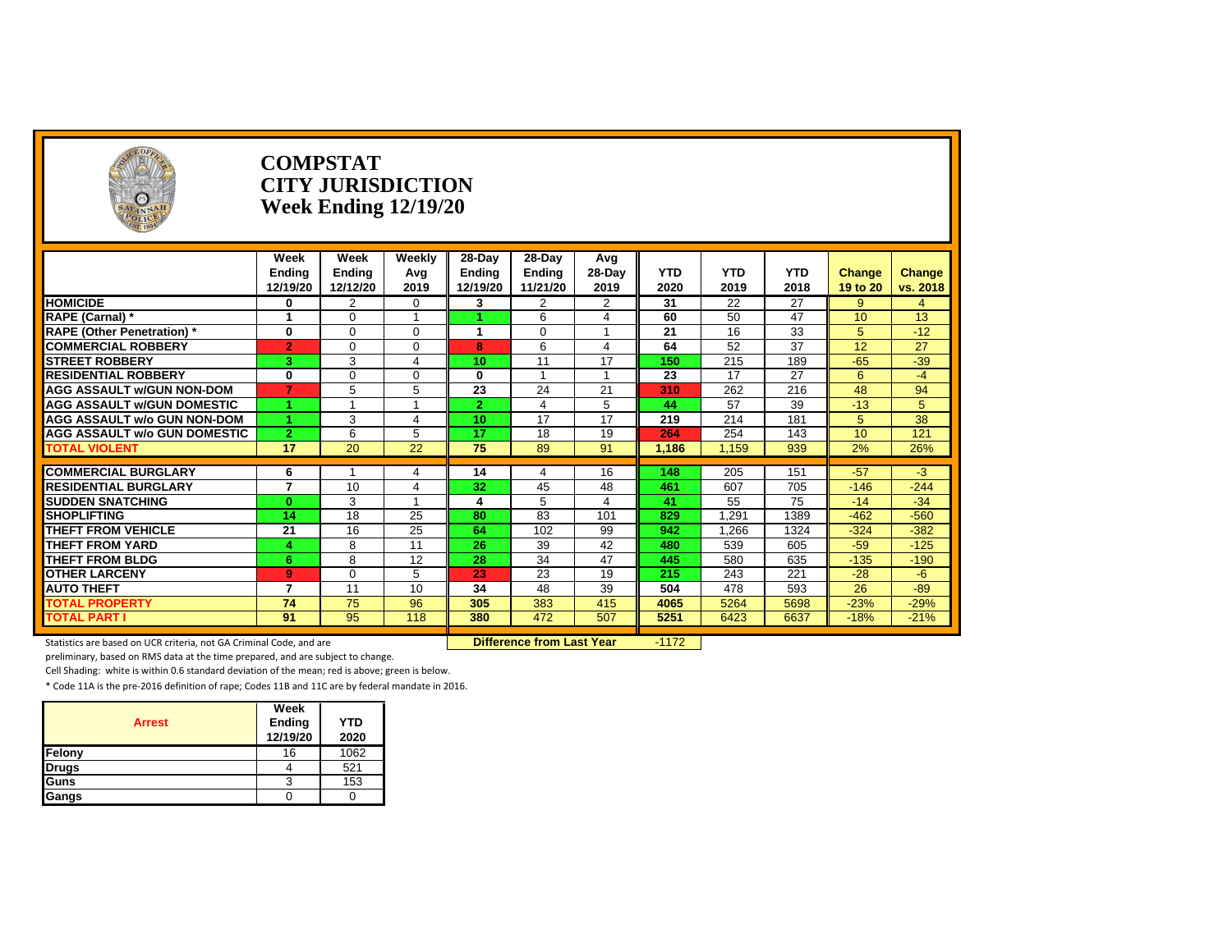

#### **COMPSTAT CITY JURISDICTION Week Ending 12/19/20**

|                                              | Week<br>Ending<br>12/19/20 | Week<br>Ending<br>12/12/20 | Weekly<br>Avg<br>2019 | 28-Day<br><b>Ending</b><br>12/19/20 | 28-Day<br>Ending<br>11/21/20 | Avg<br>28-Day<br>2019 | <b>YTD</b><br>2020 | <b>YTD</b><br>2019 | <b>YTD</b><br>2018 | Change<br>19 to 20 | <b>Change</b><br>vs. 2018 |
|----------------------------------------------|----------------------------|----------------------------|-----------------------|-------------------------------------|------------------------------|-----------------------|--------------------|--------------------|--------------------|--------------------|---------------------------|
| <b>HOMICIDE</b>                              | 0                          | 2                          | $\Omega$              | 3                                   | 2                            | $\overline{2}$        | 31                 | 22                 | 27                 | 9                  | $\overline{4}$            |
| <b>RAPE (Carnal)*</b>                        |                            | U                          |                       |                                     | 6                            | 4                     | 60                 | 50                 | 47                 | 10                 | 13                        |
| <b>RAPE (Other Penetration)</b> *            | $\mathbf{0}$               | 0                          | $\Omega$              |                                     | 0                            |                       | 21                 | 16                 | 33                 | 5                  | $-12$                     |
| <b>COMMERCIAL ROBBERY</b>                    | $\overline{2}$             | 0                          | $\Omega$              | 8                                   | 6                            | 4                     | 64                 | 52                 | 37                 | 12                 | 27                        |
| <b>ISTREET ROBBERY</b>                       | 3.                         | 3                          | 4                     | 10                                  | 11                           | 17                    | 150                | 215                | 189                | $-65$              | $-39$                     |
| <b>RESIDENTIAL ROBBERY</b>                   | $\mathbf{0}$               | 0                          | $\Omega$              | $\bf{0}$                            |                              |                       | 23                 | 17                 | 27                 | 6                  | $-4$                      |
| <b>AGG ASSAULT W/GUN NON-DOM</b>             | $\overline{\phantom{a}}$   | 5.                         | 5                     | 23                                  | 24                           | 21                    | 310                | 262                | 216                | 48                 | 94                        |
| <b>AGG ASSAULT w/GUN DOMESTIC</b>            |                            |                            |                       | -2                                  |                              | 5                     | 44                 | 57                 | 39                 | $-13$              | 5                         |
| <b>AGG ASSAULT w/o GUN NON-DOM</b>           |                            | 3                          |                       | 10                                  | 17                           | 17                    | 219                | 214                | 181                | 5                  | 38                        |
| <b>AGG ASSAULT W/o GUN DOMESTIC</b>          | $\mathbf{2}$               | 6                          | 5                     | 17                                  | 18                           | 19                    | 264                | 254                | 143                | 10                 | 121                       |
| <b>TOTAL VIOLENT</b>                         | 17                         | 20                         | 22                    | 75                                  | 89                           | 91                    | 1,186              | 1.159              | 939                | 2%                 | 26%                       |
|                                              |                            |                            |                       |                                     |                              |                       |                    |                    |                    |                    |                           |
| <b>COMMERCIAL BURGLARY</b>                   | 6<br>7                     |                            | 4                     | 14                                  |                              | 16                    | 148                | 205                | 151                | $-57$              | $-3$                      |
| <b>RESIDENTIAL BURGLARY</b>                  |                            | 10                         | 4                     | 32                                  | 45                           | 48                    | 461                | 607                | 705                | $-146$             | $-244$                    |
| <b>ISUDDEN SNATCHING</b>                     | $\bf{0}$                   | 3                          |                       | 4                                   | 5                            | 4                     | 41                 | 55                 | 75                 | $-14$              | $-34$                     |
| <b>SHOPLIFTING</b>                           | 14                         | 18                         | 25                    | 80                                  | 83                           | 101                   | 829                | 1,291              | 1389               | $-462$             | $-560$                    |
| <b>THEFT FROM VEHICLE</b>                    | 21                         | 16                         | 25                    | 64                                  | 102                          | 99                    | 942                | 1,266              | 1324               | $-324$             | $-382$                    |
| <b>THEFT FROM YARD</b>                       |                            | 8                          | 11                    | 26                                  | 39                           | 42                    | 480                | 539                | 605                | $-59$              | $-125$                    |
| <b>THEFT FROM BLDG</b>                       | 6                          | 8                          | 12                    | 28                                  | 34                           | 47                    | 445                | 580                | 635                | $-135$             | $-190$                    |
| <b>OTHER LARCENY</b>                         | 9<br>7                     |                            | 5                     | 23                                  | 23                           | 19                    | 215                | 243                | 221                | $-28$              | $-6$                      |
| <b>AUTO THEFT</b>                            |                            | 11                         | 10                    | 34                                  | 48                           | 39                    | 504                | 478                | 593                | 26                 | $-89$                     |
| <b>TOTAL PROPERTY</b><br><b>TOTAL PART I</b> | 74                         | 75                         | 96                    | 305                                 | 383                          | 415                   | 4065               | 5264               | 5698<br>6637       | $-23%$<br>$-18%$   | $-29%$<br>$-21%$          |
|                                              | 91                         | 95                         | 118                   | 380                                 | 472                          | 507                   | 5251               | 6423               |                    |                    |                           |

**Statistics are based on UCR criteria, not GA Criminal Code, and are Difference from Last Year** -1172

preliminary, based on RMS data at the time prepared, and are subject to change.

Cell Shading: white is within 0.6 standard deviation of the mean; red is above; green is below.

|               | Week     |      |
|---------------|----------|------|
| <b>Arrest</b> | Ending   | YTD  |
|               | 12/19/20 | 2020 |
| Felony        | 16       | 1062 |
| <b>Drugs</b>  |          | 521  |
| Guns          | 3        | 153  |
| Gangs         |          |      |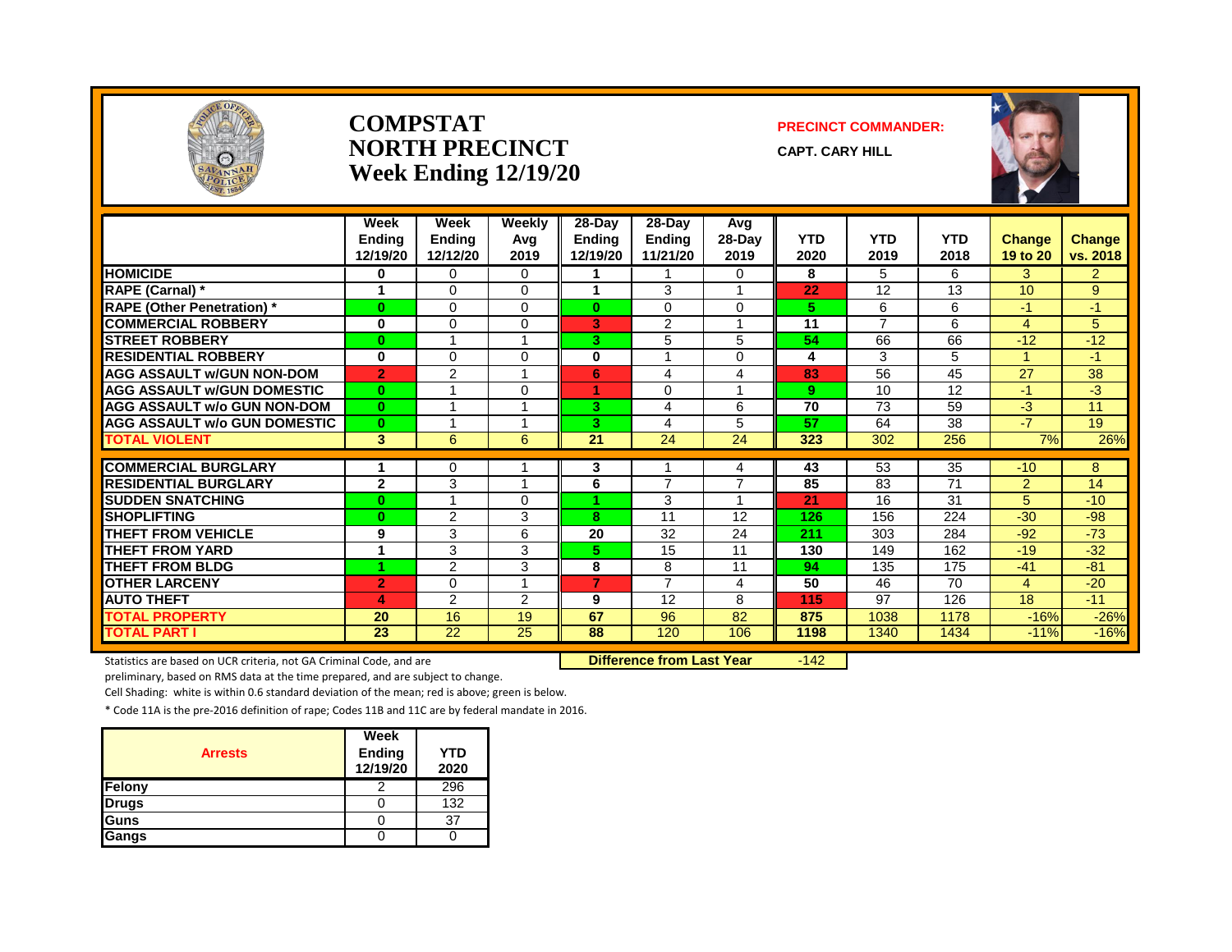

#### **COMPSTAT PRECINCT COMMANDER: NORTH PRECINCT** CAPT. CARY HILL **Week Ending 12/19/20**



|                                     | Week<br><b>Ending</b><br>12/19/20 | Week<br><b>Ending</b><br>12/12/20 | Weekly<br>Avg<br>2019 | 28-Dav<br><b>Ending</b><br>12/19/20 | 28-Dav<br>Ending<br>11/21/20 | Avg<br>$28$ -Day<br>2019 | <b>YTD</b><br>2020 | <b>YTD</b><br>2019 | <b>YTD</b><br>2018 | <b>Change</b><br>19 to 20 | Change<br>vs. 2018 |
|-------------------------------------|-----------------------------------|-----------------------------------|-----------------------|-------------------------------------|------------------------------|--------------------------|--------------------|--------------------|--------------------|---------------------------|--------------------|
| <b>HOMICIDE</b>                     | 0                                 | 0                                 | $\Omega$              |                                     |                              | 0                        | 8                  | 5                  | 6                  | 3                         | $\overline{2}$     |
| RAPE (Carnal) *                     | 1                                 | 0                                 | $\Omega$              |                                     | 3                            | 1                        | 22                 | 12                 | 13                 | 10                        | 9                  |
| <b>RAPE (Other Penetration) *</b>   | $\bf{0}$                          | 0                                 | $\Omega$              | $\mathbf{0}$                        | $\Omega$                     | $\Omega$                 | 5.                 | 6                  | 6                  | $-1$                      | $-1$               |
| <b>COMMERCIAL ROBBERY</b>           | $\bf{0}$                          | 0                                 | $\Omega$              | 3                                   | 2                            | 1                        | 11                 | $\overline{ }$     | 6                  | $\overline{4}$            | 5                  |
| <b>STREET ROBBERY</b>               | $\bf{0}$                          | 1                                 |                       | 3.                                  | 5                            | 5                        | 54                 | 66                 | 66                 | $-12$                     | $-12$              |
| <b>RESIDENTIAL ROBBERY</b>          | $\bf{0}$                          | 0                                 | $\Omega$              | 0                                   |                              | 0                        | 4                  | 3                  | 5                  |                           | $-1$               |
| <b>AGG ASSAULT W/GUN NON-DOM</b>    | $\overline{2}$                    | $\overline{2}$                    |                       | 6                                   | 4                            | 4                        | 83                 | 56                 | 45                 | 27                        | 38                 |
| <b>AGG ASSAULT W/GUN DOMESTIC</b>   | $\bf{0}$                          |                                   | $\Omega$              |                                     | 0                            | 1                        | 9                  | 10                 | 12                 | $-1$                      | $-3$               |
| <b>AGG ASSAULT w/o GUN NON-DOM</b>  | $\mathbf{0}$                      | 4                                 |                       | 3.                                  | 4                            | 6                        | $\overline{70}$    | 73                 | 59                 | $-3$                      | 11                 |
| <b>AGG ASSAULT w/o GUN DOMESTIC</b> | $\bf{0}$                          | 1                                 | и                     | 3                                   | 4                            | 5                        | 57                 | 64                 | 38                 | $-7$                      | 19                 |
| <b>TOTAL VIOLENT</b>                | 3                                 | 6                                 | 6                     | $\overline{21}$                     | 24                           | 24                       | 323                | 302                | 256                | 7%                        | 26%                |
|                                     |                                   |                                   |                       |                                     |                              |                          |                    |                    |                    |                           |                    |
| <b>COMMERCIAL BURGLARY</b>          |                                   | 0                                 |                       | 3                                   | $\overline{ }$               | 4<br>$\overline{7}$      | 43                 | 53                 | 35                 | $-10$                     | 8                  |
| <b>RESIDENTIAL BURGLARY</b>         | $\mathbf{2}$                      | 3                                 |                       | 6                                   |                              |                          | 85                 | 83                 | 71                 | $\overline{2}$            | 14                 |
| <b>SUDDEN SNATCHING</b>             | $\mathbf{0}$                      | 1                                 | $\Omega$              |                                     | 3                            | 4                        | 21                 | 16                 | 31                 | 5                         | $-10$              |
| <b>SHOPLIFTING</b>                  | $\bf{0}$                          | $\overline{2}$                    | 3                     | 8                                   | 11                           | 12                       | 126                | 156                | 224                | $-30$                     | $-98$              |
| <b>THEFT FROM VEHICLE</b>           | 9                                 | 3                                 | 6                     | 20                                  | 32                           | 24                       | 211                | 303                | 284                | $-92$                     | $-73$              |
| <b>THEFT FROM YARD</b>              | 1                                 | 3                                 | 3                     | 5.                                  | 15                           | 11                       | 130                | 149                | 162                | $-19$                     | $-32$              |
| <b>THEFT FROM BLDG</b>              |                                   | $\overline{2}$                    | 3                     | 8                                   | 8                            | 11                       | 94                 | 135                | 175                | $-41$                     | $-81$              |
| <b>OTHER LARCENY</b>                | $\overline{2}$                    | 0                                 |                       | 7                                   | $\overline{ }$               | 4                        | $\overline{50}$    | 46                 | $\overline{70}$    | 4                         | $-20$              |
| <b>AUTO THEFT</b>                   | 4                                 | $\overline{2}$                    | 2                     | 9                                   | 12                           | 8                        | 115                | 97                 | 126                | 18                        | $-11$              |
| <b>TOTAL PROPERTY</b>               | 20                                | 16                                | 19                    | 67                                  | 96                           | 82                       | 875                | 1038               | 1178               | $-16%$                    | $-26%$             |
| <b>TOTAL PART I</b>                 | 23                                | 22                                | 25                    | 88                                  | 120                          | 106                      | 1198               | 1340               | 1434               | $-11%$                    | $-16%$             |

Statistics are based on UCR criteria, not GA Criminal Code, and are **Difference from Last Year** -142

preliminary, based on RMS data at the time prepared, and are subject to change.

Cell Shading: white is within 0.6 standard deviation of the mean; red is above; green is below.

|                | Week                      |                    |
|----------------|---------------------------|--------------------|
| <b>Arrests</b> | <b>Ending</b><br>12/19/20 | <b>YTD</b><br>2020 |
| Felony         |                           | 296                |
| <b>Drugs</b>   |                           | 132                |
| Guns           |                           | 37                 |
| Gangs          |                           |                    |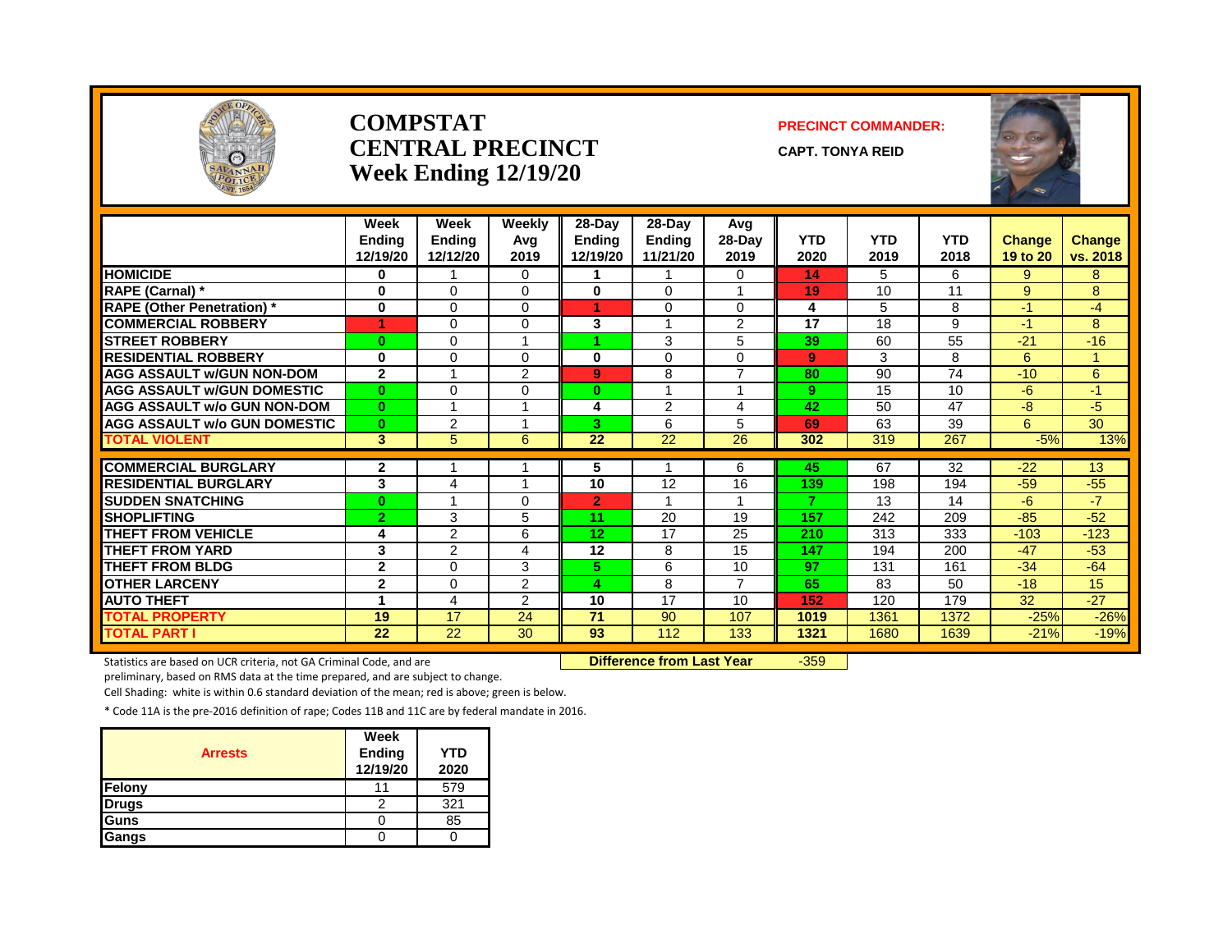

#### **COMPSTAT PRECINCT COMMANDER: CENTRAL PRECINCT** CAPT. TONYA REID **Week Ending 12/19/20**

|                                     | Week<br><b>Ending</b><br>12/19/20 | Week<br>Endina<br>12/12/20 | <b>Weekly</b><br>Ava<br>2019 | 28-Day<br><b>Endina</b><br>12/19/20 | 28-Day<br><b>Endina</b><br>11/21/20 | Avq<br>$28-Dav$<br>2019 | <b>YTD</b><br>2020 | <b>YTD</b><br>2019 | <b>YTD</b><br>2018 | <b>Change</b><br>19 to 20 | <b>Change</b><br>vs. 2018 |
|-------------------------------------|-----------------------------------|----------------------------|------------------------------|-------------------------------------|-------------------------------------|-------------------------|--------------------|--------------------|--------------------|---------------------------|---------------------------|
| <b>HOMICIDE</b>                     | 0                                 |                            | $\Omega$                     |                                     |                                     | 0                       | 14                 | 5                  | 6                  | 9                         | 8                         |
| <b>RAPE (Carnal)</b> *              | 0                                 | $\Omega$                   | 0                            | 0                                   | 0                                   | 1                       | 19                 | 10                 | 11                 | 9                         | 8                         |
| <b>RAPE (Other Penetration)</b> *   | $\bf{0}$                          | $\Omega$                   | 0                            |                                     | $\Omega$                            | 0                       | 4                  | 5                  | 8                  | $-1$                      | $-4$                      |
| <b>COMMERCIAL ROBBERY</b>           | 1                                 | $\Omega$                   | 0                            | 3                                   |                                     | 2                       | 17                 | 18                 | 9                  | $-1$                      | 8                         |
| <b>STREET ROBBERY</b>               | $\mathbf{0}$                      | $\Omega$                   |                              |                                     | 3                                   | 5                       | 39                 | 60                 | 55                 | $-21$                     | $-16$                     |
| <b>RESIDENTIAL ROBBERY</b>          | 0                                 | $\Omega$                   | $\Omega$                     | $\bf{0}$                            | $\Omega$                            | 0                       | 9                  | 3                  | 8                  | 6                         | $\mathbf{1}$              |
| <b>AGG ASSAULT W/GUN NON-DOM</b>    | $\overline{2}$                    | 1                          | $\overline{2}$               | 9                                   | 8                                   | $\overline{7}$          | 80                 | 90                 | 74                 | $-10$                     | 6                         |
| <b>AGG ASSAULT w/GUN DOMESTIC</b>   | $\mathbf{0}$                      | $\Omega$                   | 0                            | $\bf{0}$                            |                                     |                         | 9                  | 15                 | 10                 | $-6$                      | $-1$                      |
| <b>AGG ASSAULT w/o GUN NON-DOM</b>  | $\mathbf{0}$                      |                            |                              | 4                                   | 2                                   | 4                       | 42                 | 50                 | 47                 | $-8$                      | $-5$                      |
| <b>AGG ASSAULT w/o GUN DOMESTIC</b> | $\mathbf{0}$                      | $\overline{2}$             |                              | 3                                   | 6                                   | 5                       | 69                 | 63                 | 39                 | 6                         | $\overline{30}$           |
| <b>TOTAL VIOLENT</b>                | 3                                 | 5                          | 6                            | 22                                  | 22                                  | 26                      | 302                | 319                | 267                | $-5%$                     | 13%                       |
| <b>COMMERCIAL BURGLARY</b>          | $\mathbf{2}$                      |                            |                              | 5                                   |                                     | 6                       | 45                 | 67                 | 32                 | $-22$                     | 13                        |
| <b>RESIDENTIAL BURGLARY</b>         | 3                                 | 4                          |                              | 10                                  | 12                                  | 16                      | 139                | 198                | 194                | $-59$                     | $-55$                     |
| <b>SUDDEN SNATCHING</b>             | $\mathbf{0}$                      |                            | $\Omega$                     | $\overline{2}$                      |                                     |                         | $\overline{7}$     | 13                 | 14                 | $-6$                      | $-7$                      |
| <b>ISHOPLIFTING</b>                 | $\overline{2}$                    | 3                          | 5                            | 11                                  | 20                                  | 19                      | 157                | 242                | 209                | $-85$                     | $-52$                     |
| <b>THEFT FROM VEHICLE</b>           | 4                                 | $\overline{2}$             | 6                            | 12 <sub>2</sub>                     | 17                                  | 25                      | 210                | 313                | 333                | $-103$                    | $-123$                    |
| <b>THEFT FROM YARD</b>              | 3                                 | $\overline{2}$             | 4                            | 12                                  | 8                                   | 15                      | 147                | 194                | 200                | $-47$                     | $-53$                     |
| <b>THEFT FROM BLDG</b>              | $\mathbf{2}$                      | $\Omega$                   | 3                            | 5.                                  | 6                                   | 10                      | 97                 | 131                | 161                | $-34$                     | $-64$                     |
| <b>OTHER LARCENY</b>                | $\mathbf{2}$                      | $\Omega$                   | $\overline{2}$               | 4                                   | 8                                   | $\overline{7}$          | 65                 | 83                 | 50                 | $-18$                     | 15                        |
| <b>AUTO THEFT</b>                   | 1                                 | 4                          | 2                            | 10                                  | 17                                  | 10                      | 152                | 120                | 179                | 32                        | $-27$                     |
| <b>TOTAL PROPERTY</b>               | 19                                | 17                         | 24                           | 71                                  | 90                                  | 107                     | 1019               | 1361               | 1372               | $-25%$                    | $-26%$                    |
| <b>TOTAL PART I</b>                 | 22                                | 22                         | 30                           | 93                                  | 112                                 | 133                     | 1321               | 1680               | 1639               | $-21%$                    | $-19%$                    |

Statistics are based on UCR criteria, not GA Criminal Code, and are **Difference from Last Year** -359

preliminary, based on RMS data at the time prepared, and are subject to change.

Cell Shading: white is within 0.6 standard deviation of the mean; red is above; green is below.

| <b>Arrests</b> | Week<br><b>Ending</b><br>12/19/20 | <b>YTD</b><br>2020 |
|----------------|-----------------------------------|--------------------|
| Felony         |                                   | 579                |
| <b>Drugs</b>   |                                   | 321                |
| Guns           |                                   | 85                 |
| Gangs          |                                   |                    |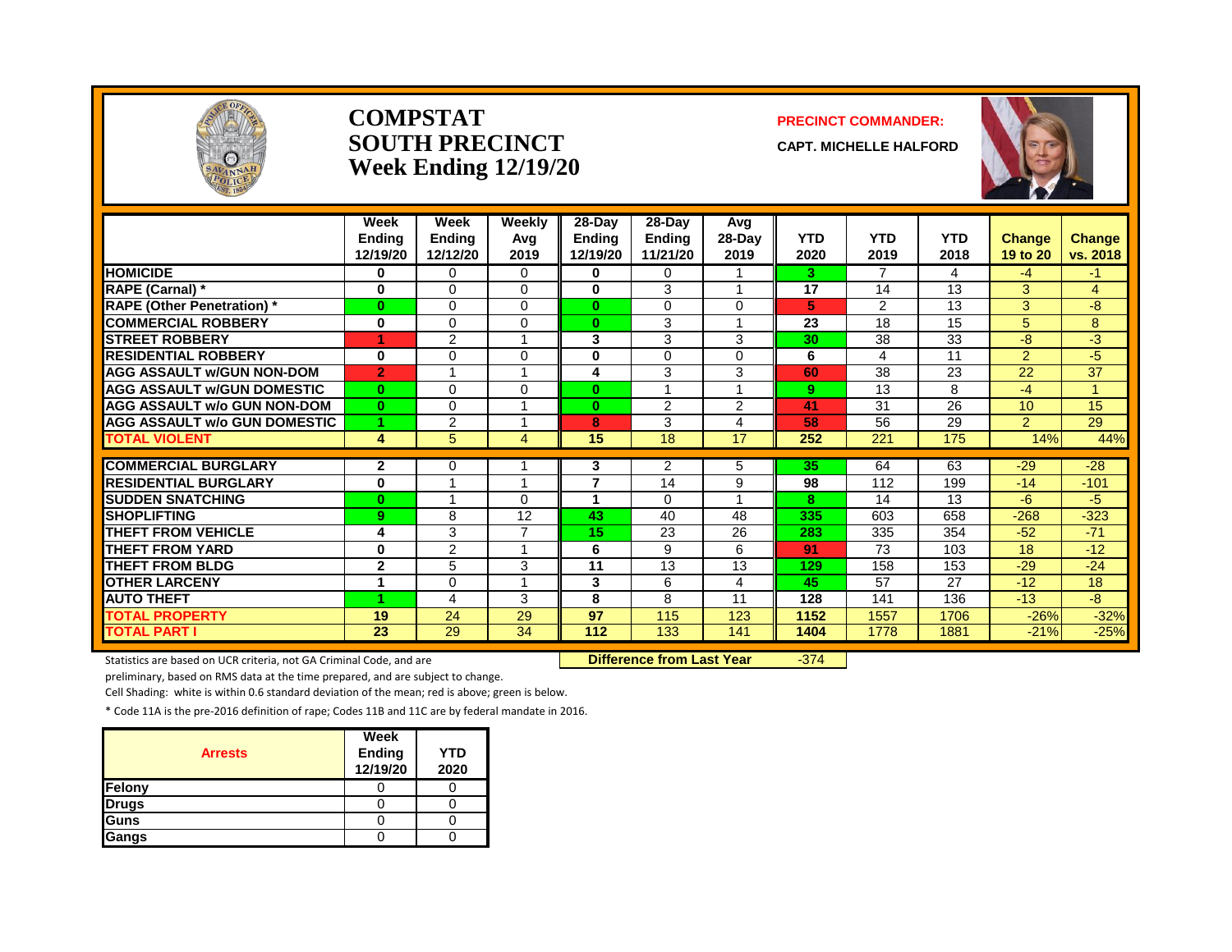

#### **COMPSTAT PRECINCT COMMANDER: SOUTH PRECINCT CAPT. MICHELLE HALFORD Week Ending 12/19/20**



|                                     | Week<br><b>Endina</b> | Week<br><b>Ending</b> | Weekly<br>Avg | 28-Day<br><b>Ending</b> | $28$ -Day<br><b>Ending</b> | Avg<br>28-Day  | <b>YTD</b>      | <b>YTD</b> | <b>YTD</b>      | <b>Change</b>    | <b>Change</b>   |
|-------------------------------------|-----------------------|-----------------------|---------------|-------------------------|----------------------------|----------------|-----------------|------------|-----------------|------------------|-----------------|
|                                     | 12/19/20              | 12/12/20              | 2019          | 12/19/20                | 11/21/20                   | 2019           | 2020            | 2019       | 2018            | 19 to 20         | vs. 2018        |
| <b>HOMICIDE</b>                     | $\bf{0}$              | $\Omega$              | $\Omega$      | 0                       | $\Omega$                   |                | 3               |            | 4               | $-4$             | -1              |
| <b>RAPE (Carnal) *</b>              | $\bf{0}$              | $\mathbf 0$           | $\Omega$      | 0                       | 3                          |                | $\overline{17}$ | 14         | 13              | 3                | 4               |
| <b>RAPE (Other Penetration) *</b>   | $\bf{0}$              | $\Omega$              | $\mathbf{0}$  | $\bf{0}$                | $\Omega$                   | $\Omega$       | 5               | 2          | 13              | 3                | $-8$            |
| <b>COMMERCIAL ROBBERY</b>           | 0                     | $\Omega$              | $\Omega$      | $\mathbf{0}$            | 3                          |                | 23              | 18         | 15              | 5                | 8               |
| <b>STREET ROBBERY</b>               | 1                     | 2                     |               | 3                       | 3                          | 3              | 30              | 38         | 33              | -8               | -3              |
| <b>RESIDENTIAL ROBBERY</b>          | $\bf{0}$              | $\Omega$              | $\Omega$      | 0                       | $\Omega$                   | $\Omega$       | 6               | 4          | 11              | $\overline{2}$   | $-5$            |
| <b>AGG ASSAULT W/GUN NON-DOM</b>    | $\overline{2}$        |                       |               | 4                       | 3                          | 3              | 60              | 38         | $\overline{23}$ | 22               | $\overline{37}$ |
| <b>AGG ASSAULT W/GUN DOMESTIC</b>   | $\bf{0}$              | $\Omega$              | $\Omega$      | $\bf{0}$                |                            |                | 9               | 13         | 8               | $-4$             | 1               |
| <b>AGG ASSAULT w/o GUN NON-DOM</b>  | $\mathbf{0}$          | $\Omega$              |               | $\bf{0}$                | 2                          | $\overline{2}$ | 41              | 31         | 26              | 10 <sup>10</sup> | 15              |
| <b>AGG ASSAULT W/o GUN DOMESTIC</b> | 1.                    | 2                     | 1             | 8                       | 3                          | 4              | 58              | 56         | 29              | $\overline{2}$   | 29              |
| <b>TOTAL VIOLENT</b>                | 4                     | 5                     | 4             | 15                      | 18                         | 17             | 252             | 221        | 175             | 14%              | 44%             |
|                                     |                       |                       |               |                         |                            |                |                 |            |                 |                  |                 |
| <b>COMMERCIAL BURGLARY</b>          | $\mathbf{2}$          | 0                     |               | 3                       | $\overline{2}$             | 5              | 35              | 64         | 63              | $-29$            | $-28$           |
| <b>RESIDENTIAL BURGLARY</b>         | $\bf{0}$              |                       |               | 7                       | 14                         | 9              | 98              | 112        | 199             | $-14$            | $-101$          |
| <b>SUDDEN SNATCHING</b>             | $\bf{0}$              |                       | $\Omega$      |                         | $\Omega$                   |                | 8               | 14         | 13              | -6               | $-5$            |
| <b>SHOPLIFTING</b>                  | 9                     | 8                     | 12            | 43                      | 40                         | 48             | 335             | 603        | 658             | $-268$           | $-323$          |
| <b>THEFT FROM VEHICLE</b>           | 4                     | 3                     | 7             | 15                      | 23                         | 26             | 283             | 335        | 354             | $-52$            | $-71$           |
| <b>THEFT FROM YARD</b>              | $\bf{0}$              | 2                     |               | 6                       | 9                          | 6              | 91              | 73         | 103             | 18               | $-12$           |
| <b>THEFT FROM BLDG</b>              | $\mathbf{2}$          | 5                     | 3             | 11                      | 13                         | 13             | 129             | 158        | 153             | $-29$            | $-24$           |
| <b>OTHER LARCENY</b>                |                       | $\Omega$              |               | 3                       | 6                          | 4              | 45              | 57         | 27              | $-12$            | 18              |
| <b>AUTO THEFT</b>                   | 4                     | 4                     | 3             | 8                       | 8                          | 11             | 128             | 141        | 136             | $-13$            | -8              |
| <b>TOTAL PROPERTY</b>               | 19                    | 24                    | 29            | 97                      | 115                        | 123            | 1152            | 1557       | 1706            | $-26%$           | $-32%$          |
| <b>TOTAL PART I</b>                 | 23                    | 29                    | 34            | 112                     | 133                        | 141            | 1404            | 1778       | 1881            | $-21%$           | $-25%$          |

Statistics are based on UCR criteria, not GA Criminal Code, and are **Difference from Last Year** -374

preliminary, based on RMS data at the time prepared, and are subject to change.

Cell Shading: white is within 0.6 standard deviation of the mean; red is above; green is below.

| <b>Arrests</b> | Week<br>Ending<br>12/19/20 | <b>YTD</b><br>2020 |
|----------------|----------------------------|--------------------|
| <b>Felony</b>  |                            |                    |
| <b>Drugs</b>   |                            |                    |
| Guns           |                            |                    |
| Gangs          |                            |                    |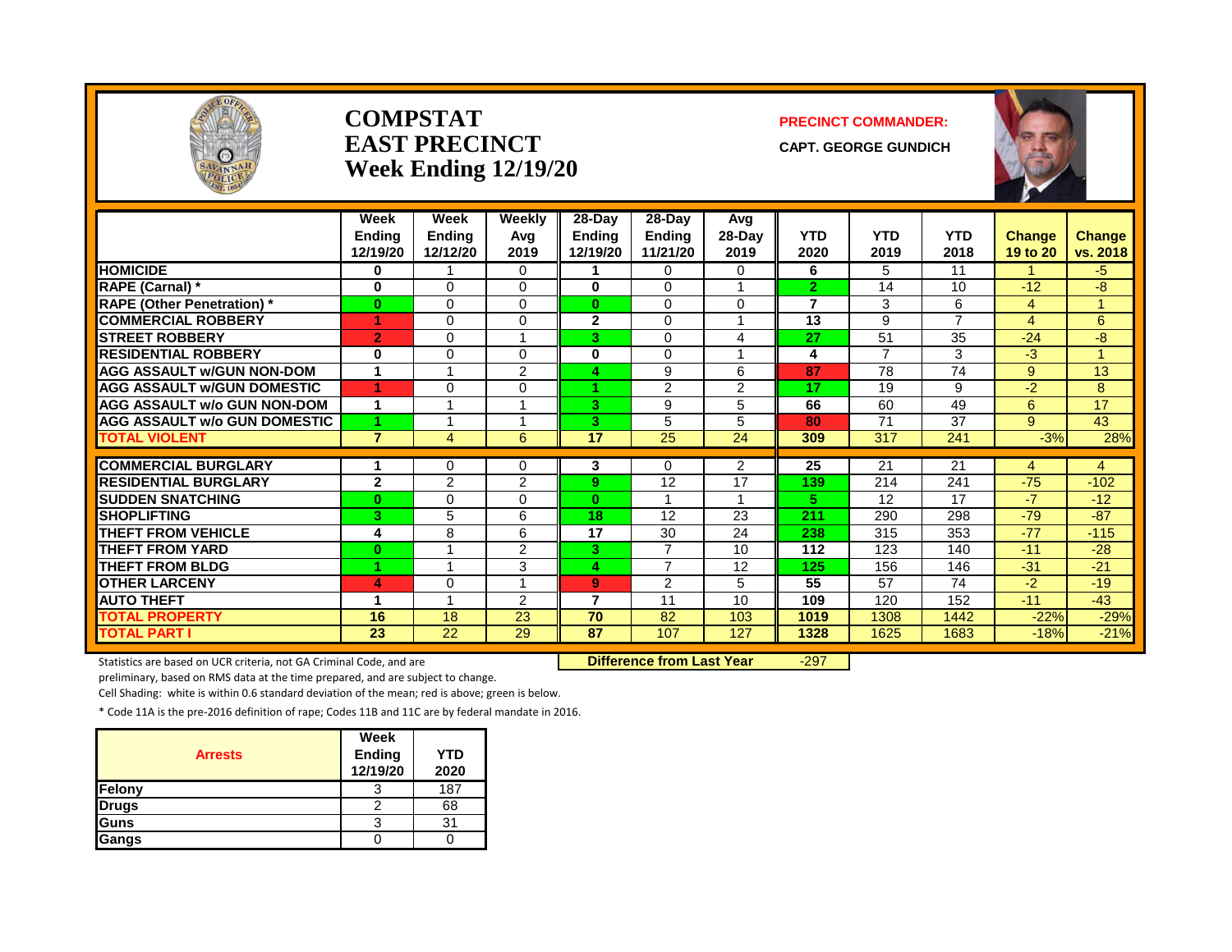

#### **COMPSTAT PRECINCT COMMANDER: EAST PRECINCT** CAPT. GEORGE GUNDICH **Week Ending 12/19/20**



|                                     | Week<br><b>Endina</b><br>12/19/20 | Week<br><b>Ending</b><br>12/12/20 | Weekly<br>Avg<br>2019   | $28 - Day$<br><b>Ending</b><br>12/19/20 | 28-Dav<br><b>Endina</b><br>11/21/20 | Avg<br>28-Day<br>2019 | <b>YTD</b><br>2020 | <b>YTD</b><br>2019 | <b>YTD</b><br>2018 | <b>Change</b><br>19 to 20 | <b>Change</b><br>vs. 2018 |
|-------------------------------------|-----------------------------------|-----------------------------------|-------------------------|-----------------------------------------|-------------------------------------|-----------------------|--------------------|--------------------|--------------------|---------------------------|---------------------------|
| <b>HOMICIDE</b>                     | 0                                 |                                   | $\Omega$                |                                         | $\Omega$                            | 0                     | 6                  | 5                  | 11                 |                           | $-5$                      |
| RAPE (Carnal) *                     | $\mathbf 0$                       | $\Omega$                          | $\Omega$                | $\mathbf{0}$                            | $\Omega$                            | $\overline{ }$        | $\overline{2}$     | 14                 | 10                 | $-12$                     | -8                        |
| <b>RAPE (Other Penetration)</b> *   | $\bf{0}$                          | $\Omega$                          | $\Omega$                | 0                                       | $\Omega$                            | $\Omega$              | $\overline{7}$     | 3                  | 6                  | $\overline{4}$            | -1                        |
| <b>COMMERCIAL ROBBERY</b>           |                                   | $\Omega$                          | $\Omega$                | $\mathbf{2}$                            | $\Omega$                            |                       | 13                 | 9                  | $\overline{7}$     | $\overline{4}$            | 6                         |
| <b>STREET ROBBERY</b>               | $\overline{2}$                    | $\Omega$                          |                         | З.                                      | $\Omega$                            | 4                     | 27                 | 51                 | 35                 | $-24$                     | -8                        |
| <b>RESIDENTIAL ROBBERY</b>          | $\mathbf 0$                       | $\Omega$                          | $\Omega$                | $\bf{0}$                                | $\Omega$                            | $\overline{A}$        | 4                  | $\overline{7}$     | 3                  | -3                        | $\overline{A}$            |
| <b>AGG ASSAULT w/GUN NON-DOM</b>    | 1                                 | $\overline{ }$                    | $\overline{2}$          | Δ                                       | 9                                   | 6                     | 87                 | 78                 | 74                 | 9                         | 13                        |
| <b>AGG ASSAULT W/GUN DOMESTIC</b>   | 1                                 | $\Omega$                          | $\Omega$                | 4.                                      | 2                                   | 2                     | 17                 | 19                 | 9                  | $-2$                      | 8                         |
| <b>AGG ASSAULT w/o GUN NON-DOM</b>  | 1                                 |                                   |                         | 3.                                      | 9                                   | 5                     | 66                 | 60                 | 49                 | 6                         | 17                        |
| <b>AGG ASSAULT W/o GUN DOMESTIC</b> | 4                                 |                                   |                         | З.                                      | 5                                   | 5                     | 80                 | 71                 | 37                 | 9                         | 43                        |
| <b>TOTAL VIOLENT</b>                | $\overline{7}$                    | $\overline{4}$                    | 6                       | $\overline{17}$                         | 25                                  | 24                    | 309                | 317                | 241                | $-3%$                     | 28%                       |
|                                     |                                   |                                   |                         |                                         |                                     |                       |                    |                    |                    |                           |                           |
| <b>COMMERCIAL BURGLARY</b>          |                                   | 0                                 | 0                       | 3                                       | 0                                   | 2                     | $\overline{25}$    | 21                 | 21                 | 4                         | 4                         |
| <b>RESIDENTIAL BURGLARY</b>         | $\overline{2}$                    | $\overline{2}$                    | 2                       | 9.                                      | 12                                  | 17                    | 139                | 214                | 241                | $-75$                     | $-102$                    |
| <b>SUDDEN SNATCHING</b>             | $\bf{0}$                          | 0                                 | $\Omega$                | 0                                       | -1                                  | $\overline{A}$        | 5.                 | 12                 | 17                 | $-7$                      | $-12$                     |
| <b>SHOPLIFTING</b>                  | 3                                 | 5                                 | 6                       | 18                                      | 12                                  | 23                    | 211                | 290                | 298                | $-79$                     | $-87$                     |
| <b>THEFT FROM VEHICLE</b>           | 4                                 | 8                                 | 6                       | 17                                      | 30                                  | 24                    | 238                | 315                | 353                | $-77$                     | $-115$                    |
| <b>THEFT FROM YARD</b>              | $\bf{0}$                          |                                   | $\overline{2}$          | 3.                                      | 7                                   | 10                    | 112                | 123                | 140                | $-11$                     | $-28$                     |
| <b>THEFT FROM BLDG</b>              | 1                                 |                                   | 3                       | 4                                       | $\overline{7}$                      | 12                    | 125                | 156                | 146                | $-31$                     | $-21$                     |
| <b>OTHER LARCENY</b>                | 4                                 | $\Omega$                          | $\overline{\mathbf{A}}$ | 9                                       | $\overline{2}$                      | 5                     | 55                 | 57                 | 74                 | $-2$                      | $-19$                     |
| <b>AUTO THEFT</b>                   | 4                                 | 4                                 | 2                       | 7                                       | 11                                  | 10                    | 109                | 120                | 152                | $-11$                     | $-43$                     |
| <b>TOTAL PROPERTY</b>               | 16                                | 18                                | 23                      | 70                                      | 82                                  | 103                   | 1019               | 1308               | 1442               | $-22%$                    | $-29%$                    |
| <b>TOTAL PART I</b>                 | 23                                | 22                                | 29                      | 87                                      | 107                                 | 127                   | 1328               | 1625               | 1683               | $-18%$                    | $-21%$                    |

Statistics are based on UCR criteria, not GA Criminal Code, and are **Dufference from Last Year** -297

preliminary, based on RMS data at the time prepared, and are subject to change.

Cell Shading: white is within 0.6 standard deviation of the mean; red is above; green is below.

| <b>Arrests</b> | Week<br>Ending<br>12/19/20 | <b>YTD</b><br>2020 |
|----------------|----------------------------|--------------------|
| Felony         |                            | 187                |
| <b>Drugs</b>   |                            | 68                 |
| Guns           |                            |                    |
| Gangs          |                            |                    |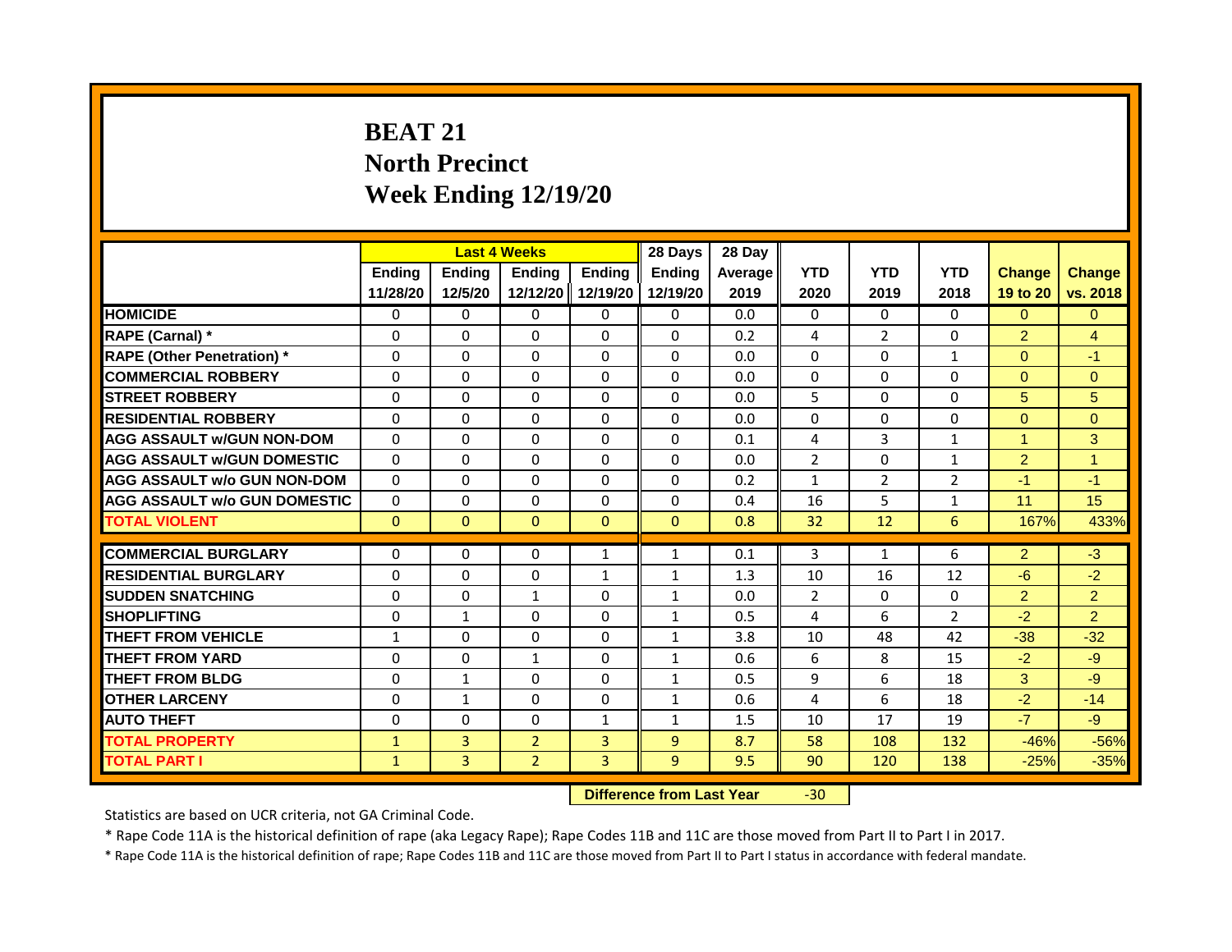# **BEAT 21 North Precinct Week Ending 12/19/20**

|                                     |                    |                   | <b>Last 4 Weeks</b> |                           | 28 Days                          | 28 Day          |                    |                    |                    |                           |                           |
|-------------------------------------|--------------------|-------------------|---------------------|---------------------------|----------------------------------|-----------------|--------------------|--------------------|--------------------|---------------------------|---------------------------|
|                                     | Ending<br>11/28/20 | Ending<br>12/5/20 | Ending<br>12/12/20  | <b>Endina</b><br>12/19/20 | <b>Endina</b><br>12/19/20        | Average<br>2019 | <b>YTD</b><br>2020 | <b>YTD</b><br>2019 | <b>YTD</b><br>2018 | <b>Change</b><br>19 to 20 | <b>Change</b><br>vs. 2018 |
| <b>HOMICIDE</b>                     | 0                  | 0                 | $\mathbf{0}$        | 0                         | 0                                | 0.0             | $\mathbf{0}$       | $\Omega$           | $\Omega$           | $\Omega$                  | $\Omega$                  |
| RAPE (Carnal) *                     | $\Omega$           | $\Omega$          | 0                   | $\Omega$                  | $\Omega$                         | 0.2             | 4                  | $\overline{2}$     | $\Omega$           | $\overline{2}$            | $\overline{4}$            |
| <b>RAPE (Other Penetration)</b> *   | $\Omega$           | $\Omega$          | $\Omega$            | $\Omega$                  | $\Omega$                         | 0.0             | $\Omega$           | $\mathbf{0}$       | $\mathbf{1}$       | $\Omega$                  | $-1$                      |
| <b>COMMERCIAL ROBBERY</b>           |                    |                   |                     |                           |                                  |                 |                    |                    |                    |                           |                           |
|                                     | $\Omega$           | $\Omega$          | $\Omega$            | $\Omega$                  | $\Omega$                         | 0.0             | $\Omega$           | $\mathbf{0}$       | $\Omega$           | $\Omega$                  | $\Omega$                  |
| <b>STREET ROBBERY</b>               | $\Omega$           | $\Omega$          | 0                   | $\Omega$                  | $\Omega$                         | 0.0             | 5                  | $\Omega$           | $\Omega$           | 5                         | 5                         |
| <b>RESIDENTIAL ROBBERY</b>          | $\Omega$           | $\Omega$          | $\Omega$            | $\Omega$                  | $\Omega$                         | 0.0             | $\Omega$           | $\Omega$           | $\Omega$           | $\Omega$                  | $\Omega$                  |
| <b>AGG ASSAULT w/GUN NON-DOM</b>    | $\Omega$           | $\Omega$          | $\Omega$            | $\Omega$                  | $\Omega$                         | 0.1             | $\overline{4}$     | 3                  | $\mathbf{1}$       | $\blacktriangleleft$      | 3                         |
| <b>AGG ASSAULT W/GUN DOMESTIC</b>   | $\Omega$           | $\Omega$          | $\Omega$            | $\Omega$                  | $\Omega$                         | 0.0             | $\overline{2}$     | $\Omega$           | $\mathbf{1}$       | $\overline{2}$            | $\blacktriangleleft$      |
| <b>AGG ASSAULT w/o GUN NON-DOM</b>  | $\Omega$           | $\Omega$          | 0                   | $\Omega$                  | $\Omega$                         | 0.2             | $\mathbf{1}$       | $\overline{2}$     | $\overline{2}$     | $-1$                      | $-1$                      |
| <b>AGG ASSAULT w/o GUN DOMESTIC</b> | $\Omega$           | $\Omega$          | 0                   | $\Omega$                  | $\Omega$                         | 0.4             | 16                 | 5                  | $\mathbf{1}$       | 11                        | 15                        |
| <b>TOTAL VIOLENT</b>                | $\mathbf{0}$       | $\Omega$          | $\mathbf{0}$        | $\Omega$                  | $\Omega$                         | 0.8             | 32                 | 12                 | 6                  | 167%                      | 433%                      |
|                                     |                    |                   |                     |                           |                                  |                 |                    |                    |                    |                           |                           |
| <b>COMMERCIAL BURGLARY</b>          | $\Omega$           | $\Omega$          | $\Omega$            | $\mathbf{1}$              | 1                                | 0.1             | 3                  | $\mathbf{1}$       | 6                  | 2                         | $-3$                      |
| <b>RESIDENTIAL BURGLARY</b>         | $\Omega$           | $\Omega$          | $\Omega$            | $\mathbf{1}$              | $\mathbf{1}$                     | 1.3             | 10                 | 16                 | 12                 | $-6$                      | $-2$                      |
| <b>SUDDEN SNATCHING</b>             | $\Omega$           | $\Omega$          | $\mathbf{1}$        | $\Omega$                  | $\mathbf{1}$                     | 0.0             | $\overline{2}$     | $\Omega$           | $\Omega$           | $\overline{2}$            | $\overline{2}$            |
| <b>SHOPLIFTING</b>                  | $\Omega$           | $\mathbf{1}$      | $\Omega$            | $\Omega$                  | 1                                | 0.5             | 4                  | 6                  | $\overline{2}$     | $-2$                      | $\overline{2}$            |
| <b>THEFT FROM VEHICLE</b>           | $\mathbf{1}$       | $\Omega$          | 0                   | $\Omega$                  | $\mathbf{1}$                     | 3.8             | 10                 | 48                 | 42                 | $-38$                     | $-32$                     |
| <b>THEFT FROM YARD</b>              | $\Omega$           | $\Omega$          | $\mathbf{1}$        | $\Omega$                  | $\mathbf{1}$                     | 0.6             | 6                  | 8                  | 15                 | $-2$                      | $-9$                      |
| <b>THEFT FROM BLDG</b>              | $\Omega$           | $\mathbf{1}$      | $\Omega$            | $\Omega$                  | $\mathbf{1}$                     | 0.5             | 9                  | 6                  | 18                 | 3                         | $-9$                      |
| <b>OTHER LARCENY</b>                | $\Omega$           | $\mathbf{1}$      | 0                   | $\Omega$                  | $\mathbf{1}$                     | 0.6             | 4                  | 6                  | 18                 | $-2$                      | $-14$                     |
| <b>AUTO THEFT</b>                   | 0                  | $\Omega$          | $\Omega$            | $\mathbf{1}$              | 1                                | 1.5             | 10                 | 17                 | 19                 | $-7$                      | $-9$                      |
| <b>TOTAL PROPERTY</b>               | $\mathbf{1}$       | 3                 | $\overline{2}$      | $\overline{3}$            | $\overline{9}$                   | 8.7             | 58                 | 108                | 132                | $-46%$                    | $-56%$                    |
| <b>TOTAL PART I</b>                 | $\mathbf{1}$       | 3                 | $\overline{2}$      | 3                         | 9                                | 9.5             | 90                 | 120                | 138                | $-25%$                    | $-35%$                    |
|                                     |                    |                   |                     |                           | <b>Difference from Last Year</b> |                 | $-30$              |                    |                    |                           |                           |

Statistics are based on UCR criteria, not GA Criminal Code.

\* Rape Code 11A is the historical definition of rape (aka Legacy Rape); Rape Codes 11B and 11C are those moved from Part II to Part I in 2017.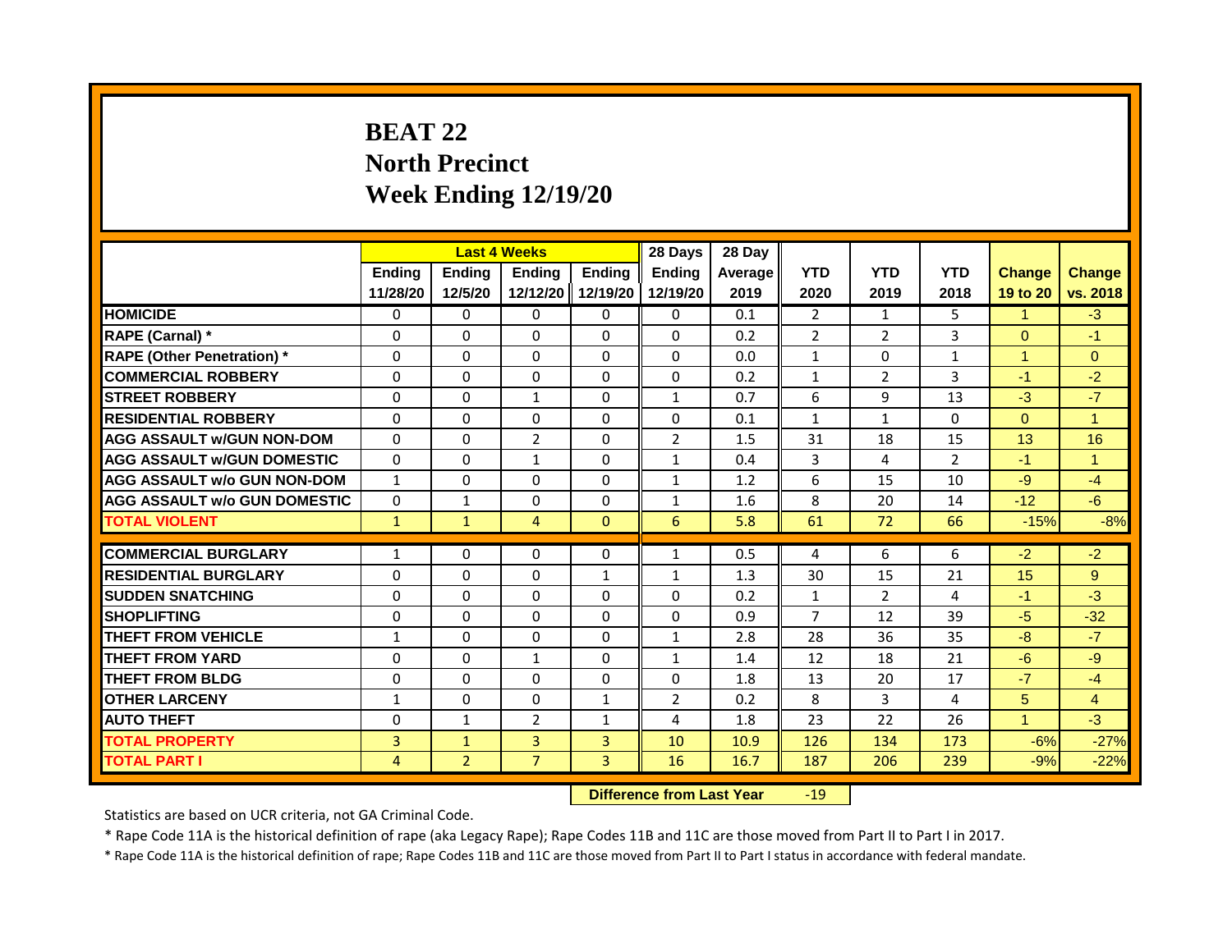# **BEAT 22 North Precinct Week Ending 12/19/20**

|                                     |                |                | <b>Last 4 Weeks</b> |                | 28 Days                          | 28 Day  |                |                |                |                      |                      |
|-------------------------------------|----------------|----------------|---------------------|----------------|----------------------------------|---------|----------------|----------------|----------------|----------------------|----------------------|
|                                     | <b>Ending</b>  | <b>Ending</b>  | Ending              | <b>Ending</b>  | <b>Ending</b>                    | Average | <b>YTD</b>     | <b>YTD</b>     | <b>YTD</b>     | <b>Change</b>        | <b>Change</b>        |
|                                     | 11/28/20       | 12/5/20        | 12/12/20            | 12/19/20       | 12/19/20                         | 2019    | 2020           | 2019           | 2018           | 19 to 20             | vs. 2018             |
| <b>HOMICIDE</b>                     | 0              | 0              | 0                   | 0              | 0                                | 0.1     | $\overline{2}$ | $\mathbf{1}$   | 5.             | 1                    | $-3$                 |
| RAPE (Carnal) *                     | 0              | $\Omega$       | $\Omega$            | $\Omega$       | $\Omega$                         | 0.2     | 2              | $\overline{2}$ | 3              | $\Omega$             | $-1$                 |
| <b>RAPE (Other Penetration)</b> *   | $\Omega$       | $\Omega$       | $\Omega$            | $\Omega$       | $\Omega$                         | 0.0     | $\mathbf{1}$   | $\Omega$       | $\mathbf{1}$   | $\blacktriangleleft$ | $\Omega$             |
| <b>COMMERCIAL ROBBERY</b>           | 0              | 0              | 0                   | 0              | 0                                | 0.2     | $\mathbf{1}$   | $\overline{2}$ | 3              | $-1$                 | $-2$                 |
| <b>STREET ROBBERY</b>               | 0              | $\Omega$       | $\mathbf{1}$        | $\Omega$       | $\mathbf{1}$                     | 0.7     | 6              | 9              | 13             | $-3$                 | $-7$                 |
| <b>RESIDENTIAL ROBBERY</b>          | 0              | 0              | $\Omega$            | 0              | 0                                | 0.1     | $\mathbf{1}$   | $\mathbf{1}$   | $\Omega$       | $\Omega$             | $\blacktriangleleft$ |
| <b>AGG ASSAULT w/GUN NON-DOM</b>    | $\Omega$       | $\Omega$       | $\overline{2}$      | $\Omega$       | $\overline{2}$                   | 1.5     | 31             | 18             | 15             | 13                   | 16                   |
| <b>AGG ASSAULT W/GUN DOMESTIC</b>   | $\Omega$       | $\Omega$       | $\mathbf{1}$        | $\Omega$       | $\mathbf{1}$                     | 0.4     | 3              | 4              | $\overline{2}$ | $-1$                 | $\mathbf{1}$         |
| <b>AGG ASSAULT w/o GUN NON-DOM</b>  | $\mathbf{1}$   | 0              | $\Omega$            | $\Omega$       | 1                                | 1.2     | 6              | 15             | 10             | $-9$                 | $-4$                 |
| <b>AGG ASSAULT w/o GUN DOMESTIC</b> | $\Omega$       | $\mathbf{1}$   | 0                   | $\Omega$       | $\mathbf{1}$                     | 1.6     | 8              | 20             | 14             | $-12$                | $-6$                 |
| <b>TOTAL VIOLENT</b>                | $\mathbf{1}$   | $\mathbf{1}$   | $\overline{4}$      | $\overline{0}$ | 6                                | 5.8     | 61             | 72             | 66             | $-15%$               | $-8%$                |
|                                     |                |                |                     |                |                                  |         |                |                |                |                      |                      |
| <b>COMMERCIAL BURGLARY</b>          | 1              | 0              | $\Omega$            | 0              | 1                                | 0.5     | 4              | 6              | 6              | $-2$                 | $-2$                 |
| <b>RESIDENTIAL BURGLARY</b>         | $\Omega$       | $\Omega$       | $\mathbf{0}$        | $\mathbf{1}$   | $\mathbf{1}$                     | 1.3     | 30             | 15             | 21             | 15                   | 9                    |
| <b>SUDDEN SNATCHING</b>             | $\Omega$       | $\Omega$       | $\Omega$            | $\Omega$       | $\Omega$                         | 0.2     | $\mathbf{1}$   | $\overline{2}$ | 4              | $-1$                 | $-3$                 |
| <b>SHOPLIFTING</b>                  | $\Omega$       | $\Omega$       | $\Omega$            | $\Omega$       | $\Omega$                         | 0.9     | $\overline{7}$ | 12             | 39             | $-5$                 | $-32$                |
| <b>THEFT FROM VEHICLE</b>           | $\mathbf{1}$   | $\Omega$       | $\Omega$            | $\Omega$       | $\mathbf{1}$                     | 2.8     | 28             | 36             | 35             | $-8$                 | $-7$                 |
| <b>THEFT FROM YARD</b>              | $\Omega$       | $\Omega$       | $\mathbf{1}$        | $\Omega$       | $\mathbf{1}$                     | 1.4     | 12             | 18             | 21             | $-6$                 | $-9$                 |
| <b>THEFT FROM BLDG</b>              | 0              | $\Omega$       | $\Omega$            | $\Omega$       | $\Omega$                         | 1.8     | 13             | 20             | 17             | $-7$                 | $-4$                 |
| <b>OTHER LARCENY</b>                | $\mathbf{1}$   | $\Omega$       | $\Omega$            | $\mathbf{1}$   | $\overline{2}$                   | 0.2     | 8              | 3              | 4              | $5\overline{)}$      | $\overline{4}$       |
| <b>AUTO THEFT</b>                   | 0              | $\mathbf{1}$   | $\overline{2}$      | $\mathbf{1}$   | 4                                | 1.8     | 23             | 22             | 26             | $\blacktriangleleft$ | $-3$                 |
| <b>TOTAL PROPERTY</b>               | 3              | $\mathbf{1}$   | $\overline{3}$      | $\overline{3}$ | 10                               | 10.9    | 126            | 134            | 173            | $-6%$                | $-27%$               |
| <b>TOTAL PART I</b>                 | $\overline{4}$ | $\overline{2}$ | $\overline{7}$      | $\overline{3}$ | 16                               | 16.7    | 187            | 206            | 239            | $-9%$                | $-22%$               |
|                                     |                |                |                     |                | <b>Difference from Last Year</b> |         | $-19$          |                |                |                      |                      |

Statistics are based on UCR criteria, not GA Criminal Code.

\* Rape Code 11A is the historical definition of rape (aka Legacy Rape); Rape Codes 11B and 11C are those moved from Part II to Part I in 2017.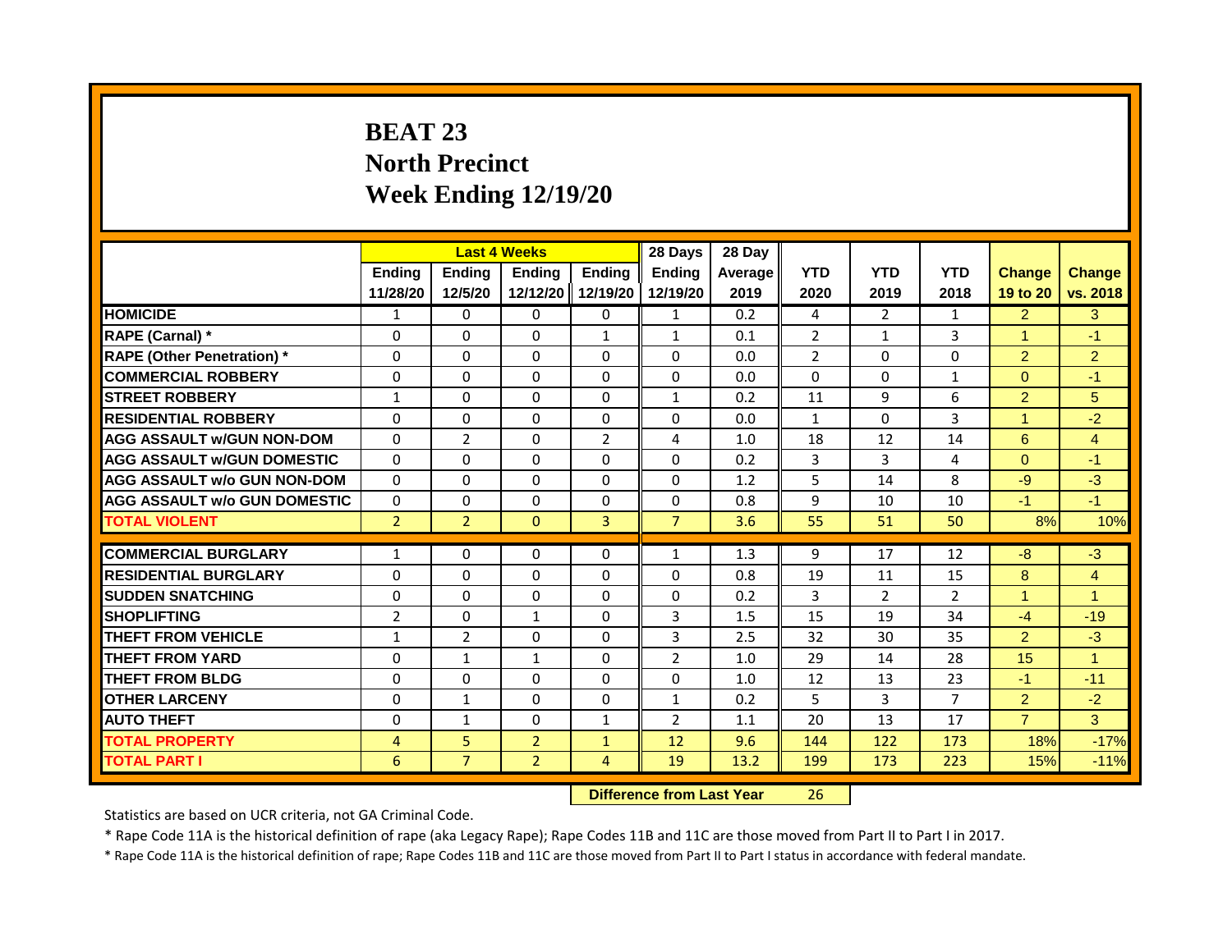# **BEAT 23 North Precinct Week Ending 12/19/20**

|                                     |                |                                  | <b>Last 4 Weeks</b> |                | 28 Days        | 28 Day  |                |                |                |                      |                      |
|-------------------------------------|----------------|----------------------------------|---------------------|----------------|----------------|---------|----------------|----------------|----------------|----------------------|----------------------|
|                                     | Ending         | <b>Ending</b>                    | <b>Ending</b>       | <b>Ending</b>  | <b>Endina</b>  | Average | <b>YTD</b>     | <b>YTD</b>     | <b>YTD</b>     | <b>Change</b>        | <b>Change</b>        |
|                                     | 11/28/20       | 12/5/20                          | 12/12/20            | 12/19/20       | 12/19/20       | 2019    | 2020           | 2019           | 2018           | 19 to 20             | vs. 2018             |
| <b>HOMICIDE</b>                     | 1              | 0                                | $\mathbf{0}$        | 0              | $\mathbf{1}$   | 0.2     | 4              | $\overline{2}$ | $\mathbf{1}$   | $\overline{2}$       | 3 <sup>1</sup>       |
| RAPE (Carnal) *                     | $\Omega$       | $\Omega$                         | $\Omega$            | $\mathbf{1}$   | $\mathbf{1}$   | 0.1     | $\overline{2}$ | $\mathbf{1}$   | 3              | $\blacktriangleleft$ | $-1$                 |
| <b>RAPE (Other Penetration)</b> *   | $\Omega$       | $\Omega$                         | $\Omega$            | $\Omega$       | $\Omega$       | 0.0     | $\overline{2}$ | $\Omega$       | $\Omega$       | $\overline{2}$       | $\overline{2}$       |
| <b>COMMERCIAL ROBBERY</b>           | $\Omega$       | $\Omega$                         | $\Omega$            | $\Omega$       | $\Omega$       | 0.0     | $\Omega$       | $\Omega$       | 1              | $\Omega$             | $-1$                 |
| <b>STREET ROBBERY</b>               | 1              | $\Omega$                         | $\Omega$            | $\Omega$       | $\mathbf{1}$   | 0.2     | 11             | 9              | 6              | $\overline{2}$       | 5                    |
| <b>RESIDENTIAL ROBBERY</b>          | $\Omega$       | $\Omega$                         | $\Omega$            | $\Omega$       | $\Omega$       | 0.0     | $\mathbf{1}$   | $\Omega$       | $\overline{3}$ | -1                   | $-2$                 |
| <b>AGG ASSAULT w/GUN NON-DOM</b>    | $\Omega$       | $\overline{2}$                   | $\mathbf{0}$        | $\overline{2}$ | 4              | 1.0     | 18             | 12             | 14             | 6                    | $\overline{4}$       |
| <b>AGG ASSAULT W/GUN DOMESTIC</b>   | $\Omega$       | $\Omega$                         | $\Omega$            | $\Omega$       | $\Omega$       | 0.2     | 3              | $\overline{3}$ | 4              | $\Omega$             | $-1$                 |
| <b>AGG ASSAULT w/o GUN NON-DOM</b>  | $\Omega$       | $\Omega$                         | $\Omega$            | $\Omega$       | $\Omega$       | 1.2     | 5              | 14             | 8              | $-9$                 | $-3$                 |
| <b>AGG ASSAULT w/o GUN DOMESTIC</b> | $\Omega$       | $\Omega$                         | $\Omega$            | $\Omega$       | $\Omega$       | 0.8     | 9              | 10             | 10             | $-1$                 | $-1$                 |
| <b>TOTAL VIOLENT</b>                | $\overline{2}$ | $\overline{2}$                   | $\mathbf{0}$        | $\overline{3}$ | $\overline{7}$ | 3.6     | 55             | 51             | 50             | 8%                   | 10%                  |
|                                     |                |                                  |                     |                |                |         |                |                |                |                      |                      |
| <b>COMMERCIAL BURGLARY</b>          | $\mathbf{1}$   | $\Omega$                         | $\Omega$            | $\Omega$       | 1              | 1.3     | 9              | 17             | 12             | $-8$                 | $-3$                 |
| <b>RESIDENTIAL BURGLARY</b>         | 0              | $\Omega$                         | $\mathbf{0}$        | $\Omega$       | $\Omega$       | 0.8     | 19             | 11             | 15             | 8                    | $\overline{4}$       |
| <b>SUDDEN SNATCHING</b>             | $\Omega$       | $\Omega$                         | $\Omega$            | $\Omega$       | $\Omega$       | 0.2     | $\overline{3}$ | $\overline{2}$ | $\overline{2}$ | $\blacktriangleleft$ | $\blacktriangleleft$ |
| <b>SHOPLIFTING</b>                  | $\overline{2}$ | $\Omega$                         | $\mathbf{1}$        | $\Omega$       | 3              | 1.5     | 15             | 19             | 34             | $-4$                 | $-19$                |
| <b>THEFT FROM VEHICLE</b>           | $\mathbf{1}$   | $\overline{2}$                   | $\Omega$            | $\Omega$       | 3              | 2.5     | 32             | 30             | 35             | $\overline{2}$       | $-3$                 |
| <b>THEFT FROM YARD</b>              | $\Omega$       | $\mathbf{1}$                     | $\mathbf{1}$        | $\Omega$       | $\overline{2}$ | 1.0     | 29             | 14             | 28             | 15                   | $\blacktriangleleft$ |
| <b>THEFT FROM BLDG</b>              | $\Omega$       | $\Omega$                         | $\Omega$            | $\Omega$       | $\Omega$       | 1.0     | 12             | 13             | 23             | $-1$                 | $-11$                |
| <b>OTHER LARCENY</b>                | $\Omega$       | $\mathbf{1}$                     | $\Omega$            | $\Omega$       | $\mathbf{1}$   | 0.2     | 5              | 3              | 7              | 2 <sup>1</sup>       | $-2$                 |
| <b>AUTO THEFT</b>                   | 0              | $\mathbf{1}$                     | $\Omega$            | $\mathbf{1}$   | $\overline{2}$ | 1.1     | 20             | 13             | 17             | $\overline{7}$       | $\overline{3}$       |
| <b>TOTAL PROPERTY</b>               | $\overline{4}$ | 5                                | $\overline{2}$      | $\mathbf{1}$   | 12             | 9.6     | 144            | 122            | 173            | 18%                  | $-17%$               |
| <b>TOTAL PART I</b>                 | 6              | $\overline{7}$                   | $\overline{2}$      | $\overline{4}$ | 19             | 13.2    | 199            | 173            | 223            | 15%                  | $-11%$               |
|                                     |                | <b>Difference from Last Year</b> |                     | 26             |                |         |                |                |                |                      |                      |

Statistics are based on UCR criteria, not GA Criminal Code.

\* Rape Code 11A is the historical definition of rape (aka Legacy Rape); Rape Codes 11B and 11C are those moved from Part II to Part I in 2017.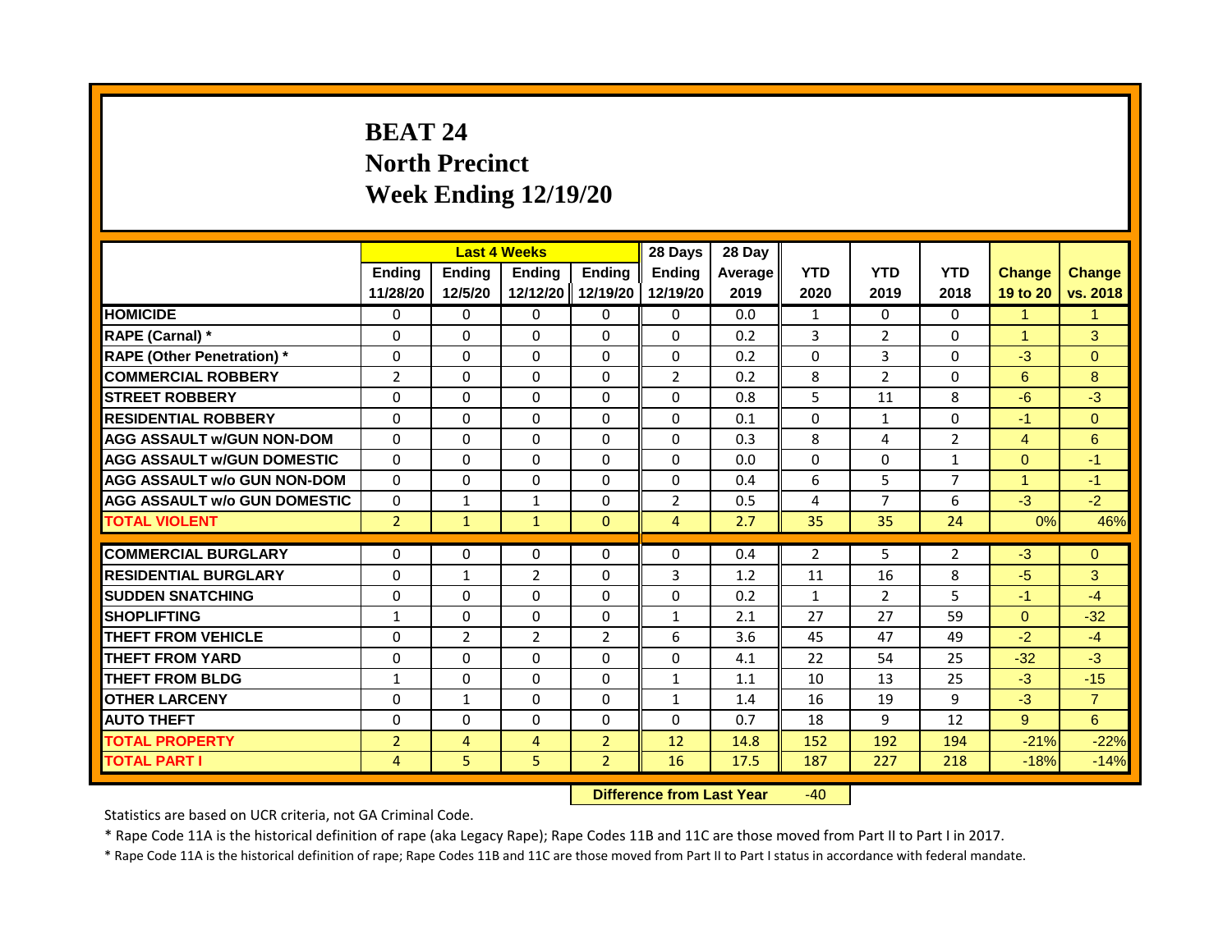# **BEAT 24 North Precinct Week Ending 12/19/20**

|                                     |                |                                  | <b>Last 4 Weeks</b> |                | 28 Days        | 28 Day  |                |                |                |                      |                |
|-------------------------------------|----------------|----------------------------------|---------------------|----------------|----------------|---------|----------------|----------------|----------------|----------------------|----------------|
|                                     | <b>Ending</b>  | <b>Ending</b>                    | Ending              | <b>Ending</b>  | <b>Ending</b>  | Average | <b>YTD</b>     | <b>YTD</b>     | <b>YTD</b>     | <b>Change</b>        | <b>Change</b>  |
|                                     | 11/28/20       | 12/5/20                          | 12/12/20            | 12/19/20       | 12/19/20       | 2019    | 2020           | 2019           | 2018           | 19 to 20             | vs. 2018       |
| <b>HOMICIDE</b>                     | 0              | 0                                | 0                   | 0              | 0              | 0.0     | 1              | 0              | 0              | 1                    | 1              |
| RAPE (Carnal) *                     | 0              | $\Omega$                         | $\Omega$            | $\Omega$       | $\Omega$       | 0.2     | 3              | $\overline{2}$ | $\Omega$       | $\blacktriangleleft$ | 3              |
| <b>RAPE (Other Penetration)</b> *   | $\Omega$       | $\Omega$                         | $\Omega$            | $\Omega$       | $\Omega$       | 0.2     | $\Omega$       | $\overline{3}$ | $\Omega$       | $-3$                 | $\Omega$       |
| <b>COMMERCIAL ROBBERY</b>           | 2              | 0                                | 0                   | 0              | $\overline{2}$ | 0.2     | 8              | $\overline{2}$ | 0              | 6                    | 8              |
| <b>STREET ROBBERY</b>               | 0              | $\Omega$                         | $\Omega$            | $\Omega$       | $\Omega$       | 0.8     | 5              | 11             | 8              | $-6$                 | $-3$           |
| <b>RESIDENTIAL ROBBERY</b>          | 0              | 0                                | $\Omega$            | $\Omega$       | 0              | 0.1     | $\Omega$       | $\mathbf{1}$   | $\Omega$       | $-1$                 | $\overline{0}$ |
| <b>AGG ASSAULT w/GUN NON-DOM</b>    | $\mathbf{0}$   | $\Omega$                         | $\Omega$            | $\Omega$       | $\Omega$       | 0.3     | 8              | 4              | $\overline{2}$ | $\overline{4}$       | 6              |
| <b>AGG ASSAULT W/GUN DOMESTIC</b>   | $\Omega$       | $\Omega$                         | $\Omega$            | $\Omega$       | $\Omega$       | 0.0     | $\Omega$       | $\Omega$       | $\mathbf{1}$   | $\Omega$             | $-1$           |
| <b>AGG ASSAULT w/o GUN NON-DOM</b>  | $\Omega$       | 0                                | $\Omega$            | $\Omega$       | 0              | 0.4     | 6              | 5              | 7              | 4                    | $-1$           |
| <b>AGG ASSAULT w/o GUN DOMESTIC</b> | $\Omega$       | $\mathbf{1}$                     | $\mathbf{1}$        | $\Omega$       | $\overline{2}$ | 0.5     | 4              | $\overline{7}$ | 6              | $-3$                 | $-2$           |
| <b>TOTAL VIOLENT</b>                | $\overline{2}$ | $\mathbf{1}$                     | $\mathbf{1}$        | $\overline{0}$ | $\overline{4}$ | 2.7     | 35             | 35             | 24             | 0%                   | 46%            |
|                                     |                |                                  |                     |                |                |         |                |                |                |                      |                |
| <b>COMMERCIAL BURGLARY</b>          | 0              | 0                                | 0                   | 0              | 0              | 0.4     | $\overline{2}$ | 5              | $\overline{2}$ | $-3$                 | $\overline{0}$ |
| <b>RESIDENTIAL BURGLARY</b>         | $\mathbf{0}$   | $\mathbf{1}$                     | $\overline{2}$      | $\Omega$       | 3              | 1.2     | 11             | 16             | 8              | $-5$                 | 3              |
| <b>SUDDEN SNATCHING</b>             | $\Omega$       | $\Omega$                         | $\Omega$            | $\Omega$       | $\Omega$       | 0.2     | $\mathbf{1}$   | $\overline{2}$ | 5.             | $-1$                 | $-4$           |
| <b>SHOPLIFTING</b>                  | 1              | $\Omega$                         | $\Omega$            | $\Omega$       | $\mathbf{1}$   | 2.1     | 27             | 27             | 59             | $\Omega$             | $-32$          |
| <b>THEFT FROM VEHICLE</b>           | $\Omega$       | $\overline{2}$                   | $\overline{2}$      | 2              | 6              | 3.6     | 45             | 47             | 49             | $-2$                 | $-4$           |
| <b>THEFT FROM YARD</b>              | $\Omega$       | $\Omega$                         | $\Omega$            | $\Omega$       | $\Omega$       | 4.1     | 22             | 54             | 25             | $-32$                | $-3$           |
| <b>THEFT FROM BLDG</b>              | $\mathbf{1}$   | $\Omega$                         | 0                   | $\Omega$       | $\mathbf{1}$   | 1.1     | 10             | 13             | 25             | $-3$                 | $-15$          |
| <b>OTHER LARCENY</b>                | $\Omega$       | $\mathbf{1}$                     | $\Omega$            | $\Omega$       | $\mathbf{1}$   | 1.4     | 16             | 19             | 9              | $-3$                 | $\overline{7}$ |
| <b>AUTO THEFT</b>                   | $\mathbf 0$    | 0                                | 0                   | 0              | 0              | 0.7     | 18             | 9              | 12             | 9                    | $6^{\circ}$    |
| <b>TOTAL PROPERTY</b>               | $\overline{2}$ | $\overline{4}$                   | $\overline{4}$      | $\overline{2}$ | 12             | 14.8    | 152            | 192            | 194            | $-21%$               | $-22%$         |
| <b>TOTAL PART I</b>                 | $\overline{4}$ | 5                                | 5                   | $\overline{2}$ | 16             | 17.5    | 187            | 227            | 218            | $-18%$               | $-14%$         |
|                                     |                | <b>Difference from Last Year</b> |                     | $-40$          |                |         |                |                |                |                      |                |

Statistics are based on UCR criteria, not GA Criminal Code.

\* Rape Code 11A is the historical definition of rape (aka Legacy Rape); Rape Codes 11B and 11C are those moved from Part II to Part I in 2017.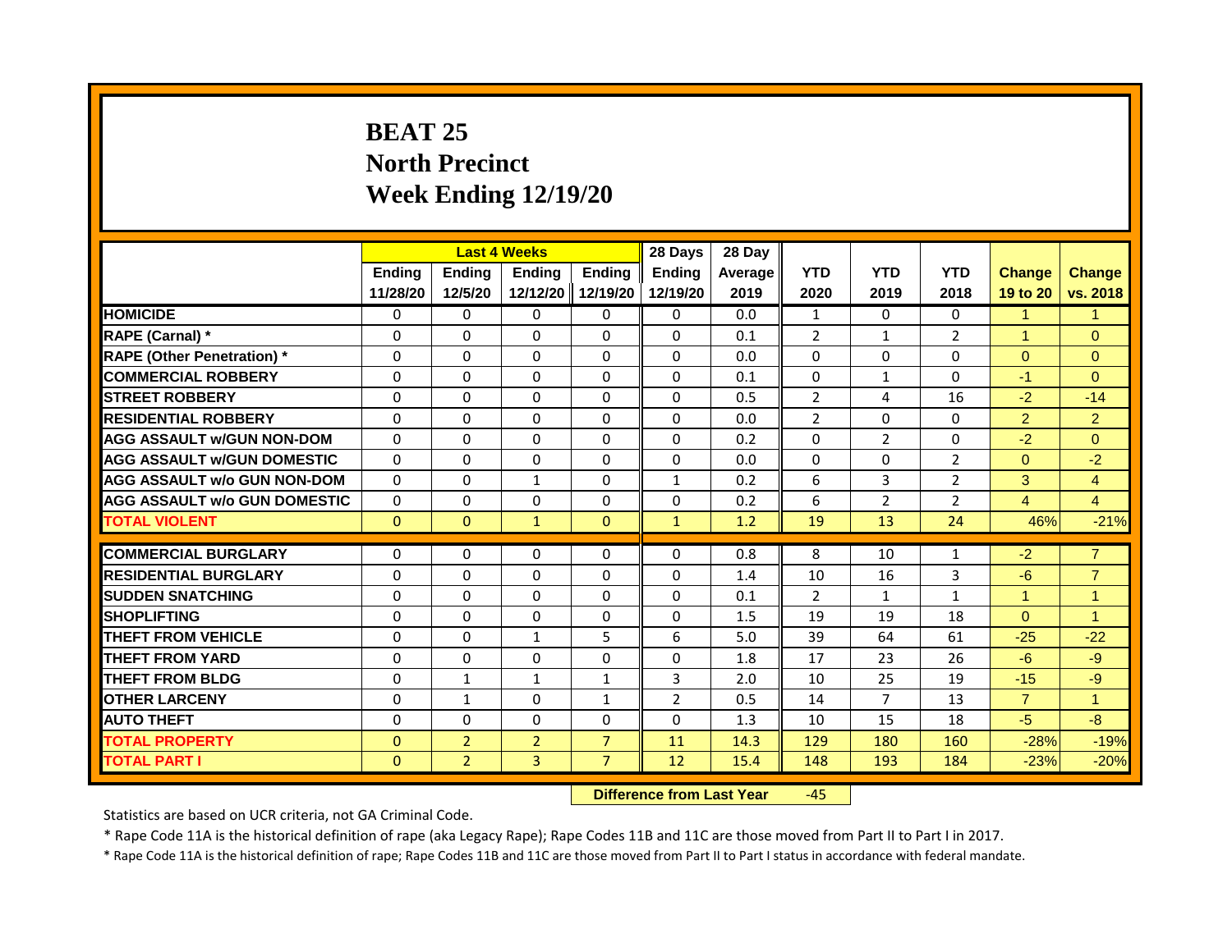# **BEAT 25 North Precinct Week Ending 12/19/20**

|                                     |                          |                                  | <b>Last 4 Weeks</b>              |                | 28 Days        | 28 Day  |                |                |                |                      |                      |
|-------------------------------------|--------------------------|----------------------------------|----------------------------------|----------------|----------------|---------|----------------|----------------|----------------|----------------------|----------------------|
|                                     | Ending                   | Ending                           | <b>Ending</b>                    | <b>Endina</b>  | <b>Endina</b>  | Average | <b>YTD</b>     | <b>YTD</b>     | <b>YTD</b>     | <b>Change</b>        | <b>Change</b>        |
|                                     | 11/28/20                 | 12/5/20                          | 12/12/20                         | 12/19/20       | 12/19/20       | 2019    | 2020           | 2019           | 2018           | 19 to 20             | vs. 2018             |
| <b>HOMICIDE</b>                     | 0                        | $\Omega$                         | $\mathbf{0}$                     | 0              | 0              | 0.0     | $\mathbf{1}$   | $\Omega$       | $\mathbf{0}$   | $\mathbf{1}$         | $\mathbf{1}$         |
| RAPE (Carnal) *                     | $\Omega$                 | $\Omega$                         | $\Omega$                         | $\Omega$       | $\Omega$       | 0.1     | 2              | $\mathbf{1}$   | $\overline{2}$ | $\blacktriangleleft$ | $\Omega$             |
| <b>RAPE (Other Penetration)</b> *   | 0                        | $\mathbf{0}$                     | $\Omega$                         | $\Omega$       | $\Omega$       | 0.0     | $\Omega$       | $\Omega$       | $\Omega$       | $\Omega$             | $\overline{0}$       |
| <b>COMMERCIAL ROBBERY</b>           | $\Omega$                 | $\Omega$                         | $\Omega$                         | $\Omega$       | $\Omega$       | 0.1     | $\Omega$       | 1              | $\Omega$       | $-1$                 | $\Omega$             |
| <b>STREET ROBBERY</b>               | 0                        | $\Omega$                         | $\Omega$                         | $\Omega$       | $\Omega$       | 0.5     | $\overline{2}$ | 4              | 16             | $-2$                 | $-14$                |
| <b>RESIDENTIAL ROBBERY</b>          | $\Omega$                 | $\Omega$                         | $\Omega$                         | $\Omega$       | $\Omega$       | 0.0     | $\overline{2}$ | $\Omega$       | $\Omega$       | $\overline{2}$       | $\overline{2}$       |
| <b>AGG ASSAULT w/GUN NON-DOM</b>    | $\Omega$                 | $\Omega$                         | $\Omega$                         | $\Omega$       | $\Omega$       | 0.2     | $\Omega$       | $\overline{2}$ | $\Omega$       | $-2$                 | $\Omega$             |
| <b>AGG ASSAULT W/GUN DOMESTIC</b>   | $\Omega$                 | $\Omega$                         | $\Omega$                         | $\Omega$       | $\Omega$       | 0.0     | $\Omega$       | $\Omega$       | $\overline{2}$ | $\Omega$             | $-2$                 |
| AGG ASSAULT w/o GUN NON-DOM         | $\Omega$                 | $\Omega$                         | $\mathbf{1}$                     | $\Omega$       | $\mathbf{1}$   | 0.2     | 6              | $\overline{3}$ | $\overline{2}$ | 3                    | $\overline{4}$       |
| <b>AGG ASSAULT W/o GUN DOMESTIC</b> | $\Omega$                 | $\Omega$                         | $\Omega$                         | $\Omega$       | $\Omega$       | 0.2     | 6              | $\overline{2}$ | $\overline{2}$ | $\overline{4}$       | $\overline{4}$       |
| <b>TOTAL VIOLENT</b>                | $\mathbf{0}$             | $\mathbf{0}$                     | $\mathbf{1}$                     | $\mathbf{0}$   | $\mathbf{1}$   | 1.2     | 19             | 13             | 24             | 46%                  | $-21%$               |
| <b>COMMERCIAL BURGLARY</b>          | 0                        | 0                                | $\Omega$                         | 0              | $\Omega$       | 0.8     | 8              | 10             | 1              | $-2$                 | $\overline{7}$       |
| <b>RESIDENTIAL BURGLARY</b>         | $\Omega$                 | $\Omega$                         | $\Omega$                         | $\Omega$       | $\Omega$       | 1.4     | 10             | 16             | 3              | $-6$                 | $\overline{7}$       |
| <b>SUDDEN SNATCHING</b>             | $\Omega$                 | $\Omega$                         | $\Omega$                         | $\Omega$       | $\Omega$       | 0.1     | $\overline{2}$ | $\mathbf{1}$   | $\mathbf{1}$   | $\blacktriangleleft$ | $\mathbf{1}$         |
| <b>SHOPLIFTING</b>                  | 0                        | 0                                | 0                                | 0              | 0              | 1.5     | 19             | 19             | 18             | $\mathbf{0}$         | $\blacktriangleleft$ |
| <b>THEFT FROM VEHICLE</b>           | $\Omega$                 | $\Omega$                         | $\mathbf{1}$                     | 5              | 6              | 5.0     | 39             | 64             | 61             | $-25$                | $-22$                |
| <b>THEFT FROM YARD</b>              | $\Omega$                 | $\mathbf{0}$                     | $\Omega$                         | $\Omega$       | $\Omega$       | 1.8     | 17             | 23             | 26             | $-6$                 | $-9$                 |
| <b>THEFT FROM BLDG</b>              | $\Omega$                 | $\mathbf{1}$                     |                                  | $\mathbf{1}$   | 3              |         | 10             |                |                |                      |                      |
|                                     |                          |                                  | 1                                |                |                | 2.0     |                | 25             | 19             | $-15$                | $-9$                 |
| <b>OTHER LARCENY</b>                | 0                        | $\mathbf{1}$                     | $\Omega$                         | $\mathbf{1}$   | $\overline{2}$ | 0.5     | 14             | 7              | 13             | $\overline{7}$       | $\mathbf{1}$         |
| <b>AUTO THEFT</b>                   | $\Omega$                 | $\Omega$                         | $\Omega$                         | $\Omega$       | $\Omega$       | 1.3     | 10             | 15             | 18             | $-5$                 | $-8-$                |
| <b>TOTAL PROPERTY</b>               | $\Omega$<br>$\mathbf{0}$ | $\overline{2}$<br>$\overline{2}$ | $\overline{2}$                   | $\overline{7}$ | 11             | 14.3    | 129            | 180            | 160            | $-28%$               | $-19%$               |
| <b>TOTAL PART I</b>                 | $\overline{3}$           | $\overline{7}$                   | 12                               | 15.4           | 148            | 193     | 184            | $-23%$         | $-20%$         |                      |                      |
|                                     |                          |                                  | <b>Difference from Last Year</b> |                | $-45$          |         |                |                |                |                      |                      |

Statistics are based on UCR criteria, not GA Criminal Code.

\* Rape Code 11A is the historical definition of rape (aka Legacy Rape); Rape Codes 11B and 11C are those moved from Part II to Part I in 2017.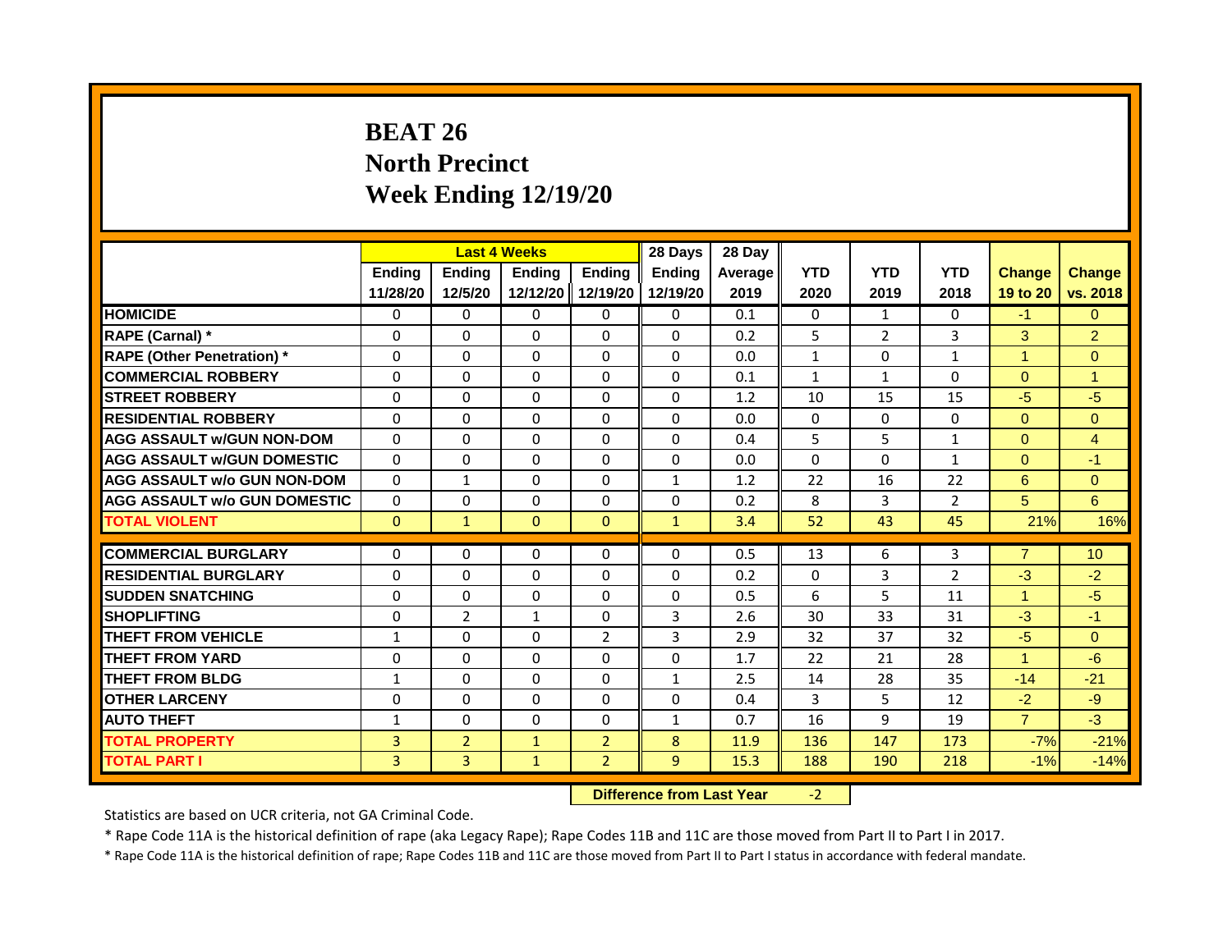# **BEAT 26 North Precinct Week Ending 12/19/20**

|                                     |                |                                  | <b>Last 4 Weeks</b> |                | 28 Days       | 28 Day  |              |                |                |                      |                 |
|-------------------------------------|----------------|----------------------------------|---------------------|----------------|---------------|---------|--------------|----------------|----------------|----------------------|-----------------|
|                                     | <b>Ending</b>  | <b>Ending</b>                    | <b>Ending</b>       | <b>Ending</b>  | <b>Endina</b> | Average | <b>YTD</b>   | <b>YTD</b>     | <b>YTD</b>     | <b>Change</b>        | <b>Change</b>   |
|                                     | 11/28/20       | 12/5/20                          | 12/12/20            | 12/19/20       | 12/19/20      | 2019    | 2020         | 2019           | 2018           | 19 to 20             | vs. 2018        |
| <b>HOMICIDE</b>                     | $\mathbf{0}$   | $\Omega$                         | $\mathbf{0}$        | 0              | 0             | 0.1     | 0            | $\mathbf{1}$   | $\Omega$       | $-1$                 | $\Omega$        |
| RAPE (Carnal) *                     | 0              | $\Omega$                         | $\Omega$            | $\Omega$       | $\Omega$      | 0.2     | 5            | $\overline{2}$ | 3              | 3                    | $\overline{2}$  |
| <b>RAPE (Other Penetration)</b> *   | $\Omega$       | $\Omega$                         | $\Omega$            | $\Omega$       | $\Omega$      | 0.0     | $\mathbf{1}$ | $\Omega$       | $\mathbf{1}$   | $\overline{1}$       | $\overline{0}$  |
| <b>COMMERCIAL ROBBERY</b>           | $\Omega$       | $\Omega$                         | $\Omega$            | $\Omega$       | $\Omega$      | 0.1     | $\mathbf{1}$ | $\mathbf{1}$   | $\Omega$       | $\Omega$             | $\mathbf{1}$    |
| <b>STREET ROBBERY</b>               | $\Omega$       | $\Omega$                         | $\Omega$            | $\Omega$       | $\Omega$      | 1.2     | 10           | 15             | 15             | $-5$                 | $-5$            |
| <b>RESIDENTIAL ROBBERY</b>          | $\Omega$       | $\Omega$                         | $\Omega$            | $\Omega$       | $\Omega$      | 0.0     | $\Omega$     | $\Omega$       | $\Omega$       | $\Omega$             | $\overline{0}$  |
| <b>AGG ASSAULT w/GUN NON-DOM</b>    | $\Omega$       | $\Omega$                         | $\Omega$            | $\Omega$       | $\Omega$      | 0.4     | 5            | 5              | $\mathbf{1}$   | $\Omega$             | $\overline{4}$  |
| <b>AGG ASSAULT W/GUN DOMESTIC</b>   | $\Omega$       | $\Omega$                         | $\Omega$            | $\Omega$       | $\Omega$      | 0.0     | $\Omega$     | $\Omega$       | $\mathbf{1}$   | $\Omega$             | $-1$            |
| <b>AGG ASSAULT w/o GUN NON-DOM</b>  | $\Omega$       | $\mathbf{1}$                     | $\Omega$            | $\Omega$       | 1             | 1.2     | 22           | 16             | 22             | 6                    | $\Omega$        |
| <b>AGG ASSAULT w/o GUN DOMESTIC</b> | $\mathbf{0}$   | $\Omega$                         | $\Omega$            | $\Omega$       | $\Omega$      | 0.2     | 8            | 3              | $\overline{2}$ | 5                    | 6               |
| <b>TOTAL VIOLENT</b>                | $\mathbf{0}$   | $\mathbf{1}$                     | $\mathbf{0}$        | $\mathbf{0}$   | $\mathbf{1}$  | 3.4     | 52           | 43             | 45             | 21%                  | 16%             |
|                                     |                |                                  |                     |                |               |         |              |                |                |                      |                 |
| <b>COMMERCIAL BURGLARY</b>          | $\mathbf{0}$   | $\Omega$                         | $\Omega$            | $\Omega$       | $\Omega$      | 0.5     | 13           | 6              | 3              | $\overline{7}$       | 10 <sup>°</sup> |
| <b>RESIDENTIAL BURGLARY</b>         | $\Omega$       | $\Omega$                         | $\mathbf{0}$        | $\Omega$       | $\Omega$      | 0.2     | $\Omega$     | $\overline{3}$ | $\overline{2}$ | $-3$                 | $-2$            |
| <b>SUDDEN SNATCHING</b>             | $\Omega$       | $\Omega$                         | $\Omega$            | $\Omega$       | $\Omega$      | 0.5     | 6            | 5              | 11             | $\blacktriangleleft$ | $-5$            |
| <b>SHOPLIFTING</b>                  | $\Omega$       | $\overline{2}$                   | $\mathbf{1}$        | $\Omega$       | 3             | 2.6     | 30           | 33             | 31             | $-3$                 | $-1$            |
| <b>THEFT FROM VEHICLE</b>           | $\mathbf{1}$   | $\Omega$                         | $\Omega$            | $\overline{2}$ | 3             | 2.9     | 32           | 37             | 32             | $-5$                 | $\Omega$        |
| <b>THEFT FROM YARD</b>              | $\Omega$       | $\Omega$                         | $\mathbf{0}$        | $\Omega$       | $\Omega$      | 1.7     | 22           | 21             | 28             | $\blacktriangleleft$ | $-6$            |
| <b>THEFT FROM BLDG</b>              | $\mathbf{1}$   | $\Omega$                         | $\Omega$            | $\Omega$       | $\mathbf{1}$  | 2.5     | 14           | 28             | 35             | $-14$                | $-21$           |
| <b>OTHER LARCENY</b>                | $\Omega$       | $\Omega$                         | $\Omega$            | $\Omega$       | $\Omega$      | 0.4     | 3            | 5              | 12             | $-2$                 | $-9$            |
| <b>AUTO THEFT</b>                   | $\mathbf{1}$   | $\Omega$                         | $\Omega$            | $\Omega$       | $\mathbf{1}$  | 0.7     | 16           | 9              | 19             | $\overline{7}$       | $-3$            |
| <b>TOTAL PROPERTY</b>               | $\overline{3}$ | $\overline{2}$                   | $\mathbf{1}$        | $\overline{2}$ | 8             | 11.9    | 136          | 147            | 173            | $-7%$                | $-21%$          |
| <b>TOTAL PART I</b>                 | 3              | 3                                | $\mathbf{1}$        | $\overline{2}$ | 9             | 15.3    | 188          | 190            | 218            | $-1%$                | $-14%$          |
|                                     |                | <b>Difference from Last Year</b> |                     | $-2$           |               |         |              |                |                |                      |                 |

Statistics are based on UCR criteria, not GA Criminal Code.

\* Rape Code 11A is the historical definition of rape (aka Legacy Rape); Rape Codes 11B and 11C are those moved from Part II to Part I in 2017.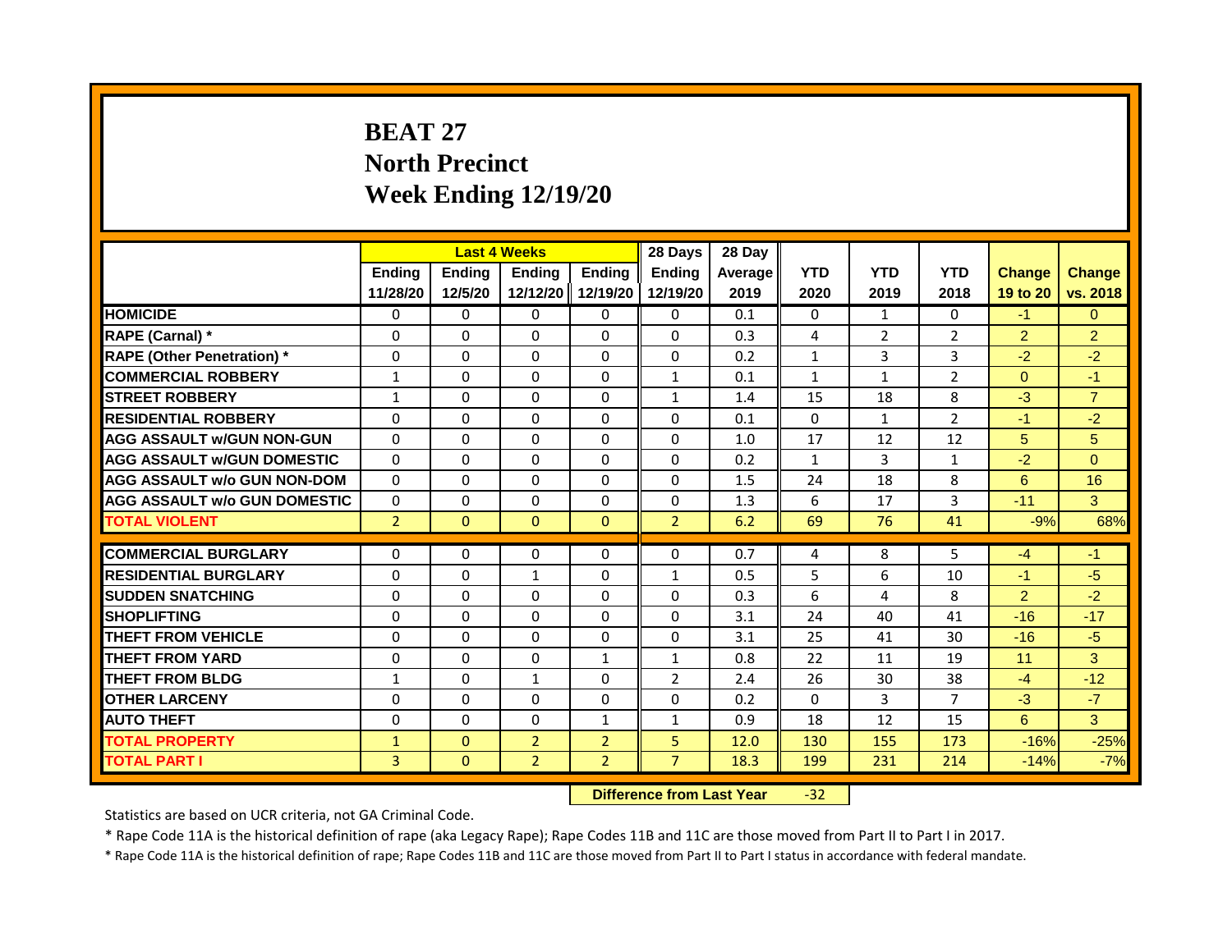# **BEAT 27 North Precinct Week Ending 12/19/20**

|                                     |                    |                   | <b>Last 4 Weeks</b>              |                           | 28 Days                   | 28 Day          |                    |                    |                    |                           |                           |
|-------------------------------------|--------------------|-------------------|----------------------------------|---------------------------|---------------------------|-----------------|--------------------|--------------------|--------------------|---------------------------|---------------------------|
|                                     | Ending<br>11/28/20 | Ending<br>12/5/20 | Ending<br>12/12/20               | <b>Endina</b><br>12/19/20 | <b>Endina</b><br>12/19/20 | Average<br>2019 | <b>YTD</b><br>2020 | <b>YTD</b><br>2019 | <b>YTD</b><br>2018 | <b>Change</b><br>19 to 20 | <b>Change</b><br>vs. 2018 |
| <b>HOMICIDE</b>                     | 0                  | 0                 | $\mathbf{0}$                     | $\mathbf{0}$              | 0                         | 0.1             | $\Omega$           | $\mathbf{1}$       | $\Omega$           | $-1$                      | $\Omega$                  |
| RAPE (Carnal) *                     | $\Omega$           | $\Omega$          | 0                                | $\Omega$                  | $\Omega$                  | 0.3             | 4                  | $\overline{2}$     | 2                  | $\overline{2}$            | $\overline{2}$            |
| <b>RAPE (Other Penetration)</b> *   | $\Omega$           | $\Omega$          | $\Omega$                         | $\Omega$                  | $\Omega$                  | 0.2             | $\mathbf{1}$       | 3                  | 3                  | $-2$                      | $-2$                      |
| <b>COMMERCIAL ROBBERY</b>           | $\mathbf{1}$       | $\Omega$          | $\Omega$                         | $\Omega$                  | $\mathbf{1}$              | 0.1             | $\mathbf{1}$       | $\mathbf{1}$       | $\overline{2}$     | $\Omega$                  | $-1$                      |
| <b>STREET ROBBERY</b>               | 1                  | $\Omega$          | 0                                | $\Omega$                  | $\mathbf{1}$              | 1.4             | 15                 | 18                 | 8                  | $-3$                      | $\overline{7}$            |
| <b>RESIDENTIAL ROBBERY</b>          | $\Omega$           | $\Omega$          | $\Omega$                         | $\Omega$                  | $\Omega$                  | 0.1             | $\Omega$           | $\mathbf{1}$       | $\overline{2}$     | $-1$                      | $-2$                      |
| <b>AGG ASSAULT w/GUN NON-GUN</b>    | $\Omega$           | $\Omega$          | $\Omega$                         | $\Omega$                  | $\Omega$                  | 1.0             | 17                 | 12                 | 12                 | 5                         | 5                         |
| <b>AGG ASSAULT W/GUN DOMESTIC</b>   | $\Omega$           | $\Omega$          | $\Omega$                         | $\Omega$                  | $\Omega$                  | 0.2             | $\mathbf{1}$       | $\overline{3}$     | $\mathbf{1}$       | $-2$                      | $\Omega$                  |
| <b>AGG ASSAULT w/o GUN NON-DOM</b>  | $\Omega$           | $\Omega$          | 0                                | $\Omega$                  | $\Omega$                  | 1.5             | 24                 | 18                 | 8                  | 6                         | 16                        |
| <b>AGG ASSAULT w/o GUN DOMESTIC</b> | $\Omega$           | $\Omega$          | 0                                | $\Omega$                  | $\Omega$                  | 1.3             | 6                  | 17                 | 3                  | $-11$                     | 3                         |
| <b>TOTAL VIOLENT</b>                | $\overline{2}$     | $\Omega$          | $\mathbf{0}$                     | $\Omega$                  | $\overline{2}$            | 6.2             | 69                 | 76                 | 41                 | $-9%$                     | 68%                       |
|                                     |                    |                   |                                  |                           |                           |                 |                    |                    |                    |                           |                           |
| <b>COMMERCIAL BURGLARY</b>          | $\Omega$           | $\Omega$          | $\Omega$                         | $\Omega$                  | $\Omega$                  | 0.7             | 4                  | 8                  | $\overline{5}$     | $-4$                      | $-1$                      |
| <b>RESIDENTIAL BURGLARY</b>         | $\Omega$           | $\Omega$          | $\mathbf{1}$                     | $\Omega$                  | $\mathbf{1}$              | 0.5             | 5                  | 6                  | 10                 | $-1$                      | $-5$                      |
| <b>SUDDEN SNATCHING</b>             | $\Omega$           | $\Omega$          | $\Omega$                         | $\Omega$                  | 0                         | 0.3             | 6                  | 4                  | 8                  | $\overline{2}$            | $-2$                      |
| <b>SHOPLIFTING</b>                  | $\Omega$           | $\Omega$          | $\Omega$                         | $\Omega$                  | $\Omega$                  | 3.1             | 24                 | 40                 | 41                 | $-16$                     | $-17$                     |
| <b>THEFT FROM VEHICLE</b>           | $\Omega$           | $\Omega$          | 0                                | $\Omega$                  | $\Omega$                  | 3.1             | 25                 | 41                 | 30                 | $-16$                     | $-5$                      |
| <b>THEFT FROM YARD</b>              | $\Omega$           | $\Omega$          | $\Omega$                         | $\mathbf{1}$              | $\mathbf{1}$              | 0.8             | 22                 | 11                 | 19                 | 11                        | $\mathbf{3}$              |
| <b>THEFT FROM BLDG</b>              | $\mathbf{1}$       | $\Omega$          | $\mathbf{1}$                     | $\Omega$                  | 2                         | 2.4             | 26                 | 30                 | 38                 | $-4$                      | $-12$                     |
| <b>OTHER LARCENY</b>                | $\Omega$           | $\Omega$          | 0                                | $\Omega$                  | 0                         | 0.2             | $\Omega$           | 3                  | 7                  | $-3$                      | $-7$                      |
| <b>AUTO THEFT</b>                   | 0                  | $\Omega$          | $\Omega$                         | $\mathbf{1}$              | 1                         | 0.9             | 18                 | 12                 | 15                 | 6                         | $\overline{3}$            |
| <b>TOTAL PROPERTY</b>               | $\mathbf{1}$       | $\Omega$          | $\overline{2}$                   | $\overline{2}$            | 5                         | 12.0            | 130                | 155                | 173                | $-16%$                    | $-25%$                    |
| <b>TOTAL PART I</b>                 | 3                  | $\mathbf{0}$      | $\overline{2}$                   | $\overline{2}$            | $\overline{7}$            | 18.3            | 199                | 231                | 214                | $-14%$                    | $-7%$                     |
|                                     |                    |                   | <b>Difference from Last Year</b> |                           | $-32$                     |                 |                    |                    |                    |                           |                           |

Statistics are based on UCR criteria, not GA Criminal Code.

\* Rape Code 11A is the historical definition of rape (aka Legacy Rape); Rape Codes 11B and 11C are those moved from Part II to Part I in 2017.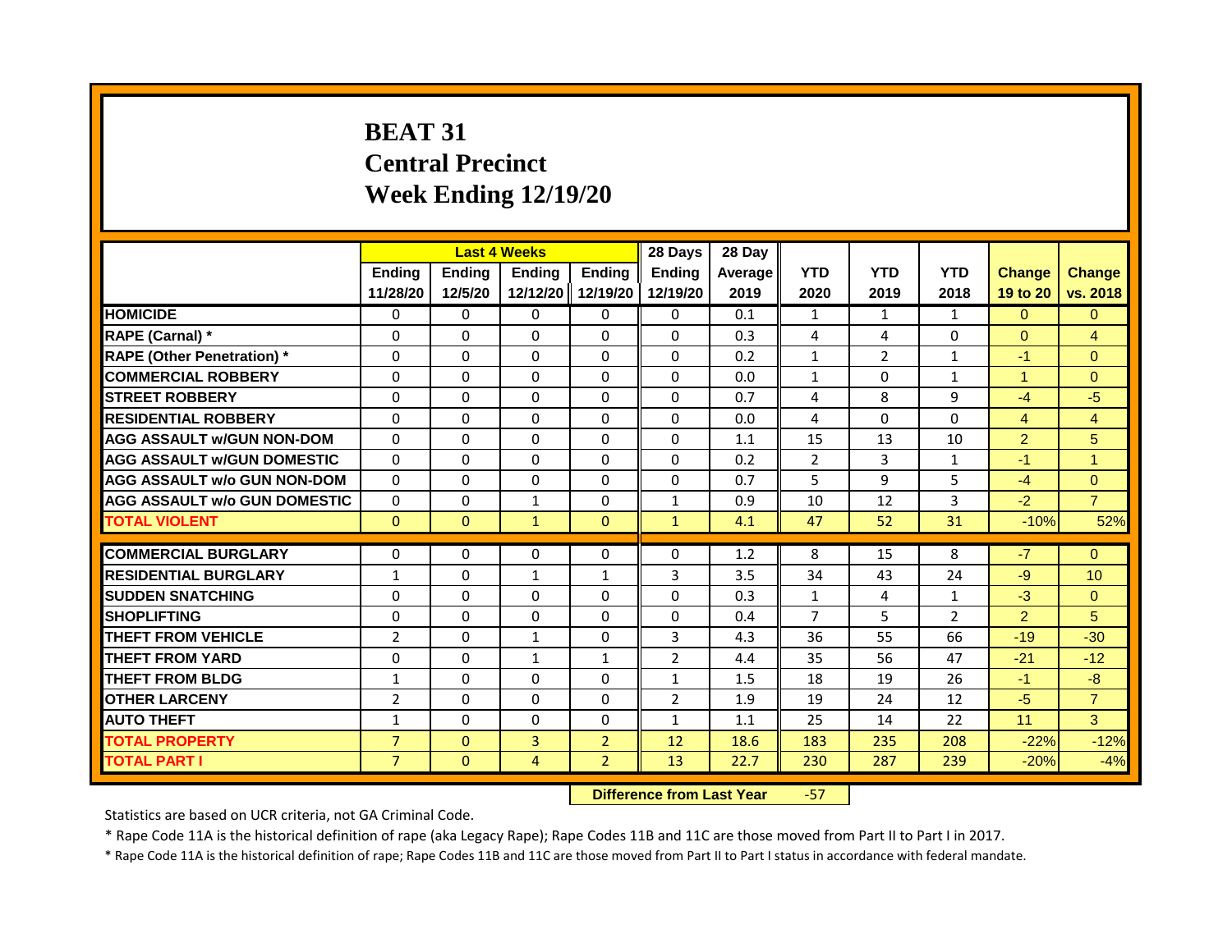# **BEAT 31 Central Precinct Week Ending 12/19/20**

|                                     |                    |                   | <b>Last 4 Weeks</b>              |                           | 28 Days                   | 28 Day          |                    |                    |                    |                           |                           |
|-------------------------------------|--------------------|-------------------|----------------------------------|---------------------------|---------------------------|-----------------|--------------------|--------------------|--------------------|---------------------------|---------------------------|
|                                     | Ending<br>11/28/20 | Ending<br>12/5/20 | Ending<br>12/12/20               | <b>Endina</b><br>12/19/20 | <b>Endina</b><br>12/19/20 | Average<br>2019 | <b>YTD</b><br>2020 | <b>YTD</b><br>2019 | <b>YTD</b><br>2018 | <b>Change</b><br>19 to 20 | <b>Change</b><br>vs. 2018 |
| <b>HOMICIDE</b>                     | 0                  | 0                 | $\mathbf{0}$                     | 0                         | 0                         | 0.1             | $\mathbf{1}$       | $\mathbf{1}$       | 1                  | $\Omega$                  | $\Omega$                  |
| RAPE (Carnal) *                     | $\Omega$           | $\Omega$          | 0                                | $\Omega$                  | $\Omega$                  | 0.3             | 4                  | 4                  | $\Omega$           | $\Omega$                  | $\overline{4}$            |
| <b>RAPE (Other Penetration)</b> *   | $\Omega$           | $\Omega$          | $\Omega$                         | $\Omega$                  | $\Omega$                  | 0.2             | $\mathbf{1}$       | $\overline{2}$     | $\mathbf{1}$       | $-1$                      | $\Omega$                  |
| <b>COMMERCIAL ROBBERY</b>           | $\Omega$           | $\Omega$          | $\Omega$                         | $\Omega$                  | $\Omega$                  | 0.0             | $\mathbf{1}$       | $\Omega$           | $\mathbf{1}$       | $\blacktriangleleft$      | $\Omega$                  |
| <b>STREET ROBBERY</b>               | $\Omega$           | $\Omega$          | 0                                | $\Omega$                  | $\Omega$                  | 0.7             | 4                  | 8                  | 9                  | $-4$                      | $-5$                      |
| <b>RESIDENTIAL ROBBERY</b>          | $\Omega$           | $\Omega$          | $\Omega$                         | $\Omega$                  | $\Omega$                  | 0.0             | 4                  | $\Omega$           | $\Omega$           | $\overline{4}$            | $\overline{4}$            |
| <b>AGG ASSAULT w/GUN NON-DOM</b>    | $\Omega$           | $\Omega$          | $\Omega$                         | $\Omega$                  | $\Omega$                  | 1.1             | 15                 | 13                 | 10                 | $\overline{2}$            | $\overline{5}$            |
| <b>AGG ASSAULT W/GUN DOMESTIC</b>   | $\Omega$           | $\Omega$          | $\Omega$                         | $\Omega$                  | $\Omega$                  | 0.2             | 2                  | 3                  | $\mathbf{1}$       | $-1$                      | $\blacktriangleleft$      |
| <b>AGG ASSAULT w/o GUN NON-DOM</b>  | $\Omega$           | $\Omega$          | 0                                | $\Omega$                  | $\Omega$                  | 0.7             | 5                  | 9                  | 5                  | $-4$                      | $\Omega$                  |
| <b>AGG ASSAULT w/o GUN DOMESTIC</b> | $\Omega$           | $\Omega$          | $\mathbf{1}$                     | $\Omega$                  | $\mathbf{1}$              | 0.9             | 10                 | 12                 | 3                  | $-2$                      | $\overline{7}$            |
| <b>TOTAL VIOLENT</b>                | $\Omega$           | $\Omega$          | $\mathbf{1}$                     | $\mathbf{0}$              | $\mathbf{1}$              | 4.1             | 47                 | 52                 | 31                 | $-10%$                    | 52%                       |
|                                     |                    |                   |                                  |                           |                           |                 |                    |                    |                    |                           |                           |
| <b>COMMERCIAL BURGLARY</b>          | $\Omega$           | $\Omega$          | $\Omega$                         | $\Omega$                  | $\Omega$                  | 1.2             | 8                  | 15                 | 8                  | $-7$                      | $\Omega$                  |
| <b>RESIDENTIAL BURGLARY</b>         | $\mathbf{1}$       | $\Omega$          | $\mathbf{1}$                     | $\mathbf{1}$              | 3                         | 3.5             | 34                 | 43                 | 24                 | $-9$                      | 10                        |
| <b>SUDDEN SNATCHING</b>             | $\Omega$           | $\Omega$          | $\Omega$                         | $\Omega$                  | 0                         | 0.3             | $\mathbf{1}$       | 4                  | $\mathbf{1}$       | $-3$                      | $\Omega$                  |
| <b>SHOPLIFTING</b>                  | $\Omega$           | $\Omega$          | $\Omega$                         | $\Omega$                  | 0                         | 0.4             | $\overline{7}$     | 5                  | $\overline{2}$     | $\overline{2}$            | 5                         |
| <b>THEFT FROM VEHICLE</b>           | $\overline{2}$     | $\Omega$          | $\mathbf{1}$                     | $\Omega$                  | 3                         | 4.3             | 36                 | 55                 | 66                 | $-19$                     | $-30$                     |
| <b>THEFT FROM YARD</b>              | $\Omega$           | $\Omega$          | $\mathbf{1}$                     | $\mathbf{1}$              | $\overline{2}$            | 4.4             | 35                 | 56                 | 47                 | $-21$                     | $-12$                     |
| <b>THEFT FROM BLDG</b>              | $\mathbf{1}$       | $\Omega$          | $\Omega$                         | $\Omega$                  | $\mathbf{1}$              | 1.5             | 18                 | 19                 | 26                 | $-1$                      | $-8$                      |
| <b>OTHER LARCENY</b>                | $\overline{2}$     | $\Omega$          | 0                                | $\Omega$                  | $\overline{2}$            | 1.9             | 19                 | 24                 | 12                 | $-5$                      | $\overline{7}$            |
| <b>AUTO THEFT</b>                   | $\mathbf{1}$       | $\Omega$          | $\Omega$                         | $\Omega$                  | 1                         | 1.1             | 25                 | 14                 | 22                 | 11                        | $\overline{3}$            |
| <b>TOTAL PROPERTY</b>               | $\overline{7}$     | $\Omega$          | $\overline{3}$                   | $\overline{2}$            | 12                        | 18.6            | 183                | 235                | 208                | $-22%$                    | $-12%$                    |
| <b>TOTAL PART I</b>                 | $\overline{7}$     | $\mathbf{0}$      | 4                                | $\overline{2}$            | 13                        | 22.7            | 230                | 287                | 239                | $-20%$                    | $-4%$                     |
|                                     |                    |                   | <b>Difference from Last Year</b> |                           | $-57$                     |                 |                    |                    |                    |                           |                           |

Statistics are based on UCR criteria, not GA Criminal Code.

\* Rape Code 11A is the historical definition of rape (aka Legacy Rape); Rape Codes 11B and 11C are those moved from Part II to Part I in 2017.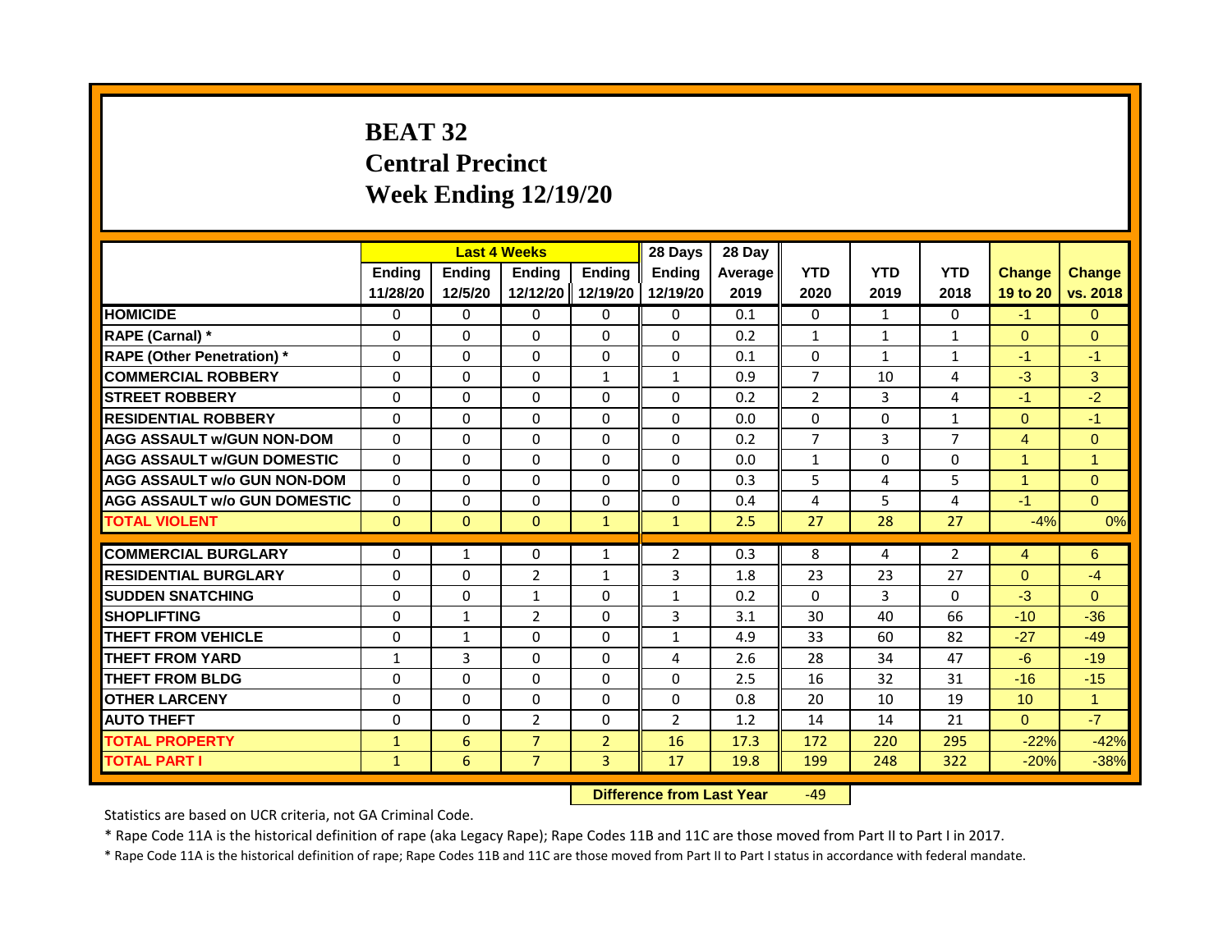# **BEAT 32 Central Precinct Week Ending 12/19/20**

|                                     |              |                                  | <b>Last 4 Weeks</b> |                | 28 Days        | 28 Day  |                |                |                |                |                      |
|-------------------------------------|--------------|----------------------------------|---------------------|----------------|----------------|---------|----------------|----------------|----------------|----------------|----------------------|
|                                     | Ending       | <b>Ending</b>                    | <b>Ending</b>       | <b>Ending</b>  | <b>Endina</b>  | Average | <b>YTD</b>     | <b>YTD</b>     | <b>YTD</b>     | <b>Change</b>  | <b>Change</b>        |
|                                     | 11/28/20     | 12/5/20                          | 12/12/20            | 12/19/20       | 12/19/20       | 2019    | 2020           | 2019           | 2018           | 19 to 20       | vs. 2018             |
| <b>HOMICIDE</b>                     | $\mathbf{0}$ | $\Omega$                         | $\mathbf{0}$        | 0              | 0              | 0.1     | 0              | $\mathbf{1}$   | $\Omega$       | $-1$           | $\Omega$             |
| RAPE (Carnal) *                     | 0            | $\Omega$                         | $\Omega$            | $\Omega$       | $\Omega$       | 0.2     | $\mathbf{1}$   | $\mathbf{1}$   | $\mathbf{1}$   | $\Omega$       | $\Omega$             |
| <b>RAPE (Other Penetration)</b> *   | $\Omega$     | $\Omega$                         | $\Omega$            | $\Omega$       | $\Omega$       | 0.1     | $\Omega$       | $\mathbf{1}$   | $\mathbf{1}$   | $-1$           | $-1$                 |
| <b>COMMERCIAL ROBBERY</b>           | $\Omega$     | $\Omega$                         | $\Omega$            | $\mathbf{1}$   | $\mathbf{1}$   | 0.9     | $\overline{7}$ | 10             | 4              | $-3$           | 3                    |
| <b>STREET ROBBERY</b>               | $\Omega$     | $\Omega$                         | $\Omega$            | $\Omega$       | $\Omega$       | 0.2     | $\overline{2}$ | 3              | 4              | $-1$           | $-2$                 |
| <b>RESIDENTIAL ROBBERY</b>          | $\Omega$     | $\Omega$                         | $\Omega$            | $\Omega$       | $\Omega$       | 0.0     | $\Omega$       | $\Omega$       | $\mathbf{1}$   | $\Omega$       | $-1$                 |
| <b>AGG ASSAULT w/GUN NON-DOM</b>    | $\Omega$     | $\Omega$                         | $\Omega$            | $\Omega$       | $\Omega$       | 0.2     | $\overline{7}$ | $\mathbf{3}$   | $\overline{7}$ | $\overline{4}$ | $\overline{0}$       |
| <b>AGG ASSAULT W/GUN DOMESTIC</b>   | $\Omega$     | $\Omega$                         | $\Omega$            | $\Omega$       | $\Omega$       | 0.0     | $\mathbf{1}$   | $\Omega$       | $\Omega$       | $\overline{1}$ | $\mathbf{1}$         |
| <b>AGG ASSAULT w/o GUN NON-DOM</b>  | $\Omega$     | $\Omega$                         | $\Omega$            | $\Omega$       | $\Omega$       | 0.3     | 5              | 4              | 5              | $\overline{1}$ | $\Omega$             |
| <b>AGG ASSAULT w/o GUN DOMESTIC</b> | $\mathbf{0}$ | $\Omega$                         | $\Omega$            | $\Omega$       | $\Omega$       | 0.4     | 4              | 5              | 4              | $-1$           | $\Omega$             |
| <b>TOTAL VIOLENT</b>                | $\Omega$     | $\mathbf{0}$                     | $\mathbf{0}$        | $\mathbf{1}$   | $\mathbf{1}$   | 2.5     | 27             | 28             | 27             | $-4%$          | 0%                   |
|                                     |              |                                  |                     |                |                |         |                |                |                |                |                      |
| <b>COMMERCIAL BURGLARY</b>          | $\mathbf{0}$ | 1                                | $\Omega$            | $\mathbf{1}$   | $\overline{2}$ | 0.3     | 8              | 4              | $\overline{2}$ | $\overline{4}$ | 6                    |
| <b>RESIDENTIAL BURGLARY</b>         | $\Omega$     | $\Omega$                         | $\overline{2}$      | $\mathbf{1}$   | 3              | 1.8     | 23             | 23             | 27             | $\Omega$       | $-4$                 |
| <b>SUDDEN SNATCHING</b>             | $\Omega$     | $\Omega$                         | $\mathbf{1}$        | $\Omega$       | $\mathbf{1}$   | 0.2     | $\Omega$       | $\overline{3}$ | $\Omega$       | $-3$           | $\Omega$             |
| <b>SHOPLIFTING</b>                  | $\Omega$     | $\mathbf{1}$                     | $\overline{2}$      | $\Omega$       | 3              | 3.1     | 30             | 40             | 66             | $-10$          | $-36$                |
| <b>THEFT FROM VEHICLE</b>           | $\Omega$     | $\mathbf{1}$                     | $\Omega$            | $\Omega$       | $\mathbf{1}$   | 4.9     | 33             | 60             | 82             | $-27$          | $-49$                |
| <b>THEFT FROM YARD</b>              | $\mathbf{1}$ | 3                                | $\mathbf{0}$        | $\Omega$       | 4              | 2.6     | 28             | 34             | 47             | $-6$           | $-19$                |
| <b>THEFT FROM BLDG</b>              | $\Omega$     | $\Omega$                         | $\Omega$            | $\Omega$       | $\Omega$       | 2.5     | 16             | 32             | 31             | $-16$          | $-15$                |
| <b>OTHER LARCENY</b>                | $\Omega$     | $\Omega$                         | $\Omega$            | $\Omega$       | $\Omega$       | 0.8     | 20             | 10             | 19             | 10             | $\blacktriangleleft$ |
| <b>AUTO THEFT</b>                   | $\Omega$     | $\Omega$                         | $\overline{2}$      | $\Omega$       | $\overline{2}$ | 1.2     | 14             | 14             | 21             | $\Omega$       | $-7$                 |
| <b>TOTAL PROPERTY</b>               | $\mathbf{1}$ | 6                                | $\overline{7}$      | $\overline{2}$ | 16             | 17.3    | 172            | 220            | 295            | $-22%$         | $-42%$               |
| <b>TOTAL PART I</b>                 | $\mathbf{1}$ | 6                                | $\overline{7}$      | $\overline{3}$ | 17             | 19.8    | 199            | 248            | 322            | $-20%$         | $-38%$               |
|                                     |              | <b>Difference from Last Year</b> |                     | $-49$          |                |         |                |                |                |                |                      |

Statistics are based on UCR criteria, not GA Criminal Code.

\* Rape Code 11A is the historical definition of rape (aka Legacy Rape); Rape Codes 11B and 11C are those moved from Part II to Part I in 2017.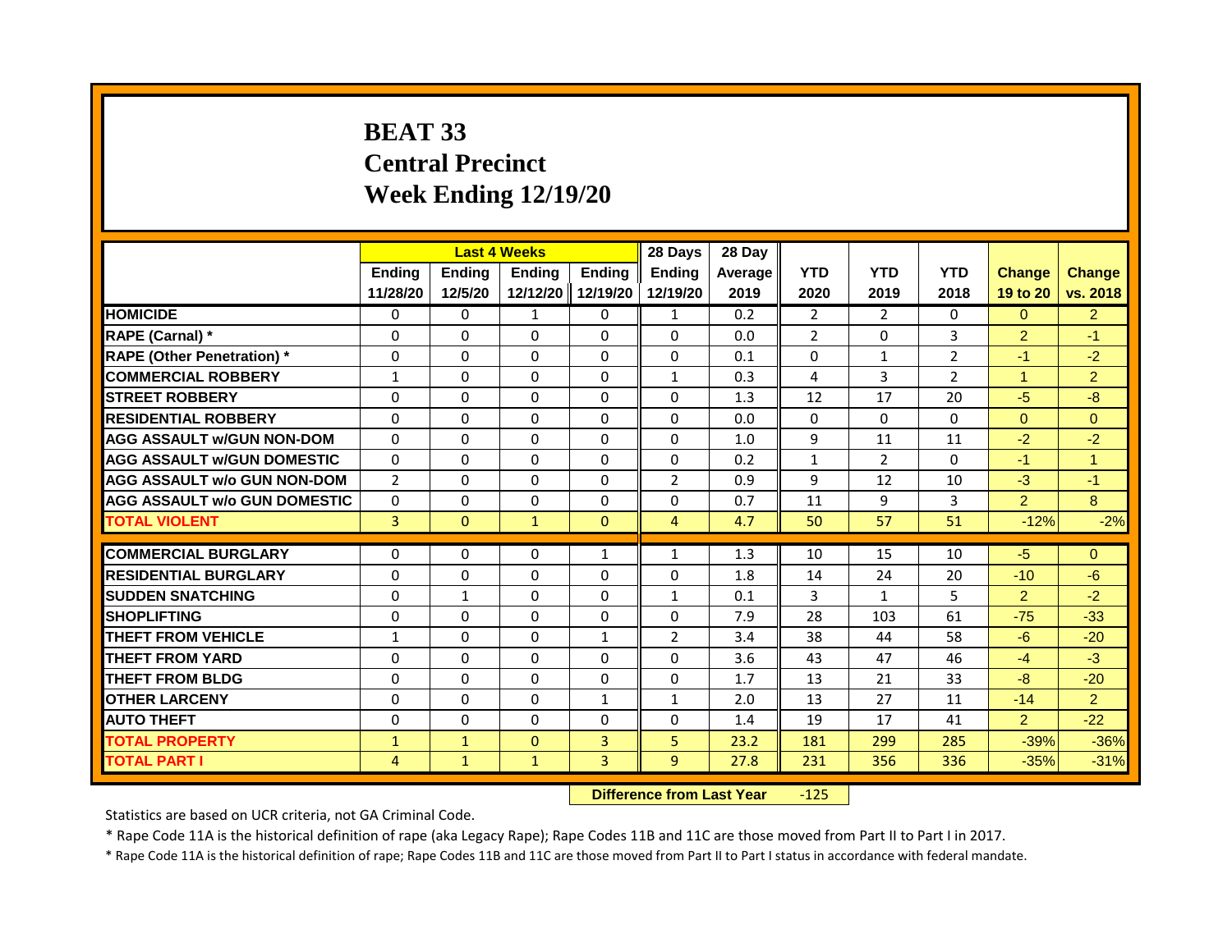## **BEAT 33 Central Precinct Week Ending 12/19/20**

|                                     |                |               | <b>Last 4 Weeks</b>              |                   | 28 Days        | 28 Day  |                |                |                |                |                |
|-------------------------------------|----------------|---------------|----------------------------------|-------------------|----------------|---------|----------------|----------------|----------------|----------------|----------------|
|                                     | Ending         | <b>Ending</b> | Ending                           | <b>Ending</b>     | <b>Endina</b>  | Average | <b>YTD</b>     | <b>YTD</b>     | <b>YTD</b>     | <b>Change</b>  | <b>Change</b>  |
|                                     | 11/28/20       | 12/5/20       |                                  | 12/12/20 12/19/20 | 12/19/20       | 2019    | 2020           | 2019           | 2018           | 19 to 20       | vs. 2018       |
| <b>HOMICIDE</b>                     | 0              | 0             | 1                                | 0                 | 1              | 0.2     | 2              | $\overline{2}$ | 0              | $\mathbf{0}$   | $\overline{2}$ |
| RAPE (Carnal) *                     | 0              | $\Omega$      | $\Omega$                         | $\Omega$          | $\Omega$       | 0.0     | $\overline{2}$ | $\mathbf{0}$   | 3              | $\overline{2}$ | $-1$           |
| <b>RAPE (Other Penetration) *</b>   | $\Omega$       | $\Omega$      | $\Omega$                         | $\Omega$          | $\Omega$       | 0.1     | $\Omega$       | $\mathbf{1}$   | $\overline{2}$ | $-1$           | $-2$           |
| <b>COMMERCIAL ROBBERY</b>           | $\mathbf{1}$   | 0             | 0                                | 0                 | 1              | 0.3     | 4              | 3              | $\overline{2}$ | $\mathbf{1}$   | $\overline{2}$ |
| <b>STREET ROBBERY</b>               | $\Omega$       | $\Omega$      | $\Omega$                         | $\Omega$          | $\Omega$       | 1.3     | 12             | 17             | 20             | $-5$           | $-8$           |
| <b>RESIDENTIAL ROBBERY</b>          | 0              | 0             | 0                                | $\mathbf 0$       | 0              | 0.0     | 0              | 0              | 0              | $\overline{0}$ | $\overline{0}$ |
| <b>AGG ASSAULT w/GUN NON-DOM</b>    | $\Omega$       | $\Omega$      | $\Omega$                         | $\Omega$          | $\Omega$       | 1.0     | 9              | 11             | 11             | $-2$           | $-2$           |
| <b>AGG ASSAULT w/GUN DOMESTIC</b>   | $\Omega$       | $\Omega$      | $\Omega$                         | $\Omega$          | $\Omega$       | 0.2     | $\mathbf{1}$   | $\overline{2}$ | $\Omega$       | $-1$           | 1              |
| <b>AGG ASSAULT w/o GUN NON-DOM</b>  | $\overline{2}$ | 0             | $\Omega$                         | $\mathbf{0}$      | $\overline{2}$ | 0.9     | 9              | 12             | 10             | $-3$           | $-1$           |
| <b>AGG ASSAULT w/o GUN DOMESTIC</b> | 0              | 0             | 0                                | $\mathbf 0$       | 0              | 0.7     | 11             | 9              | 3              | $\overline{2}$ | 8              |
| <b>TOTAL VIOLENT</b>                | 3              | $\mathbf{0}$  | $\mathbf{1}$                     | $\mathbf{0}$      | $\overline{4}$ | 4.7     | 50             | 57             | 51             | $-12%$         | $-2%$          |
|                                     |                |               |                                  |                   |                |         |                |                |                |                |                |
| <b>COMMERCIAL BURGLARY</b>          | 0              | 0             | 0                                | $\mathbf{1}$      | $\mathbf{1}$   | 1.3     | 10             | 15             | 10             | $-5$           | $\mathbf{0}$   |
| <b>RESIDENTIAL BURGLARY</b>         | $\Omega$       | $\Omega$      | $\Omega$                         | $\Omega$          | $\Omega$       | 1.8     | 14             | 24             | 20             | $-10$          | $-6$           |
| <b>SUDDEN SNATCHING</b>             | $\Omega$       | $\mathbf{1}$  | $\Omega$                         | $\Omega$          | $\mathbf{1}$   | 0.1     | 3              | $\mathbf{1}$   | 5              | $\overline{2}$ | $-2$           |
| <b>SHOPLIFTING</b>                  | $\Omega$       | $\mathbf{0}$  | 0                                | $\mathbf{0}$      | $\Omega$       | 7.9     | 28             | 103            | 61             | $-75$          | $-33$          |
| <b>THEFT FROM VEHICLE</b>           | $\mathbf{1}$   | $\Omega$      | $\Omega$                         | $\mathbf{1}$      | $\overline{2}$ | 3.4     | 38             | 44             | 58             | $-6$           | $-20$          |
| <b>THEFT FROM YARD</b>              | $\Omega$       | $\Omega$      | $\Omega$                         | $\Omega$          | $\Omega$       | 3.6     | 43             | 47             | 46             | $-4$           | $-3$           |
| <b>THEFT FROM BLDG</b>              | 0              | $\mathbf{0}$  | 0                                | $\mathbf{0}$      | $\Omega$       | 1.7     | 13             | 21             | 33             | $-8$           | $-20$          |
| <b>OTHER LARCENY</b>                | 0              | $\Omega$      | $\Omega$                         | $\mathbf{1}$      | $\mathbf{1}$   | 2.0     | 13             | 27             | 11             | $-14$          | $\overline{2}$ |
| <b>AUTO THEFT</b>                   | 0              | 0             | 0                                | $\mathbf 0$       | 0              | 1.4     | 19             | 17             | 41             | $\overline{2}$ | $-22$          |
| <b>TOTAL PROPERTY</b>               | $\mathbf{1}$   | $\mathbf{1}$  | $\Omega$                         | 3                 | 5              | 23.2    | 181            | 299            | 285            | $-39%$         | $-36%$         |
| <b>TOTAL PART I</b>                 | 4              | $\mathbf{1}$  | $\mathbf{1}$                     | 3                 | 9              | 27.8    | 231            | 356            | 336            | $-35%$         | $-31%$         |
|                                     |                |               | <b>Difference from Last Year</b> |                   | $-125$         |         |                |                |                |                |                |

Statistics are based on UCR criteria, not GA Criminal Code.

\* Rape Code 11A is the historical definition of rape (aka Legacy Rape); Rape Codes 11B and 11C are those moved from Part II to Part I in 2017.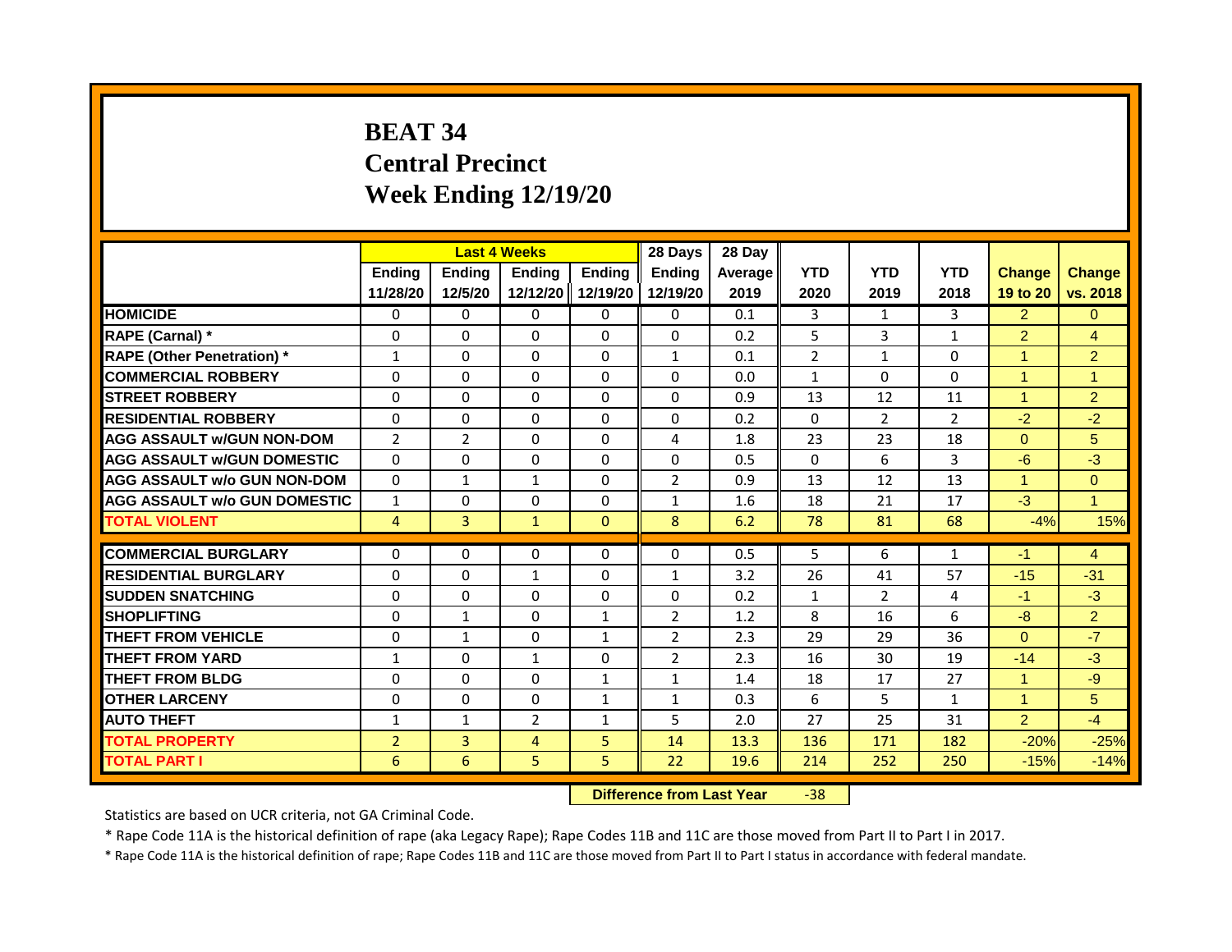# **BEAT 34 Central Precinct Week Ending 12/19/20**

|                                     | <b>Last 4 Weeks</b><br>Ending<br>Ending<br>Ending |                |                                  |                           | 28 Days                   | 28 Day          |                    |                    |                    |                           |                           |
|-------------------------------------|---------------------------------------------------|----------------|----------------------------------|---------------------------|---------------------------|-----------------|--------------------|--------------------|--------------------|---------------------------|---------------------------|
|                                     | 11/28/20                                          | 12/5/20        | 12/12/20                         | <b>Endina</b><br>12/19/20 | <b>Endina</b><br>12/19/20 | Average<br>2019 | <b>YTD</b><br>2020 | <b>YTD</b><br>2019 | <b>YTD</b><br>2018 | <b>Change</b><br>19 to 20 | <b>Change</b><br>vs. 2018 |
| <b>HOMICIDE</b>                     | 0                                                 | 0              | $\mathbf{0}$                     | $\mathbf{0}$              | 0                         | 0.1             | 3                  | $\mathbf{1}$       | 3                  | 2 <sup>1</sup>            | $\Omega$                  |
| RAPE (Carnal) *                     | $\Omega$                                          | $\Omega$       | 0                                | $\Omega$                  | $\Omega$                  | 0.2             | 5                  | 3                  | $\mathbf{1}$       | $\overline{2}$            | $\overline{4}$            |
| <b>RAPE (Other Penetration)</b> *   | $\mathbf{1}$                                      | $\Omega$       | $\Omega$                         | $\Omega$                  | $\mathbf{1}$              | 0.1             | $\overline{2}$     | $\mathbf{1}$       | $\Omega$           | $\overline{1}$            | $\overline{2}$            |
| <b>COMMERCIAL ROBBERY</b>           | $\Omega$                                          | $\Omega$       | $\Omega$                         | $\Omega$                  | $\Omega$                  | 0.0             | $\mathbf{1}$       | $\Omega$           | $\Omega$           | $\blacktriangleleft$      | $\blacktriangleleft$      |
| <b>STREET ROBBERY</b>               | $\Omega$                                          | $\Omega$       | 0                                | $\Omega$                  | $\Omega$                  | 0.9             | 13                 | 12                 | 11                 | $\overline{1}$            | $\overline{2}$            |
| <b>RESIDENTIAL ROBBERY</b>          | $\Omega$                                          | $\Omega$       | $\Omega$                         | $\Omega$                  | $\Omega$                  | 0.2             | $\Omega$           | $\overline{2}$     | $\overline{2}$     | $-2$                      | $-2$                      |
| <b>AGG ASSAULT w/GUN NON-DOM</b>    | $\overline{2}$                                    | $\overline{2}$ | $\Omega$                         | $\Omega$                  | $\overline{4}$            | 1.8             | 23                 | 23                 | 18                 | $\Omega$                  | 5                         |
| <b>AGG ASSAULT W/GUN DOMESTIC</b>   | $\Omega$                                          | $\Omega$       | $\Omega$                         | $\Omega$                  | $\Omega$                  | 0.5             | $\Omega$           | 6                  | $\overline{3}$     | $-6$                      | $-3$                      |
| <b>AGG ASSAULT w/o GUN NON-DOM</b>  | $\Omega$                                          | $\mathbf{1}$   | 1                                | $\Omega$                  | $\overline{2}$            | 0.9             | 13                 | 12                 | 13                 | $\overline{1}$            | $\Omega$                  |
| <b>AGG ASSAULT w/o GUN DOMESTIC</b> | $\mathbf{1}$                                      | $\Omega$       | 0                                | $\Omega$                  | $\mathbf{1}$              | 1.6             | 18                 | 21                 | 17                 | $-3$                      | $\blacktriangleleft$      |
| <b>TOTAL VIOLENT</b>                | $\overline{4}$                                    | 3              | $\mathbf{1}$                     | $\mathbf{0}$              | 8                         | 6.2             | 78                 | 81                 | 68                 | $-4%$                     | 15%                       |
| <b>COMMERCIAL BURGLARY</b>          | $\Omega$                                          | $\Omega$       | $\Omega$                         | $\Omega$                  | $\Omega$                  |                 | 5                  | 6                  |                    |                           | $\overline{4}$            |
|                                     |                                                   |                |                                  |                           |                           | 0.5             |                    |                    | $\mathbf{1}$       | -1                        |                           |
| <b>RESIDENTIAL BURGLARY</b>         | $\Omega$                                          | $\Omega$       | $\mathbf{1}$                     | $\Omega$                  | $\mathbf{1}$              | 3.2             | 26                 | 41                 | 57                 | $-15$                     | $-31$                     |
| <b>SUDDEN SNATCHING</b>             | $\Omega$                                          | $\Omega$       | $\Omega$                         | $\Omega$                  | 0                         | 0.2             | $\mathbf{1}$       | $\overline{2}$     | 4                  | $-1$                      | $-3$                      |
| <b>SHOPLIFTING</b>                  | $\Omega$                                          | 1              | $\Omega$                         | $\mathbf{1}$              | $\overline{2}$            | 1.2             | 8                  | 16                 | 6                  | $-8$                      | 2 <sup>1</sup>            |
| <b>THEFT FROM VEHICLE</b>           | $\Omega$                                          | $\mathbf{1}$   | 0                                | $\mathbf{1}$              | $\overline{2}$            | 2.3             | 29                 | 29                 | 36                 | $\Omega$                  | $-7$                      |
| <b>THEFT FROM YARD</b>              | $\mathbf{1}$                                      | $\Omega$       | $\mathbf{1}$                     | $\Omega$                  | $\overline{2}$            | 2.3             | 16                 | 30                 | 19                 | $-14$                     | $-3$                      |
| <b>THEFT FROM BLDG</b>              | $\Omega$                                          | $\Omega$       | $\Omega$                         | $\mathbf{1}$              | $\mathbf{1}$              | 1.4             | 18                 | 17                 | 27                 | $\blacktriangleleft$      | $-9$                      |
| <b>OTHER LARCENY</b>                | $\Omega$                                          | $\Omega$       | 0                                | $\mathbf{1}$              | $\mathbf{1}$              | 0.3             | 6                  | 5                  | $\mathbf{1}$       | $\blacktriangleleft$      | 5                         |
| <b>AUTO THEFT</b>                   | $\mathbf{1}$                                      | $\mathbf{1}$   | $\overline{2}$                   | $\mathbf{1}$              | 5                         | 2.0             | 27                 | 25                 | 31                 | $\overline{2}$            | $-4$                      |
| <b>TOTAL PROPERTY</b>               | $\overline{2}$                                    | 3              | 4                                | 5                         | 14                        | 13.3            | 136                | 171                | 182                | $-20%$                    | $-25%$                    |
| <b>TOTAL PART I</b>                 | 6                                                 | 6              | 5                                | 5                         | 22                        | 19.6            | 214                | 252                | 250                | $-15%$                    | $-14%$                    |
|                                     |                                                   |                | <b>Difference from Last Year</b> |                           | $-38$                     |                 |                    |                    |                    |                           |                           |

Statistics are based on UCR criteria, not GA Criminal Code.

\* Rape Code 11A is the historical definition of rape (aka Legacy Rape); Rape Codes 11B and 11C are those moved from Part II to Part I in 2017.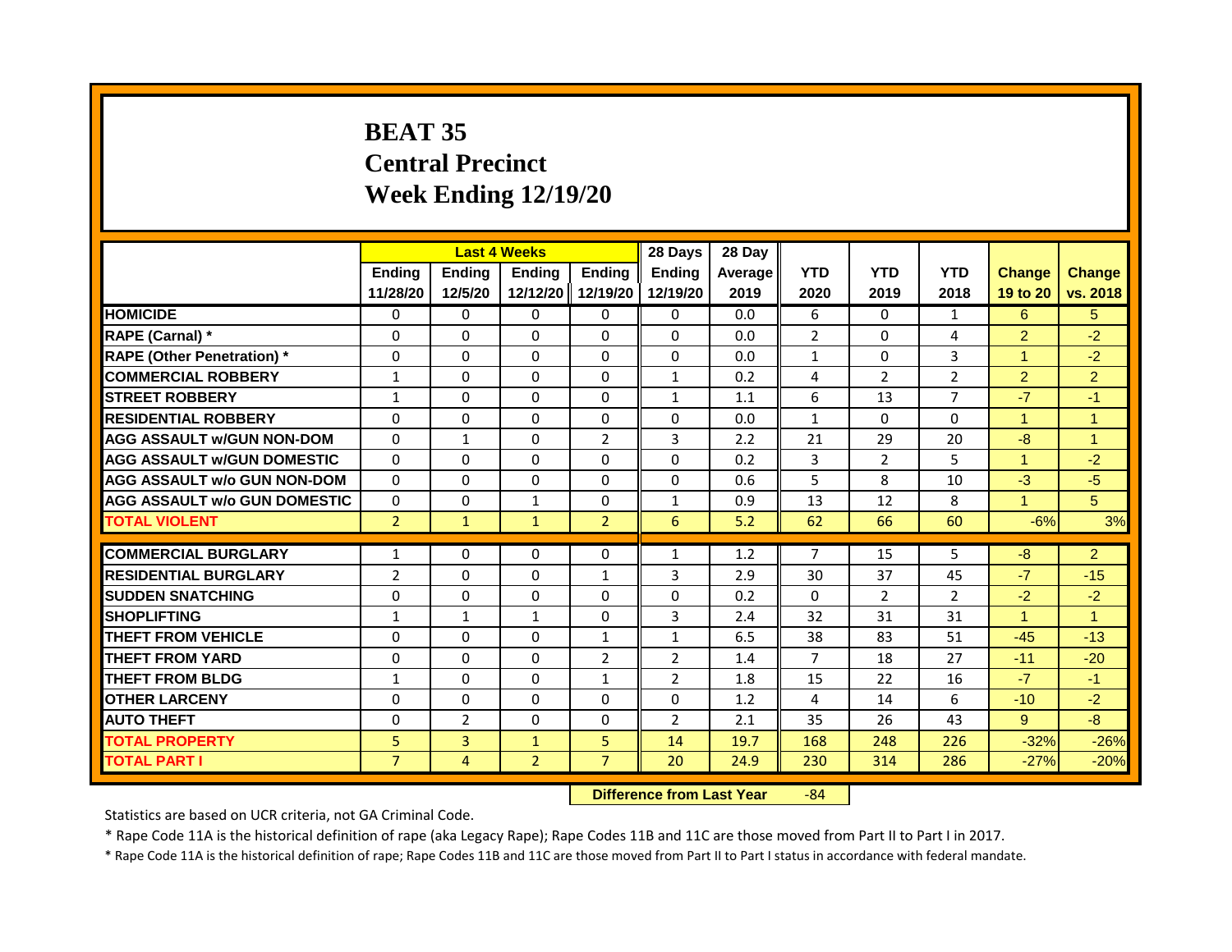# **BEAT 35 Central Precinct Week Ending 12/19/20**

|                                     |                    |                   | <b>Last 4 Weeks</b>              |                           | 28 Days                   | 28 Day          |                    |                    |                    |                           |                           |
|-------------------------------------|--------------------|-------------------|----------------------------------|---------------------------|---------------------------|-----------------|--------------------|--------------------|--------------------|---------------------------|---------------------------|
|                                     | Ending<br>11/28/20 | Ending<br>12/5/20 | Ending<br>12/12/20               | <b>Endina</b><br>12/19/20 | <b>Endina</b><br>12/19/20 | Average<br>2019 | <b>YTD</b><br>2020 | <b>YTD</b><br>2019 | <b>YTD</b><br>2018 | <b>Change</b><br>19 to 20 | <b>Change</b><br>vs. 2018 |
| <b>HOMICIDE</b>                     | 0                  | 0                 | $\mathbf{0}$                     | $\mathbf{0}$              | 0                         | 0.0             | 6                  | $\Omega$           | 1                  | 6                         | 5                         |
| RAPE (Carnal) *                     | $\Omega$           | $\Omega$          | 0                                | $\Omega$                  | $\Omega$                  | 0.0             | $\overline{2}$     | $\mathbf{0}$       | 4                  | $\overline{2}$            | $-2$                      |
| <b>RAPE (Other Penetration)</b> *   | $\Omega$           | $\Omega$          | $\Omega$                         | $\Omega$                  | $\Omega$                  | 0.0             | $\mathbf{1}$       | $\mathbf{0}$       | 3                  | $\overline{1}$            | $-2$                      |
| <b>COMMERCIAL ROBBERY</b>           | $\mathbf{1}$       | $\Omega$          | $\Omega$                         | $\Omega$                  | $\mathbf{1}$              | 0.2             | 4                  | $\overline{2}$     | $\overline{2}$     | $\overline{2}$            | $\overline{2}$            |
| <b>STREET ROBBERY</b>               | 1                  | $\Omega$          | 0                                | $\Omega$                  | $\mathbf{1}$              | 1.1             | 6                  | 13                 | $\overline{7}$     | $-7$                      | $-1$                      |
| <b>RESIDENTIAL ROBBERY</b>          | $\Omega$           | $\Omega$          | $\Omega$                         | $\Omega$                  | $\Omega$                  | 0.0             | $\mathbf{1}$       | $\Omega$           | $\Omega$           | $\overline{1}$            | $\blacktriangleleft$      |
| <b>AGG ASSAULT w/GUN NON-DOM</b>    | $\Omega$           | $\mathbf{1}$      | $\Omega$                         | $\overline{2}$            | 3                         | 2.2             | 21                 | 29                 | 20                 | $-8$                      | $\overline{1}$            |
| <b>AGG ASSAULT W/GUN DOMESTIC</b>   | $\Omega$           | $\Omega$          | $\Omega$                         | $\Omega$                  | $\Omega$                  | 0.2             | 3                  | $\overline{2}$     | 5                  | $\blacktriangleleft$      | $-2$                      |
| <b>AGG ASSAULT w/o GUN NON-DOM</b>  | $\Omega$           | $\Omega$          | 0                                | $\Omega$                  | $\Omega$                  | 0.6             | 5                  | 8                  | 10                 | $-3$                      | $-5$                      |
| <b>AGG ASSAULT w/o GUN DOMESTIC</b> | $\Omega$           | $\Omega$          | $\mathbf{1}$                     | $\Omega$                  | $\mathbf{1}$              | 0.9             | 13                 | 12                 | 8                  | $\blacktriangleleft$      | 5 <sup>5</sup>            |
| <b>TOTAL VIOLENT</b>                | $\overline{2}$     | $\mathbf{1}$      | $\mathbf{1}$                     | $\overline{2}$            | 6                         | 5.2             | 62                 | 66                 | 60                 | $-6%$                     | 3%                        |
|                                     |                    |                   |                                  |                           |                           |                 |                    |                    |                    |                           |                           |
| <b>COMMERCIAL BURGLARY</b>          | $\mathbf{1}$       | $\Omega$          | $\Omega$                         | $\Omega$                  | 1                         | 1.2             | $\overline{7}$     | 15                 | $\overline{5}$     | $-8$                      | $\overline{2}$            |
| <b>RESIDENTIAL BURGLARY</b>         | $\overline{2}$     | $\Omega$          | $\Omega$                         | $\mathbf{1}$              | 3                         | 2.9             | 30                 | 37                 | 45                 | $-7$                      | $-15$                     |
| <b>SUDDEN SNATCHING</b>             | $\Omega$           | $\Omega$          | $\Omega$                         | $\Omega$                  | 0                         | 0.2             | $\Omega$           | $\overline{2}$     | $\overline{2}$     | $-2$                      | $-2$                      |
| <b>SHOPLIFTING</b>                  | 1                  | $\mathbf{1}$      | $\mathbf{1}$                     | $\Omega$                  | 3                         | 2.4             | 32                 | 31                 | 31                 | $\overline{1}$            | $\blacktriangleleft$      |
| <b>THEFT FROM VEHICLE</b>           | $\Omega$           | $\Omega$          | $\Omega$                         | $\mathbf{1}$              | $\mathbf{1}$              | 6.5             | 38                 | 83                 | 51                 | $-45$                     | $-13$                     |
| <b>THEFT FROM YARD</b>              | $\Omega$           | $\Omega$          | $\Omega$                         | $\overline{2}$            | $\overline{2}$            | 1.4             | $\overline{7}$     | 18                 | 27                 | $-11$                     | $-20$                     |
| <b>THEFT FROM BLDG</b>              | $\mathbf{1}$       | $\Omega$          | $\Omega$                         | $\mathbf{1}$              | 2                         | 1.8             | 15                 | 22                 | 16                 | $-7$                      | $-1$                      |
| <b>OTHER LARCENY</b>                | $\Omega$           | $\Omega$          | 0                                | $\Omega$                  | 0                         | 1.2             | 4                  | 14                 | 6                  | $-10$                     | $-2$                      |
| <b>AUTO THEFT</b>                   | 0                  | $\overline{2}$    | $\Omega$                         | $\Omega$                  | $\overline{2}$            | 2.1             | 35                 | 26                 | 43                 | 9                         | $-8-$                     |
| <b>TOTAL PROPERTY</b>               | 5                  | 3                 | $\mathbf{1}$                     | 5                         | 14                        | 19.7            | 168                | 248                | 226                | $-32%$                    | $-26%$                    |
| <b>TOTAL PART I</b>                 | $\overline{7}$     | 4                 | $\overline{2}$                   | $\overline{7}$            | 20                        | 24.9            | 230                | 314                | 286                | $-27%$                    | $-20%$                    |
|                                     |                    |                   | <b>Difference from Last Year</b> |                           | $-84$                     |                 |                    |                    |                    |                           |                           |

Statistics are based on UCR criteria, not GA Criminal Code.

\* Rape Code 11A is the historical definition of rape (aka Legacy Rape); Rape Codes 11B and 11C are those moved from Part II to Part I in 2017.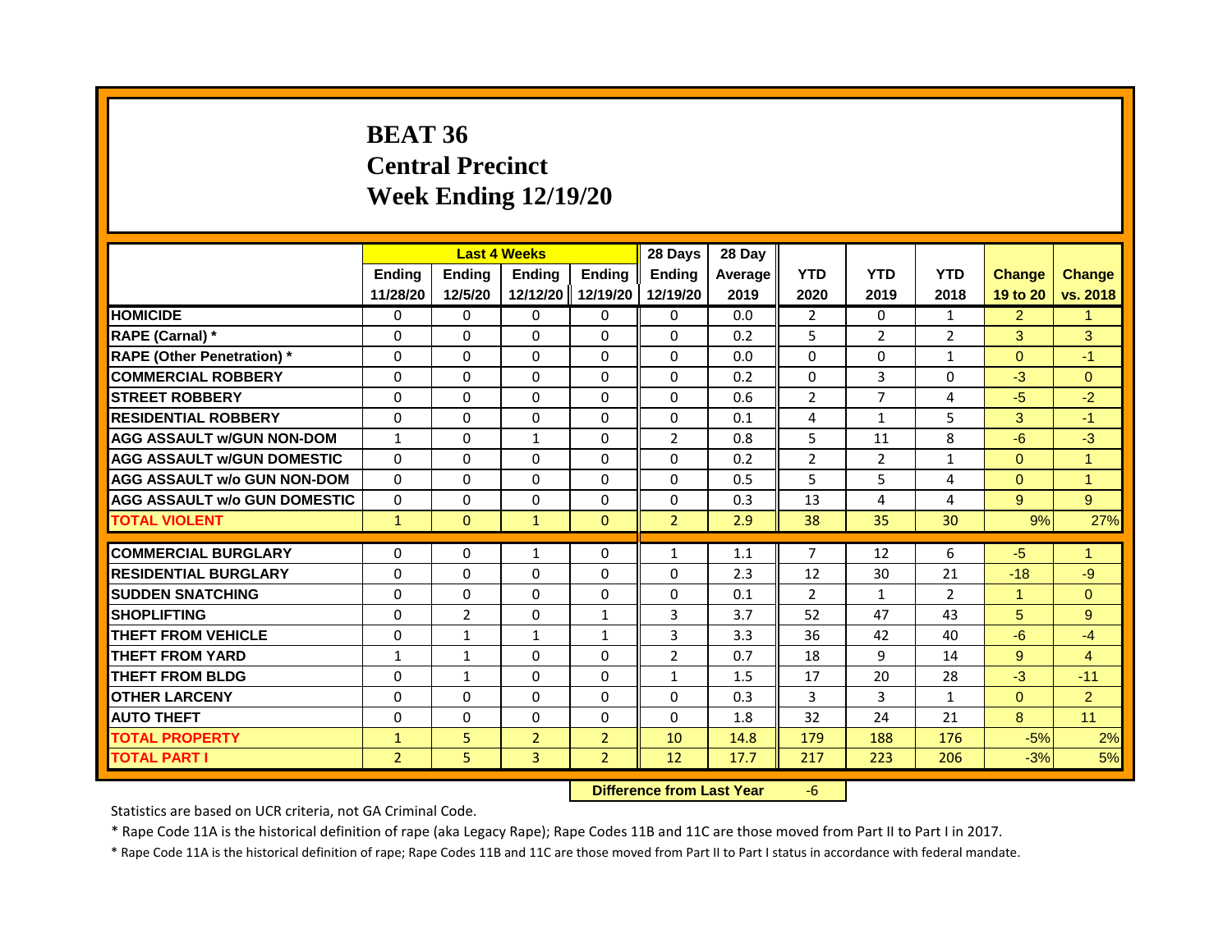# **BEAT 36 Central Precinct Week Ending 12/19/20**

|                                     |                           |                          | <b>Last 4 Weeks</b>       |                           | 28 Days                   | 28 Day          |                    |                    |                    |                           |                           |
|-------------------------------------|---------------------------|--------------------------|---------------------------|---------------------------|---------------------------|-----------------|--------------------|--------------------|--------------------|---------------------------|---------------------------|
|                                     | <b>Ending</b><br>11/28/20 | <b>Ending</b><br>12/5/20 | <b>Ending</b><br>12/12/20 | <b>Ending</b><br>12/19/20 | <b>Ending</b><br>12/19/20 | Average<br>2019 | <b>YTD</b><br>2020 | <b>YTD</b><br>2019 | <b>YTD</b><br>2018 | <b>Change</b><br>19 to 20 | <b>Change</b><br>vs. 2018 |
|                                     |                           |                          |                           |                           |                           |                 |                    |                    |                    |                           |                           |
| <b>HOMICIDE</b>                     | 0                         | $\Omega$                 | 0                         | 0                         | 0                         | 0.0             | $\mathbf{2}$       | $\mathbf{0}$       | $\mathbf{1}$       | $\overline{2}$            | $\mathbf{1}$              |
| RAPE (Carnal) *                     | 0                         | 0                        | $\Omega$                  | $\Omega$                  | $\Omega$                  | 0.2             | 5                  | $\overline{2}$     | $\overline{2}$     | 3                         | 3                         |
| <b>RAPE (Other Penetration)</b> *   | $\Omega$                  | $\Omega$                 | $\Omega$                  | $\Omega$                  | $\Omega$                  | 0.0             | 0                  | 0                  | $\mathbf{1}$       | $\overline{0}$            | $-1$                      |
| <b>COMMERCIAL ROBBERY</b>           | 0                         | $\Omega$                 | $\Omega$                  | $\Omega$                  | $\Omega$                  | 0.2             | 0                  | 3                  | 0                  | $-3$                      | $\Omega$                  |
| <b>STREET ROBBERY</b>               | $\Omega$                  | $\Omega$                 | $\Omega$                  | $\Omega$                  | $\Omega$                  | 0.6             | $\overline{2}$     | 7                  | 4                  | $-5$                      | $-2$                      |
| <b>RESIDENTIAL ROBBERY</b>          | $\Omega$                  | $\Omega$                 | $\Omega$                  | $\Omega$                  | $\Omega$                  | 0.1             | $\overline{4}$     | $\mathbf{1}$       | 5                  | 3                         | $-1$                      |
| <b>AGG ASSAULT W/GUN NON-DOM</b>    | $\mathbf{1}$              | $\Omega$                 | $\mathbf{1}$              | $\Omega$                  | $\overline{2}$            | 0.8             | 5                  | 11                 | 8                  | $-6$                      | $-3$                      |
| <b>AGG ASSAULT WGUN DOMESTIC</b>    | $\Omega$                  | $\Omega$                 | $\Omega$                  | $\Omega$                  | $\Omega$                  | 0.2             | $\overline{2}$     | $\overline{2}$     | $\mathbf{1}$       | $\Omega$                  | $\mathbf{1}$              |
| <b>AGG ASSAULT w/o GUN NON-DOM</b>  | $\Omega$                  | $\Omega$                 | $\Omega$                  | $\Omega$                  | $\Omega$                  | 0.5             | 5                  | 5                  | 4                  | $\Omega$                  | $\mathbf{1}$              |
| <b>AGG ASSAULT W/o GUN DOMESTIC</b> | $\Omega$                  | $\Omega$                 | $\Omega$                  | $\Omega$                  | $\Omega$                  | 0.3             | 13                 | 4                  | 4                  | 9                         | 9                         |
| <b>TOTAL VIOLENT</b>                | $\mathbf{1}$              | $\Omega$                 | $\mathbf{1}$              | $\Omega$                  | $\overline{2}$            | 2.9             | 38                 | 35                 | 30                 | 9%                        | 27%                       |
|                                     |                           |                          |                           |                           |                           |                 |                    |                    |                    |                           |                           |
| <b>COMMERCIAL BURGLARY</b>          | 0                         | 0                        | $\mathbf{1}$              | 0                         | $\mathbf{1}$              | 1.1             | $\overline{7}$     | 12                 | 6                  | $-5$                      | $\mathbf{1}$              |
| <b>RESIDENTIAL BURGLARY</b>         | $\Omega$                  | $\Omega$                 | $\Omega$                  | $\Omega$                  | $\Omega$                  | 2.3             | 12                 | 30                 | 21                 | $-18$                     | $-9$                      |
| <b>SUDDEN SNATCHING</b>             | 0                         | $\Omega$                 | $\Omega$                  | $\Omega$                  | $\Omega$                  | 0.1             | $\overline{2}$     | $\mathbf{1}$       | $\overline{2}$     | $\mathbf{1}$              | $\Omega$                  |
| <b>SHOPLIFTING</b>                  | $\Omega$                  | $\overline{2}$           | $\Omega$                  | $\mathbf{1}$              | 3                         | 3.7             | 52                 | 47                 | 43                 | 5                         | 9                         |
| <b>THEFT FROM VEHICLE</b>           | $\Omega$                  | $\mathbf{1}$             | $\mathbf{1}$              | $\mathbf{1}$              | $\overline{3}$            | 3.3             | 36                 | 42                 | 40                 | $-6$                      | $-4$                      |
| <b>THEFT FROM YARD</b>              | $\mathbf{1}$              | $\mathbf{1}$             | $\Omega$                  | $\Omega$                  | $\overline{2}$            | 0.7             | 18                 | 9                  | 14                 | 9                         | $\overline{4}$            |
| <b>THEFT FROM BLDG</b>              | $\Omega$                  | $\mathbf{1}$             | $\Omega$                  | $\Omega$                  | $\mathbf{1}$              | 1.5             | 17                 | 20                 | 28                 | $-3$                      | $-11$                     |
| <b>OTHER LARCENY</b>                | 0                         | $\Omega$                 | $\Omega$                  | $\Omega$                  | $\Omega$                  | 0.3             | 3                  | 3                  | $\mathbf{1}$       | $\overline{0}$            | $\overline{2}$            |
| <b>AUTO THEFT</b>                   | $\Omega$                  | $\Omega$                 | $\Omega$                  | $\Omega$                  | $\Omega$                  | 1.8             | 32                 | 24                 | 21                 | 8                         | 11                        |
| <b>TOTAL PROPERTY</b>               | $\mathbf{1}$              | 5                        | $\overline{2}$            | $\overline{2}$            | 10                        | 14.8            | 179                | 188                | 176                | $-5%$                     | 2%                        |
| <b>TOTAL PART I</b>                 | $\overline{2}$            | 5                        | $\overline{3}$            | $\overline{2}$            | 12                        | 17.7            | 217                | 223                | 206                | $-3%$                     | 5%                        |

**Difference from Last Year** -6

Statistics are based on UCR criteria, not GA Criminal Code.

\* Rape Code 11A is the historical definition of rape (aka Legacy Rape); Rape Codes 11B and 11C are those moved from Part II to Part I in 2017.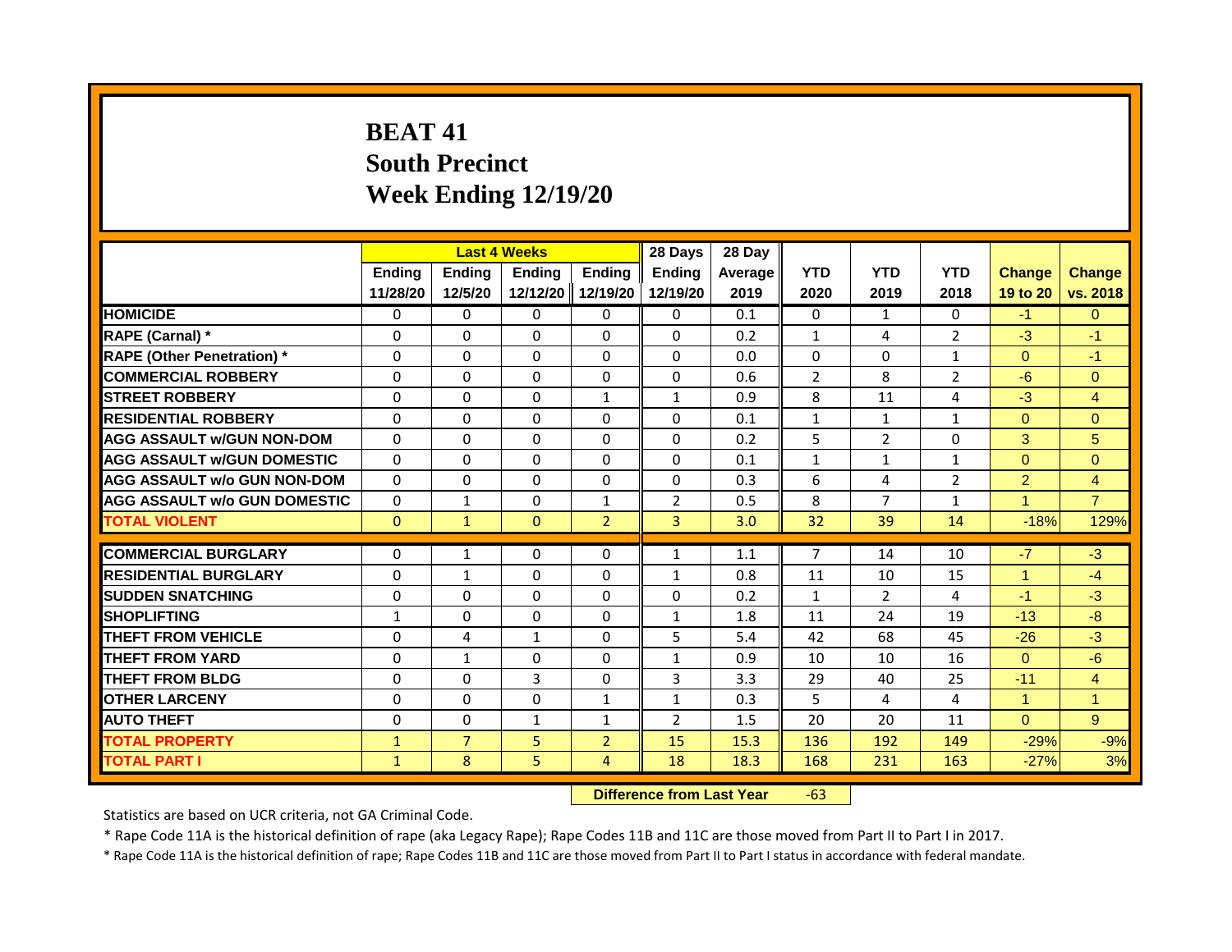# **BEAT 41 South Precinct Week Ending 12/19/20**

|                                     |                              |                     | <b>Last 4 Weeks</b>              |                | 28 Days        | 28 Day  |                |                |                |                      |                 |
|-------------------------------------|------------------------------|---------------------|----------------------------------|----------------|----------------|---------|----------------|----------------|----------------|----------------------|-----------------|
|                                     | Ending                       | Ending              | <b>Ending</b>                    | <b>Endina</b>  | <b>Endina</b>  | Average | <b>YTD</b>     | <b>YTD</b>     | <b>YTD</b>     | <b>Change</b>        | <b>Change</b>   |
|                                     | 11/28/20                     | 12/5/20             | 12/12/20                         | 12/19/20       | 12/19/20       | 2019    | 2020           | 2019           | 2018           | 19 to 20             | vs. 2018        |
| <b>HOMICIDE</b>                     | 0                            | $\Omega$            | $\mathbf{0}$                     | $\mathbf{0}$   | 0              | 0.1     | 0              | $\mathbf{1}$   | $\mathbf{0}$   | $-1$                 | $\Omega$        |
| RAPE (Carnal) *                     | $\Omega$                     | $\Omega$            | $\Omega$                         | $\Omega$       | $\Omega$       | 0.2     | $\mathbf{1}$   | 4              | $\overline{2}$ | $-3$                 | $-1$            |
| <b>RAPE (Other Penetration)</b> *   | 0                            | $\mathbf{0}$        | $\Omega$                         | $\Omega$       | $\Omega$       | 0.0     | $\Omega$       | $\Omega$       | $\mathbf{1}$   | $\Omega$             | $-1$            |
| <b>COMMERCIAL ROBBERY</b>           | $\Omega$                     | $\Omega$            | $\Omega$                         | $\Omega$       | $\Omega$       | 0.6     | $\overline{2}$ | 8              | $\overline{2}$ | $-6$                 | $\Omega$        |
| <b>STREET ROBBERY</b>               | 0                            | $\Omega$            | $\Omega$                         | $\mathbf{1}$   | $\mathbf{1}$   | 0.9     | 8              | 11             | 4              | $-3$                 | $\overline{4}$  |
| <b>RESIDENTIAL ROBBERY</b>          | $\Omega$                     | $\Omega$            | $\Omega$                         | $\Omega$       | $\Omega$       | 0.1     | $\mathbf{1}$   | 1              | 1              | $\Omega$             | $\Omega$        |
| <b>AGG ASSAULT w/GUN NON-DOM</b>    | $\Omega$                     | $\Omega$            | $\Omega$                         | $\Omega$       | $\Omega$       | 0.2     | 5              | $\overline{2}$ | $\Omega$       | 3                    | $5\phantom{.0}$ |
| <b>AGG ASSAULT W/GUN DOMESTIC</b>   | $\Omega$                     | $\Omega$            | $\Omega$                         | $\Omega$       | $\Omega$       | 0.1     | $\mathbf{1}$   | 1              | 1              | $\Omega$             | $\Omega$        |
| AGG ASSAULT w/o GUN NON-DOM         | $\Omega$                     | $\Omega$            | $\Omega$                         | $\Omega$       | $\Omega$       | 0.3     | 6              | 4              | $\overline{2}$ | $\overline{2}$       | $\overline{4}$  |
| <b>AGG ASSAULT W/o GUN DOMESTIC</b> | $\Omega$                     | $\mathbf{1}$        | $\Omega$                         | $\mathbf{1}$   | $\overline{2}$ | 0.5     | 8              | $\overline{7}$ | $\mathbf{1}$   | $\overline{1}$       | $\overline{7}$  |
| <b>TOTAL VIOLENT</b>                | $\mathbf{0}$                 | $\mathbf{1}$        | $\mathbf{0}$                     | $\overline{2}$ | 3              | 3.0     | 32             | 39             | 14             | $-18%$               | 129%            |
| <b>COMMERCIAL BURGLARY</b>          | 0                            | 1                   | $\Omega$                         | 0              | 1              | 1.1     | $\overline{7}$ | 14             | 10             | $-7$                 | $-3$            |
| <b>RESIDENTIAL BURGLARY</b>         | $\Omega$                     | $\mathbf{1}$        | $\Omega$                         | $\Omega$       | $\mathbf{1}$   | 0.8     | 11             | 10             | 15             | $\overline{1}$       | $-4$            |
| <b>SUDDEN SNATCHING</b>             | $\Omega$                     | $\Omega$            | $\Omega$                         | $\Omega$       | $\Omega$       | 0.2     | $\mathbf{1}$   | $\overline{2}$ | 4              | $-1$                 | $-3$            |
| <b>SHOPLIFTING</b>                  | 1                            | 0                   | 0                                | 0              |                | 1.8     | 11             | 24             | 19             | $-13$                | -8              |
| <b>THEFT FROM VEHICLE</b>           | $\Omega$                     | 4                   | $\mathbf{1}$                     | $\Omega$       | 1<br>5         | 5.4     | 42             | 68             | 45             | $-26$                | $-3$            |
| <b>THEFT FROM YARD</b>              | $\Omega$                     | $\mathbf{1}$        | $\Omega$                         | $\Omega$       | $\mathbf{1}$   | 0.9     | 10             | 10             | 16             | $\Omega$             | $-6$            |
| <b>THEFT FROM BLDG</b>              | $\Omega$                     | $\Omega$            | 3                                | $\Omega$       | 3              |         |                |                |                |                      | $\overline{4}$  |
|                                     |                              |                     |                                  |                |                | 3.3     | 29             | 40             | 25             | $-11$                |                 |
| <b>OTHER LARCENY</b>                | 0                            | $\Omega$            | $\Omega$                         | $\mathbf{1}$   | $\mathbf{1}$   | 0.3     | 5              | 4              | 4              | $\blacktriangleleft$ | $\mathbf{1}$    |
| <b>AUTO THEFT</b>                   | $\Omega$                     | $\Omega$            | $\mathbf{1}$                     | $\mathbf{1}$   | $\overline{2}$ | 1.5     | 20             | 20             | 11             | $\Omega$             | 9 <sup>°</sup>  |
| <b>TOTAL PROPERTY</b>               | $\mathbf{1}$<br>$\mathbf{1}$ | $\overline{7}$<br>8 | 5                                | $\overline{2}$ | 15             | 15.3    | 136            | 192            | 149            | $-29%$               | $-9%$           |
| <b>TOTAL PART I</b>                 | 5                            | $\overline{4}$      | 18                               | 18.3           | 168            | 231     | 163            | $-27%$         | 3%             |                      |                 |
|                                     |                              |                     | <b>Difference from Last Year</b> |                | $-63$          |         |                |                |                |                      |                 |

Statistics are based on UCR criteria, not GA Criminal Code.

\* Rape Code 11A is the historical definition of rape (aka Legacy Rape); Rape Codes 11B and 11C are those moved from Part II to Part I in 2017.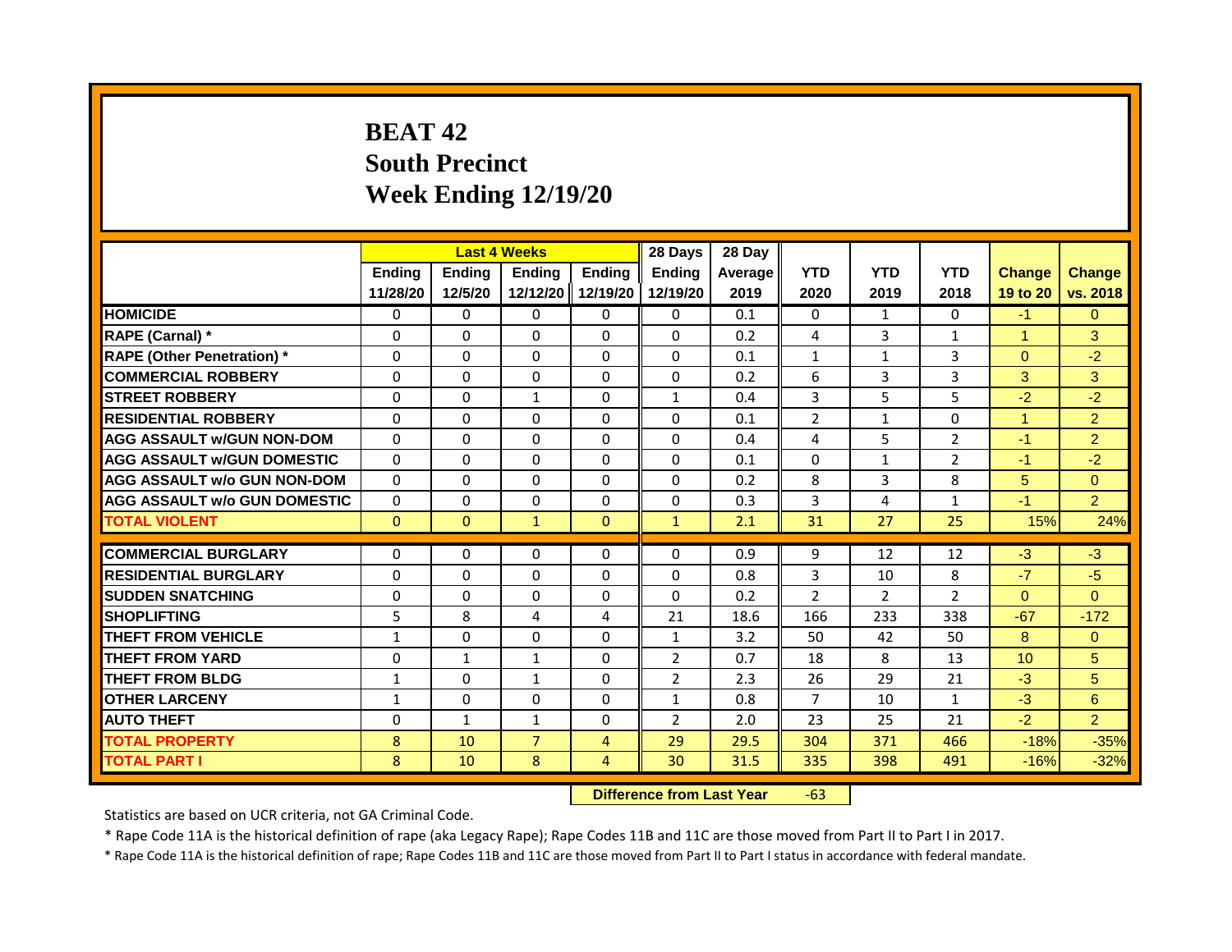# **BEAT 42 South Precinct Week Ending 12/19/20**

|                                     | <b>Last 4 Weeks</b><br><b>Ending</b><br><b>Ending</b><br><b>Ending</b> |                                  |                | 28 Days        | 28 Day         |         |                |                |                |                      |                |
|-------------------------------------|------------------------------------------------------------------------|----------------------------------|----------------|----------------|----------------|---------|----------------|----------------|----------------|----------------------|----------------|
|                                     |                                                                        |                                  |                | <b>Ending</b>  | <b>Endina</b>  | Average | <b>YTD</b>     | <b>YTD</b>     | <b>YTD</b>     | <b>Change</b>        | <b>Change</b>  |
|                                     | 11/28/20                                                               | 12/5/20                          | 12/12/20       | 12/19/20       | 12/19/20       | 2019    | 2020           | 2019           | 2018           | 19 to 20             | vs. 2018       |
| <b>HOMICIDE</b>                     | $\mathbf{0}$                                                           | $\mathbf{0}$                     | $\mathbf{0}$   | $\mathbf{0}$   | 0              | 0.1     | 0              | $\mathbf{1}$   | $\Omega$       | $-1$                 | $\Omega$       |
| RAPE (Carnal) *                     | 0                                                                      | $\Omega$                         | $\Omega$       | $\Omega$       | $\Omega$       | 0.2     | 4              | 3              | 1              | $\blacktriangleleft$ | 3              |
| <b>RAPE (Other Penetration)</b> *   | $\Omega$                                                               | $\Omega$                         | $\Omega$       | $\Omega$       | $\Omega$       | 0.1     | $\mathbf{1}$   | $\mathbf{1}$   | 3              | $\Omega$             | $-2$           |
| <b>COMMERCIAL ROBBERY</b>           | $\Omega$                                                               | $\Omega$                         | $\Omega$       | $\Omega$       | $\Omega$       | 0.2     | 6              | 3              | 3              | 3                    | 3              |
| <b>STREET ROBBERY</b>               | $\Omega$                                                               | $\Omega$                         | $\mathbf{1}$   | $\Omega$       | $\mathbf{1}$   | 0.4     | 3              | 5              | 5              | $-2$                 | $-2$           |
| <b>RESIDENTIAL ROBBERY</b>          | $\Omega$                                                               | $\Omega$                         | $\Omega$       | $\Omega$       | $\Omega$       | 0.1     | $\overline{2}$ | $\mathbf{1}$   | $\Omega$       | $\blacktriangleleft$ | $\overline{2}$ |
| <b>AGG ASSAULT w/GUN NON-DOM</b>    | $\Omega$                                                               | $\Omega$                         | $\Omega$       | $\Omega$       | $\Omega$       | 0.4     | 4              | 5              | $\overline{2}$ | $-1$                 | $\overline{2}$ |
| <b>AGG ASSAULT W/GUN DOMESTIC</b>   | $\Omega$                                                               | $\Omega$                         | $\Omega$       | $\Omega$       | $\Omega$       | 0.1     | $\Omega$       | $\mathbf{1}$   | $\overline{2}$ | $-1$                 | $-2$           |
| <b>AGG ASSAULT w/o GUN NON-DOM</b>  | $\Omega$                                                               | $\Omega$                         | $\Omega$       | $\Omega$       | $\Omega$       | 0.2     | 8              | 3              | 8              | 5                    | $\Omega$       |
| <b>AGG ASSAULT w/o GUN DOMESTIC</b> | $\Omega$                                                               | $\Omega$                         | $\Omega$       | $\Omega$       | $\Omega$       | 0.3     | 3              | 4              | $\mathbf{1}$   | $-1$                 | $\overline{2}$ |
| <b>TOTAL VIOLENT</b>                | $\mathbf{0}$                                                           | $\mathbf{0}$                     | $\mathbf{1}$   | $\Omega$       | $\mathbf{1}$   | 2.1     | 31             | 27             | 25             | 15%                  | 24%            |
|                                     |                                                                        |                                  |                |                |                |         |                |                |                |                      |                |
| <b>COMMERCIAL BURGLARY</b>          | $\Omega$                                                               | $\Omega$                         | $\Omega$       | $\Omega$       | $\Omega$       | 0.9     | 9              | 12             | 12             | $-3$                 | $-3$           |
| <b>RESIDENTIAL BURGLARY</b>         | $\Omega$                                                               | $\Omega$                         | $\mathbf{0}$   | $\Omega$       | $\Omega$       | 0.8     | 3              | 10             | 8              | $-7$                 | $-5$           |
| <b>SUDDEN SNATCHING</b>             | $\Omega$                                                               | $\Omega$                         | $\Omega$       | $\Omega$       | $\Omega$       | 0.2     | $\overline{2}$ | $\overline{2}$ | $\overline{2}$ | $\Omega$             | $\Omega$       |
| <b>SHOPLIFTING</b>                  | 5                                                                      | 8                                | 4              | 4              | 21             | 18.6    | 166            | 233            | 338            | $-67$                | $-172$         |
| <b>THEFT FROM VEHICLE</b>           | $\mathbf{1}$                                                           | $\Omega$                         | $\Omega$       | $\Omega$       | $\mathbf{1}$   | 3.2     | 50             | 42             | 50             | 8                    | $\Omega$       |
| <b>THEFT FROM YARD</b>              | $\Omega$                                                               | $\mathbf{1}$                     | $\mathbf{1}$   | $\Omega$       | $\overline{2}$ | 0.7     | 18             | 8              | 13             | 10                   | 5              |
| <b>THEFT FROM BLDG</b>              | $\mathbf{1}$                                                           | $\Omega$                         | $\mathbf{1}$   | $\Omega$       | $\overline{2}$ | 2.3     | 26             | 29             | 21             | $-3$                 | 5              |
| <b>OTHER LARCENY</b>                | 1                                                                      | $\Omega$                         | $\Omega$       | $\Omega$       | $\mathbf{1}$   | 0.8     | 7              | 10             | 1              | $-3$                 | 6              |
| <b>AUTO THEFT</b>                   | 0                                                                      | $\mathbf{1}$                     | $\mathbf{1}$   | $\Omega$       | $\overline{2}$ | 2.0     | 23             | 25             | 21             | $-2$                 | $\overline{2}$ |
| <b>TOTAL PROPERTY</b>               | 8                                                                      | 10                               | $\overline{7}$ | $\overline{4}$ | 29             | 29.5    | 304            | 371            | 466            | $-18%$               | $-35%$         |
| <b>TOTAL PART I</b>                 | 8                                                                      | 10                               | 8              | $\overline{4}$ | 30             | 31.5    | 335            | 398            | 491            | $-16%$               | $-32%$         |
|                                     |                                                                        | <b>Difference from Last Year</b> |                | $-63$          |                |         |                |                |                |                      |                |

Statistics are based on UCR criteria, not GA Criminal Code.

\* Rape Code 11A is the historical definition of rape (aka Legacy Rape); Rape Codes 11B and 11C are those moved from Part II to Part I in 2017.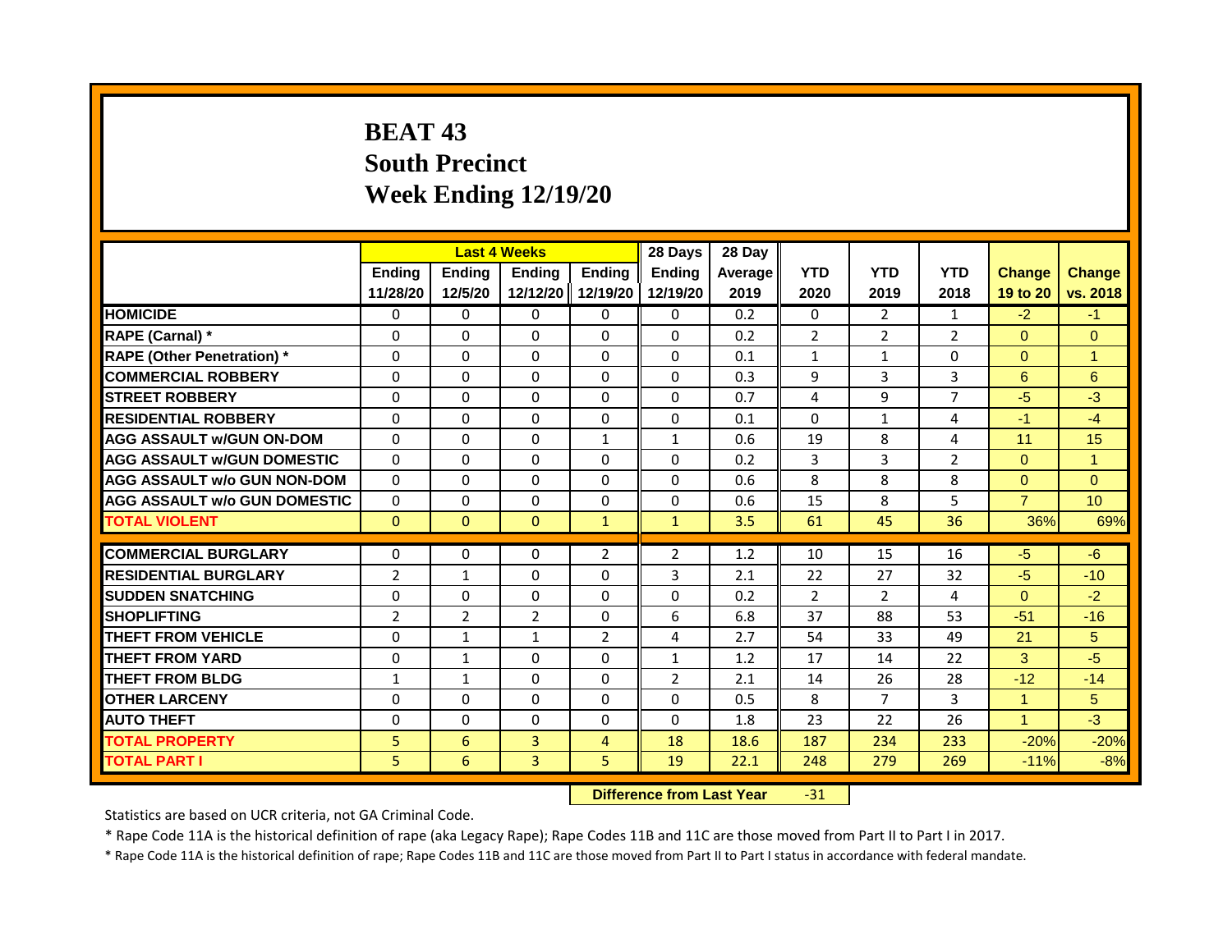# **BEAT 43 South Precinct Week Ending 12/19/20**

|                                     | <b>Last 4 Weeks</b><br>Ending<br>Ending<br><b>Ending</b> |                |                                  | 28 Days                   | 28 Day                    |                 |                    |                    |                    |                           |                           |
|-------------------------------------|----------------------------------------------------------|----------------|----------------------------------|---------------------------|---------------------------|-----------------|--------------------|--------------------|--------------------|---------------------------|---------------------------|
|                                     | 11/28/20                                                 | 12/5/20        | 12/12/20                         | <b>Endina</b><br>12/19/20 | <b>Endina</b><br>12/19/20 | Average<br>2019 | <b>YTD</b><br>2020 | <b>YTD</b><br>2019 | <b>YTD</b><br>2018 | <b>Change</b><br>19 to 20 | <b>Change</b><br>vs. 2018 |
| <b>HOMICIDE</b>                     | 0                                                        | 0              | $\mathbf{0}$                     | 0                         | 0                         | 0.2             | $\mathbf{0}$       | $\overline{2}$     | 1                  | $-2$                      | $-1$                      |
| RAPE (Carnal) *                     | 0                                                        | $\Omega$       | 0                                | $\Omega$                  | $\Omega$                  | 0.2             | $\overline{2}$     | $\overline{2}$     | 2                  | $\Omega$                  | $\Omega$                  |
| <b>RAPE (Other Penetration)</b> *   | $\Omega$                                                 | $\Omega$       | $\Omega$                         | $\Omega$                  | $\Omega$                  | 0.1             | $\mathbf{1}$       | $\mathbf{1}$       | $\Omega$           | $\Omega$                  | $\overline{1}$            |
| <b>COMMERCIAL ROBBERY</b>           | $\Omega$                                                 | $\Omega$       | $\Omega$                         | $\Omega$                  | $\Omega$                  | 0.3             | 9                  | 3                  | 3                  | 6                         | 6                         |
| <b>STREET ROBBERY</b>               | $\Omega$                                                 | $\Omega$       | 0                                | $\Omega$                  | $\Omega$                  | 0.7             | 4                  | 9                  | $\overline{7}$     | $-5$                      | $-3$                      |
| <b>RESIDENTIAL ROBBERY</b>          | $\Omega$                                                 | $\Omega$       | $\Omega$                         | $\Omega$                  | $\Omega$                  | 0.1             | $\Omega$           | $\mathbf{1}$       | $\overline{4}$     | $-1$                      | $-4$                      |
| <b>AGG ASSAULT w/GUN ON-DOM</b>     | $\Omega$                                                 | $\Omega$       | $\Omega$                         | $\mathbf{1}$              | $\mathbf{1}$              | 0.6             | 19                 | 8                  | 4                  | 11                        | 15                        |
| <b>AGG ASSAULT W/GUN DOMESTIC</b>   | $\Omega$                                                 | $\Omega$       | $\Omega$                         | $\Omega$                  | $\Omega$                  | 0.2             | 3                  | 3                  | 2                  | $\Omega$                  | $\blacktriangleleft$      |
| <b>AGG ASSAULT w/o GUN NON-DOM</b>  | $\Omega$                                                 | $\Omega$       | 0                                | $\Omega$                  | $\Omega$                  | 0.6             | 8                  | 8                  | 8                  | $\Omega$                  | $\Omega$                  |
| <b>AGG ASSAULT w/o GUN DOMESTIC</b> | $\Omega$                                                 | $\Omega$       | 0                                | $\Omega$                  | $\Omega$                  | 0.6             | 15                 | 8                  | 5                  | $\overline{7}$            | 10                        |
| <b>TOTAL VIOLENT</b>                | $\mathbf{0}$                                             | $\Omega$       | $\mathbf{0}$                     | $\mathbf{1}$              | $\mathbf{1}$              | 3.5             | 61                 | 45                 | 36                 | 36%                       | 69%                       |
|                                     |                                                          |                |                                  |                           |                           |                 |                    |                    |                    |                           |                           |
| <b>COMMERCIAL BURGLARY</b>          | $\Omega$                                                 | $\Omega$       | $\Omega$                         | $\overline{2}$            | $\overline{2}$            | 1.2             | 10                 | 15                 | 16                 | $-5$                      | $-6$                      |
| <b>RESIDENTIAL BURGLARY</b>         | $\overline{2}$                                           | $\mathbf{1}$   | $\Omega$                         | $\Omega$                  | 3                         | 2.1             | 22                 | 27                 | 32                 | $-5$                      | $-10$                     |
| <b>SUDDEN SNATCHING</b>             | $\Omega$                                                 | $\Omega$       | $\Omega$                         | $\Omega$                  | 0                         | 0.2             | $\overline{2}$     | $\overline{2}$     | 4                  | $\Omega$                  | $-2$                      |
| <b>SHOPLIFTING</b>                  | $\overline{2}$                                           | $\overline{2}$ | $\overline{2}$                   | $\Omega$                  | 6                         | 6.8             | 37                 | 88                 | 53                 | $-51$                     | $-16$                     |
| <b>THEFT FROM VEHICLE</b>           | $\Omega$                                                 | $\mathbf{1}$   | $\mathbf{1}$                     | $\overline{2}$            | 4                         | 2.7             | 54                 | 33                 | 49                 | 21                        | 5 <sup>5</sup>            |
| <b>THEFT FROM YARD</b>              | $\Omega$                                                 | $\mathbf{1}$   | $\Omega$                         | $\Omega$                  | $\mathbf{1}$              | 1.2             | 17                 | 14                 | 22                 | $\mathbf{3}$              | $-5$                      |
| <b>THEFT FROM BLDG</b>              | $\mathbf{1}$                                             | $\mathbf{1}$   | $\Omega$                         | $\Omega$                  | 2                         | 2.1             | 14                 | 26                 | 28                 | $-12$                     | $-14$                     |
| <b>OTHER LARCENY</b>                | $\Omega$                                                 | $\Omega$       | 0                                | $\Omega$                  | 0                         | 0.5             | 8                  | $\overline{7}$     | 3                  | $\blacktriangleleft$      | 5                         |
| <b>AUTO THEFT</b>                   | 0                                                        | $\Omega$       | $\Omega$                         | $\Omega$                  | $\Omega$                  | 1.8             | 23                 | 22                 | 26                 | $\overline{1}$            | $-3$                      |
| <b>TOTAL PROPERTY</b>               | 5                                                        | 6              | $\overline{3}$                   | $\overline{4}$            | 18                        | 18.6            | 187                | 234                | 233                | $-20%$                    | $-20%$                    |
| <b>TOTAL PART I</b>                 | 5                                                        | 6              | 3                                | 5                         | 19                        | 22.1            | 248                | 279                | 269                | $-11%$                    | $-8%$                     |
|                                     |                                                          |                | <b>Difference from Last Year</b> |                           | $-31$                     |                 |                    |                    |                    |                           |                           |

Statistics are based on UCR criteria, not GA Criminal Code.

\* Rape Code 11A is the historical definition of rape (aka Legacy Rape); Rape Codes 11B and 11C are those moved from Part II to Part I in 2017.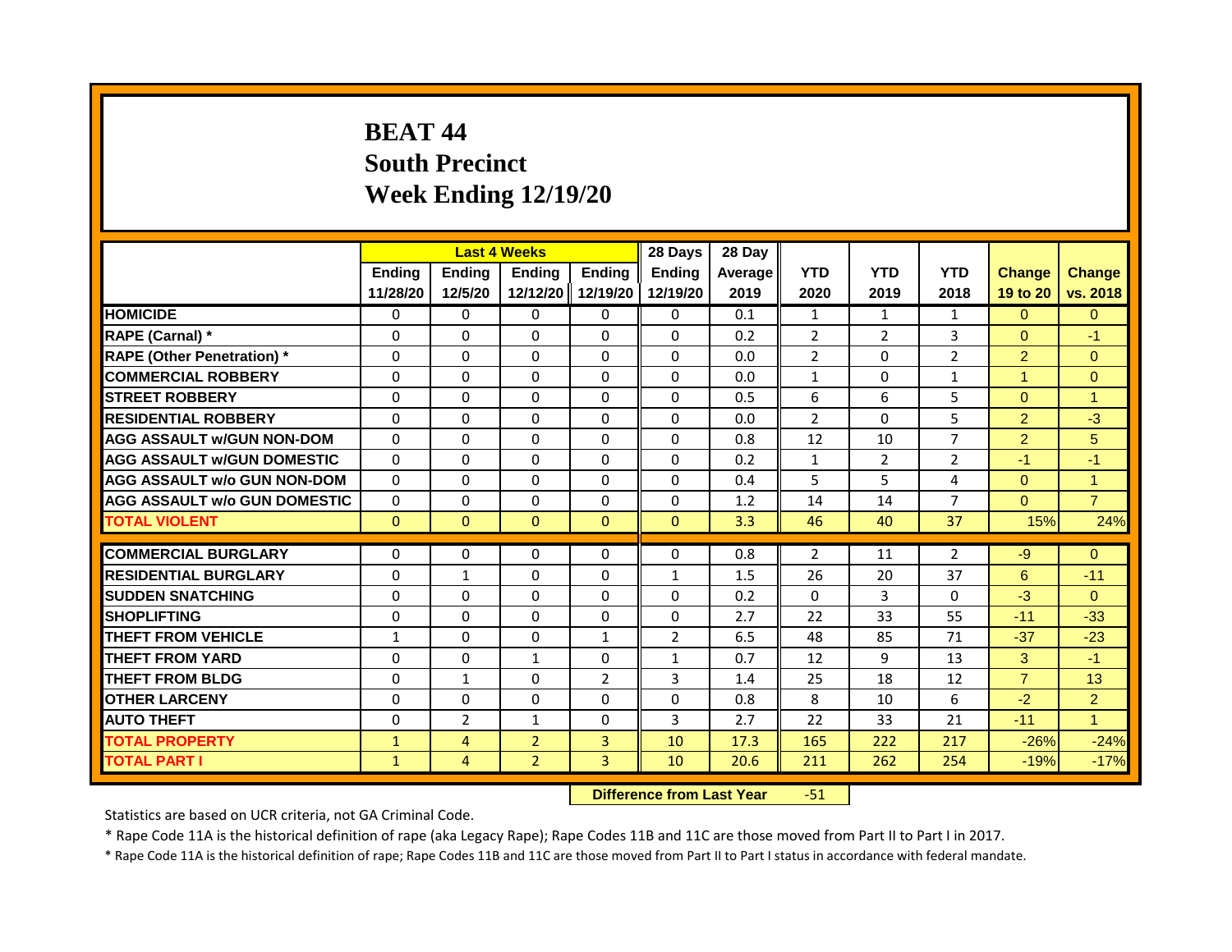## **BEAT 44 South Precinct Week Ending 12/19/20**

|                                     | <b>Last 4 Weeks</b><br>Ending<br>Ending<br><b>Ending</b> |                                  |                | 28 Days        | 28 Day         |         |                |                |                |                      |                      |
|-------------------------------------|----------------------------------------------------------|----------------------------------|----------------|----------------|----------------|---------|----------------|----------------|----------------|----------------------|----------------------|
|                                     |                                                          |                                  |                | <b>Ending</b>  | <b>Endina</b>  | Average | <b>YTD</b>     | <b>YTD</b>     | <b>YTD</b>     | <b>Change</b>        | <b>Change</b>        |
|                                     | 11/28/20                                                 | 12/5/20                          | 12/12/20       | 12/19/20       | 12/19/20       | 2019    | 2020           | 2019           | 2018           | 19 to 20             | vs. 2018             |
| <b>HOMICIDE</b>                     | 0                                                        | $\Omega$                         | $\mathbf{0}$   | 0              | 0              | 0.1     | $\mathbf{1}$   | $\mathbf{1}$   | $\mathbf{1}$   | $\Omega$             | $\Omega$             |
| RAPE (Carnal) *                     | $\Omega$                                                 | $\Omega$                         | $\Omega$       | $\mathbf{0}$   | $\Omega$       | 0.2     | 2              | $\overline{2}$ | 3              | $\overline{0}$       | $-1$                 |
| <b>RAPE (Other Penetration)</b> *   | $\Omega$                                                 | $\Omega$                         | $\Omega$       | $\Omega$       | $\Omega$       | 0.0     | $\overline{2}$ | $\Omega$       | $\overline{2}$ | $\overline{2}$       | $\Omega$             |
| <b>COMMERCIAL ROBBERY</b>           | $\Omega$                                                 | $\Omega$                         | $\Omega$       | $\Omega$       | $\Omega$       | 0.0     | $\mathbf{1}$   | $\Omega$       | $\mathbf{1}$   | $\blacktriangleleft$ | $\Omega$             |
| <b>STREET ROBBERY</b>               | $\Omega$                                                 | $\Omega$                         | $\Omega$       | $\mathbf{0}$   | $\Omega$       | 0.5     | 6              | 6              | 5              | $\Omega$             | $\overline{ }$       |
| <b>RESIDENTIAL ROBBERY</b>          | $\Omega$                                                 | $\Omega$                         | $\Omega$       | $\Omega$       | $\Omega$       | 0.0     | $\overline{2}$ | $\Omega$       | 5              | $\overline{2}$       | $-3$                 |
| <b>AGG ASSAULT w/GUN NON-DOM</b>    | $\Omega$                                                 | $\Omega$                         | $\Omega$       | $\Omega$       | $\Omega$       | 0.8     | 12             | 10             | $\overline{7}$ | $\overline{2}$       | 5                    |
| <b>AGG ASSAULT W/GUN DOMESTIC</b>   | $\Omega$                                                 | $\Omega$                         | $\Omega$       | $\Omega$       | $\Omega$       | 0.2     | $\mathbf{1}$   | $\overline{2}$ | $\overline{2}$ | $-1$                 | $-1$                 |
| <b>AGG ASSAULT w/o GUN NON-DOM</b>  | $\Omega$                                                 | $\Omega$                         | $\Omega$       | $\Omega$       | $\Omega$       | 0.4     | 5              | 5              | 4              | $\mathbf{0}$         | $\blacktriangleleft$ |
| <b>AGG ASSAULT w/o GUN DOMESTIC</b> | $\Omega$                                                 | $\Omega$                         | $\Omega$       | $\mathbf{0}$   | $\Omega$       | 1.2     | 14             | 14             | $\overline{7}$ | $\overline{0}$       | $\overline{7}$       |
| <b>TOTAL VIOLENT</b>                | $\Omega$                                                 | $\mathbf{0}$                     | $\Omega$       | $\mathbf{0}$   | $\Omega$       | 3.3     | 46             | 40             | 37             | 15%                  | 24%                  |
|                                     |                                                          |                                  |                |                |                |         |                |                |                |                      |                      |
| <b>COMMERCIAL BURGLARY</b>          | $\Omega$                                                 | $\Omega$                         | $\Omega$       | $\mathbf{0}$   | $\Omega$       | 0.8     | 2              | 11             | $\overline{2}$ | -9                   | $\Omega$             |
| <b>RESIDENTIAL BURGLARY</b>         | $\Omega$                                                 | $\mathbf{1}$                     | $\Omega$       | $\Omega$       | $\mathbf{1}$   | 1.5     | 26             | 20             | 37             | 6                    | $-11$                |
| <b>SUDDEN SNATCHING</b>             | $\Omega$                                                 | $\Omega$                         | $\Omega$       | $\mathbf{0}$   | $\Omega$       | 0.2     | $\Omega$       | $\overline{3}$ | $\Omega$       | $-3$                 | $\Omega$             |
| <b>SHOPLIFTING</b>                  | 0                                                        | $\Omega$                         | $\Omega$       | $\mathbf{0}$   | 0              | 2.7     | 22             | 33             | 55             | $-11$                | $-33$                |
| <b>THEFT FROM VEHICLE</b>           | 1                                                        | $\Omega$                         | $\Omega$       | $\mathbf{1}$   | $\overline{2}$ | 6.5     | 48             | 85             | 71             | $-37$                | $-23$                |
| <b>THEFT FROM YARD</b>              | $\Omega$                                                 | $\Omega$                         | $\mathbf{1}$   | $\Omega$       | $\mathbf{1}$   | 0.7     | 12             | 9              | 13             | $\mathbf{3}$         | $-1$                 |
| <b>THEFT FROM BLDG</b>              | $\Omega$                                                 | $\mathbf{1}$                     | $\Omega$       | 2              | 3              | 1.4     | 25             | 18             | 12             | $\mathbf{7}$         | 13                   |
| <b>OTHER LARCENY</b>                | 0                                                        | 0                                | $\Omega$       | $\Omega$       | $\Omega$       | 0.8     | 8              | 10             | 6              | $-2$                 | $\overline{2}$       |
| <b>AUTO THEFT</b>                   | $\Omega$                                                 | $\overline{2}$                   | $\mathbf{1}$   | $\mathbf{0}$   | 3              | 2.7     | 22             | 33             | 21             | $-11$                | $\mathbf{1}$         |
| <b>TOTAL PROPERTY</b>               | $\mathbf{1}$                                             | $\overline{4}$                   | $\overline{2}$ | $\overline{3}$ | 10             | 17.3    | 165            | 222            | 217            | $-26%$               | $-24%$               |
| <b>TOTAL PART I</b>                 | $\mathbf{1}$                                             | 4                                | $\overline{2}$ | 3              | 10             | 20.6    | 211            | 262            | 254            | $-19%$               | $-17%$               |
|                                     |                                                          | <b>Difference from Last Year</b> |                | $-51$          |                |         |                |                |                |                      |                      |

Statistics are based on UCR criteria, not GA Criminal Code.

\* Rape Code 11A is the historical definition of rape (aka Legacy Rape); Rape Codes 11B and 11C are those moved from Part II to Part I in 2017.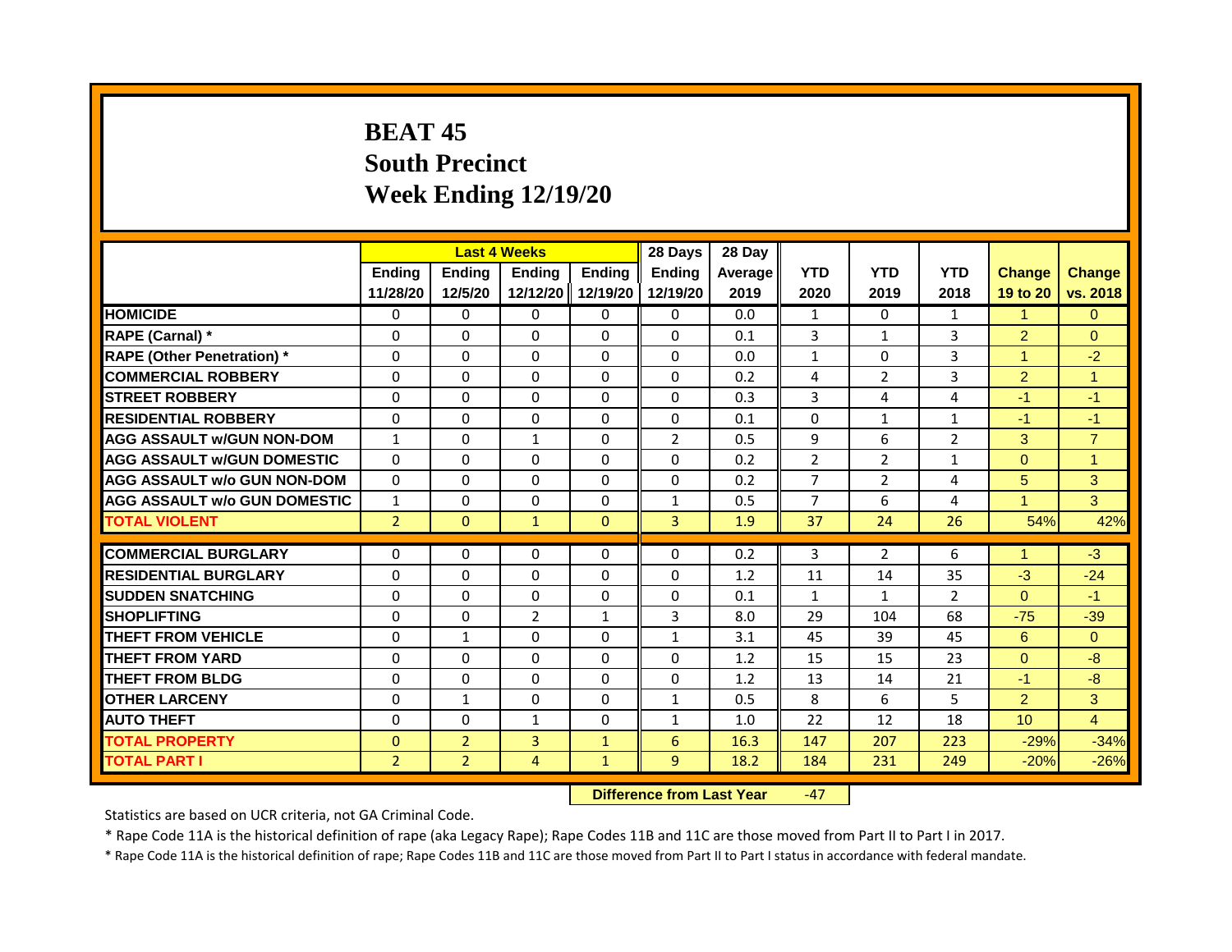# **BEAT 45 South Precinct Week Ending 12/19/20**

|                                     | <b>Last 4 Weeks</b><br>Ending<br><b>Ending</b><br><b>Ending</b> |                |                                  | 28 Days       | 28 Day         |         |                |                |                |                |                      |
|-------------------------------------|-----------------------------------------------------------------|----------------|----------------------------------|---------------|----------------|---------|----------------|----------------|----------------|----------------|----------------------|
|                                     |                                                                 |                |                                  | <b>Ending</b> | <b>Endina</b>  | Average | <b>YTD</b>     | <b>YTD</b>     | <b>YTD</b>     | <b>Change</b>  | <b>Change</b>        |
|                                     | 11/28/20                                                        | 12/5/20        | 12/12/20 12/19/20                |               | 12/19/20       | 2019    | 2020           | 2019           | 2018           | 19 to 20       | vs. 2018             |
| <b>HOMICIDE</b>                     | $\mathbf{0}$                                                    | $\mathbf{0}$   | $\mathbf{0}$                     | $\mathbf{0}$  | 0              | 0.0     | $\mathbf{1}$   | $\mathbf{0}$   | $\mathbf{1}$   | $\mathbf{1}$   | $\Omega$             |
| RAPE (Carnal) *                     | $\Omega$                                                        | $\Omega$       | $\Omega$                         | $\Omega$      | $\Omega$       | 0.1     | $\overline{3}$ | $\mathbf{1}$   | 3              | $\overline{2}$ | $\Omega$             |
| <b>RAPE (Other Penetration)</b> *   | $\Omega$                                                        | $\Omega$       | $\Omega$                         | $\Omega$      | $\Omega$       | 0.0     | $\mathbf{1}$   | $\Omega$       | 3              | $\overline{1}$ | $-2$                 |
| <b>COMMERCIAL ROBBERY</b>           | $\Omega$                                                        | $\Omega$       | $\Omega$                         | $\Omega$      | $\Omega$       | 0.2     | 4              | $\overline{2}$ | $\overline{3}$ | $\overline{2}$ | $\blacktriangleleft$ |
| <b>STREET ROBBERY</b>               | $\Omega$                                                        | $\Omega$       | $\Omega$                         | $\Omega$      | $\Omega$       | 0.3     | $\overline{3}$ | 4              | 4              | $-1$           | $-1$                 |
| <b>RESIDENTIAL ROBBERY</b>          | $\Omega$                                                        | $\Omega$       | $\Omega$                         | $\Omega$      | $\Omega$       | 0.1     | $\Omega$       | $\mathbf{1}$   | $\mathbf{1}$   | $-1$           | $-1$                 |
| <b>AGG ASSAULT w/GUN NON-DOM</b>    | $\mathbf{1}$                                                    | $\Omega$       | $\mathbf{1}$                     | $\Omega$      | $\overline{2}$ | 0.5     | 9              | 6              | $\overline{2}$ | 3              | $\overline{7}$       |
| <b>AGG ASSAULT w/GUN DOMESTIC</b>   | $\Omega$                                                        | $\Omega$       | $\Omega$                         | $\Omega$      | $\Omega$       | 0.2     | $\overline{2}$ | $\overline{2}$ | $\mathbf{1}$   | $\Omega$       | $\mathbf{1}$         |
| <b>AGG ASSAULT w/o GUN NON-DOM</b>  | $\Omega$                                                        | $\Omega$       | $\Omega$                         | $\Omega$      | $\Omega$       | 0.2     | $\overline{7}$ | $\overline{2}$ | 4              | 5              | 3                    |
| <b>AGG ASSAULT W/o GUN DOMESTIC</b> | $\mathbf{1}$                                                    | $\Omega$       | $\Omega$                         | $\Omega$      | $\mathbf{1}$   | 0.5     | $\overline{7}$ | 6              | 4              | 4              | 3                    |
| <b>TOTAL VIOLENT</b>                | $\overline{2}$                                                  | $\mathbf{0}$   | $\mathbf{1}$                     | $\Omega$      | $\overline{3}$ | 1.9     | 37             | 24             | 26             | 54%            | 42%                  |
|                                     |                                                                 |                |                                  |               |                |         |                |                |                | 1              |                      |
| <b>COMMERCIAL BURGLARY</b>          | $\Omega$                                                        | $\Omega$       | $\Omega$                         | $\Omega$      | $\Omega$       | 0.2     | 3              | $\overline{2}$ | 6              |                | $-3$                 |
| <b>RESIDENTIAL BURGLARY</b>         | $\Omega$                                                        | $\Omega$       | $\mathbf{0}$                     | $\Omega$      | $\Omega$       | 1.2     | 11             | 14             | 35             | $-3$           | $-24$                |
| <b>SUDDEN SNATCHING</b>             | $\Omega$                                                        | $\Omega$       | $\Omega$                         | $\Omega$      | $\Omega$       | 0.1     | $\mathbf{1}$   | $\mathbf{1}$   | 2              | $\Omega$       | $-1$                 |
| <b>SHOPLIFTING</b>                  | $\Omega$                                                        | $\Omega$       | $\overline{2}$                   | $\mathbf{1}$  | 3              | 8.0     | 29             | 104            | 68             | $-75$          | $-39$                |
| <b>THEFT FROM VEHICLE</b>           | $\Omega$                                                        | $\mathbf{1}$   | $\Omega$                         | $\Omega$      | $\mathbf{1}$   | 3.1     | 45             | 39             | 45             | 6              | $\Omega$             |
| <b>THEFT FROM YARD</b>              | $\Omega$                                                        | $\Omega$       | $\mathbf{0}$                     | $\Omega$      | $\Omega$       | 1.2     | 15             | 15             | 23             | $\overline{0}$ | $-8$                 |
| <b>THEFT FROM BLDG</b>              | $\Omega$                                                        | $\Omega$       | $\Omega$                         | $\Omega$      | $\Omega$       | 1.2     | 13             | 14             | 21             | $-1$           | $-8$                 |
| <b>OTHER LARCENY</b>                | $\Omega$                                                        | $\mathbf{1}$   | $\Omega$                         | $\Omega$      | $\mathbf{1}$   | 0.5     | 8              | 6              | 5              | 2 <sup>1</sup> | 3                    |
| <b>AUTO THEFT</b>                   | $\Omega$                                                        | $\Omega$       | $\mathbf{1}$                     | $\Omega$      | $\mathbf{1}$   | 1.0     | 22             | 12             | 18             | 10             | $\overline{4}$       |
| <b>TOTAL PROPERTY</b>               | $\Omega$                                                        | $\overline{2}$ | $\overline{3}$                   | $\mathbf{1}$  | 6              | 16.3    | 147            | 207            | 223            | $-29%$         | $-34%$               |
| <b>TOTAL PART I</b>                 | $\overline{2}$                                                  | $\overline{2}$ | $\overline{4}$                   | $\mathbf{1}$  | 9              | 18.2    | 184            | 231            | 249            | $-20%$         | $-26%$               |
|                                     |                                                                 |                | <b>Difference from Last Year</b> |               | $-47$          |         |                |                |                |                |                      |

Statistics are based on UCR criteria, not GA Criminal Code.

\* Rape Code 11A is the historical definition of rape (aka Legacy Rape); Rape Codes 11B and 11C are those moved from Part II to Part I in 2017.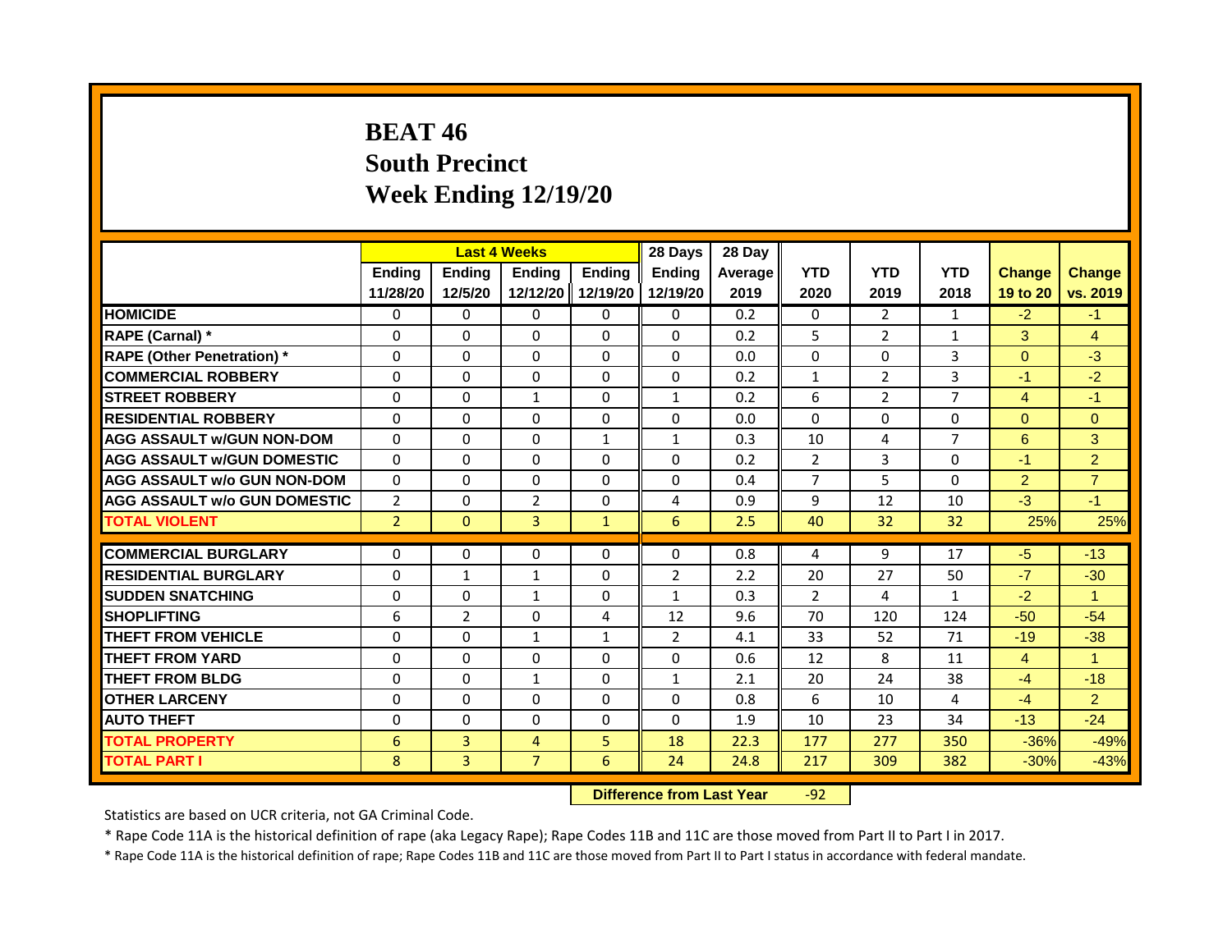## **BEAT 46 South Precinct Week Ending 12/19/20**

|                                     | <b>Last 4 Weeks</b> |                |                                  | 28 Days       | 28 Day         |         |                |                |                |                |                |
|-------------------------------------|---------------------|----------------|----------------------------------|---------------|----------------|---------|----------------|----------------|----------------|----------------|----------------|
|                                     | <b>Ending</b>       | <b>Ending</b>  | Ending                           | <b>Ending</b> | Endina         | Average | <b>YTD</b>     | <b>YTD</b>     | <b>YTD</b>     | <b>Change</b>  | <b>Change</b>  |
|                                     | 11/28/20            | 12/5/20        | 12/12/20                         | 12/19/20      | 12/19/20       | 2019    | 2020           | 2019           | 2018           | 19 to 20       | vs. 2019       |
| <b>HOMICIDE</b>                     | 0                   | 0              | 0                                | 0             | 0              | 0.2     | $\mathbf{0}$   | $\overline{2}$ | $\mathbf{1}$   | $-2$           | $-1$           |
| RAPE (Carnal) *                     | 0                   | $\Omega$       | $\Omega$                         | $\Omega$      | $\Omega$       | 0.2     | 5              | $\overline{2}$ | 1              | 3              | $\overline{4}$ |
| <b>RAPE (Other Penetration) *</b>   | $\Omega$            | $\mathbf{0}$   | $\Omega$                         | $\Omega$      | $\Omega$       | 0.0     | $\Omega$       | $\Omega$       | 3              | $\Omega$       | $-3$           |
| <b>COMMERCIAL ROBBERY</b>           | 0                   | 0              | 0                                | 0             | 0              | 0.2     | $\mathbf{1}$   | $\overline{2}$ | 3              | $-1$           | $-2$           |
| <b>STREET ROBBERY</b>               | $\Omega$            | $\Omega$       | $\mathbf{1}$                     | $\Omega$      | $\mathbf{1}$   | 0.2     | 6              | $\overline{2}$ | 7              | $\overline{4}$ | $-1$           |
| <b>RESIDENTIAL ROBBERY</b>          | $\Omega$            | $\Omega$       | $\Omega$                         | 0             | $\Omega$       | 0.0     | $\Omega$       | $\mathbf{0}$   | 0              | $\Omega$       | $\overline{0}$ |
| <b>AGG ASSAULT w/GUN NON-DOM</b>    | $\Omega$            | $\Omega$       | $\Omega$                         | $\mathbf{1}$  | $\mathbf{1}$   | 0.3     | 10             | 4              | $\overline{7}$ | 6              | 3              |
| <b>AGG ASSAULT W/GUN DOMESTIC</b>   | $\Omega$            | $\Omega$       | $\Omega$                         | $\Omega$      | $\Omega$       | 0.2     | $\overline{2}$ | 3              | 0              | $-1$           | $\overline{2}$ |
| <b>AGG ASSAULT w/o GUN NON-DOM</b>  | $\Omega$            | 0              | $\Omega$                         | $\Omega$      | $\Omega$       | 0.4     | $\overline{7}$ | 5              | 0              | $\overline{2}$ | $\overline{7}$ |
| <b>AGG ASSAULT w/o GUN DOMESTIC</b> | 2                   | 0              | $\overline{2}$                   | 0             | 4              | 0.9     | 9              | 12             | 10             | $-3$           | $-1$           |
| <b>TOTAL VIOLENT</b>                | $\overline{2}$      | $\mathbf{0}$   | $\overline{3}$                   | $\mathbf{1}$  | 6              | 2.5     | 40             | 32             | 32             | 25%            | 25%            |
| <b>COMMERCIAL BURGLARY</b>          | 0                   | 0              | 0                                | 0             | $\Omega$       | 0.8     | 4              | 9              | 17             | $-5$           | $-13$          |
| <b>RESIDENTIAL BURGLARY</b>         | $\Omega$            | $\mathbf{1}$   | $\mathbf{1}$                     | $\Omega$      | $\overline{2}$ | 2.2     | 20             | 27             | 50             | $-7$           | $-30$          |
| <b>SUDDEN SNATCHING</b>             | $\Omega$            | $\Omega$       | $\mathbf{1}$                     | $\Omega$      | $\mathbf{1}$   | 0.3     | $\overline{2}$ | 4              | $\mathbf{1}$   | $-2$           | $\mathbf{1}$   |
|                                     |                     |                |                                  |               |                |         |                |                |                |                |                |
| <b>SHOPLIFTING</b>                  | 6                   | $\overline{2}$ | $\Omega$                         | 4             | 12             | 9.6     | 70             | 120            | 124            | $-50$          | $-54$          |
| <b>THEFT FROM VEHICLE</b>           | $\Omega$            | $\Omega$       | $\mathbf{1}$                     | $\mathbf{1}$  | 2              | 4.1     | 33             | 52             | 71             | $-19$          | $-38$          |
| <b>THEFT FROM YARD</b>              | $\Omega$            | $\Omega$       | $\Omega$                         | $\Omega$      | $\Omega$       | 0.6     | 12             | 8              | 11             | $\overline{4}$ | $\mathbf{1}$   |
| <b>THEFT FROM BLDG</b>              | $\Omega$            | $\Omega$       | $\mathbf{1}$                     | $\Omega$      | $\mathbf{1}$   | 2.1     | 20             | 24             | 38             | $-4$           | $-18$          |
| <b>OTHER LARCENY</b>                | $\Omega$            | $\Omega$       | $\Omega$                         | $\Omega$      | $\Omega$       | 0.8     | 6              | 10             | 4              | $-4$           | $\overline{2}$ |
| <b>AUTO THEFT</b>                   | 0                   | 0              | 0                                | 0             | $\Omega$       | 1.9     | 10             | 23             | 34             | $-13$          | $-24$          |
| <b>TOTAL PROPERTY</b>               | 6                   | $\overline{3}$ | $\overline{4}$                   | 5             | 18             | 22.3    | 177            | 277            | 350            | $-36%$         | $-49%$         |
| <b>TOTAL PART I</b>                 | 8                   | $\overline{3}$ | $\overline{7}$                   | 6             | 24             | 24.8    | 217            | 309            | 382            | $-30%$         | $-43%$         |
|                                     |                     |                | <b>Difference from Last Year</b> |               | $-92$          |         |                |                |                |                |                |

Statistics are based on UCR criteria, not GA Criminal Code.

\* Rape Code 11A is the historical definition of rape (aka Legacy Rape); Rape Codes 11B and 11C are those moved from Part II to Part I in 2017.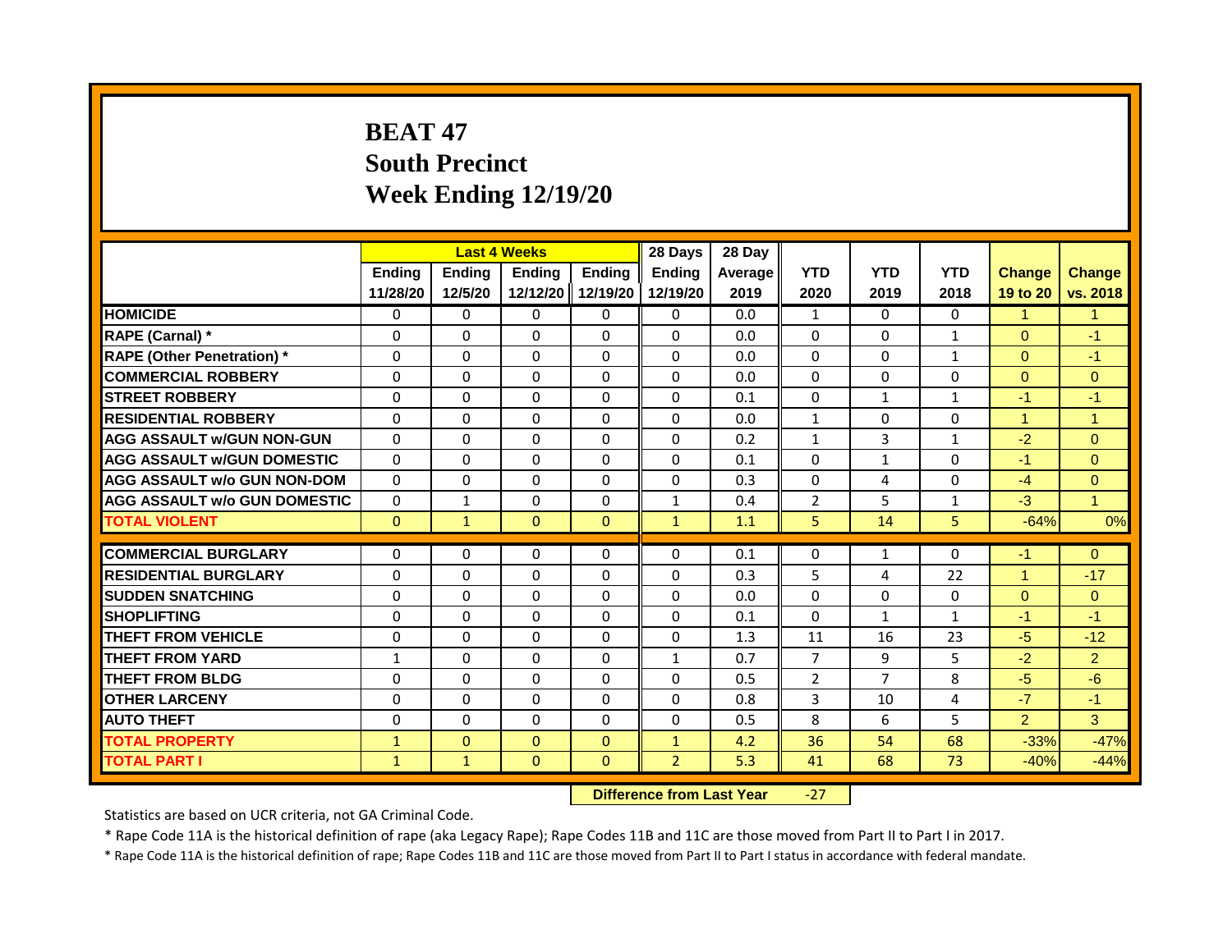# **BEAT 47 South Precinct Week Ending 12/19/20**

|                                     | <b>Last 4 Weeks</b><br><b>Ending</b><br>Ending<br>Ending |              |                                  | 28 Days           | 28 Day         |         |                |                |              |                |                |
|-------------------------------------|----------------------------------------------------------|--------------|----------------------------------|-------------------|----------------|---------|----------------|----------------|--------------|----------------|----------------|
|                                     |                                                          |              |                                  | <b>Ending</b>     | <b>Endina</b>  | Average | <b>YTD</b>     | <b>YTD</b>     | <b>YTD</b>   | <b>Change</b>  | <b>Change</b>  |
|                                     | 11/28/20                                                 | 12/5/20      |                                  | 12/12/20 12/19/20 | 12/19/20       | 2019    | 2020           | 2019           | 2018         | 19 to 20       | vs. 2018       |
| <b>HOMICIDE</b>                     | 0                                                        | $\Omega$     | $\mathbf{0}$                     | $\Omega$          | $\Omega$       | 0.0     | $\mathbf{1}$   | $\Omega$       | $\Omega$     | $\mathbf{1}$   | $\mathbf{1}$   |
| RAPE (Carnal) *                     | $\Omega$                                                 | $\Omega$     | $\Omega$                         | $\Omega$          | $\Omega$       | 0.0     | $\Omega$       | $\Omega$       | 1            | $\mathbf{0}$   | $-1$           |
| <b>RAPE (Other Penetration)</b> *   | $\Omega$                                                 | $\Omega$     | $\Omega$                         | $\Omega$          | $\Omega$       | 0.0     | $\Omega$       | $\Omega$       | $\mathbf{1}$ | $\Omega$       | $-1$           |
| <b>COMMERCIAL ROBBERY</b>           | $\Omega$                                                 | $\Omega$     | $\Omega$                         | $\Omega$          | $\Omega$       | 0.0     | $\Omega$       | $\Omega$       | 0            | $\mathbf{0}$   | $\overline{0}$ |
| <b>STREET ROBBERY</b>               | $\Omega$                                                 | $\Omega$     | $\Omega$                         | $\Omega$          | $\Omega$       | 0.1     | $\Omega$       | $\mathbf{1}$   | $\mathbf{1}$ | $-1$           | $-1$           |
| <b>RESIDENTIAL ROBBERY</b>          | $\Omega$                                                 | $\Omega$     | $\Omega$                         | $\Omega$          | $\Omega$       | 0.0     | $\mathbf{1}$   | $\Omega$       | $\Omega$     | $\mathbf{1}$   | $\mathbf{1}$   |
| <b>AGG ASSAULT w/GUN NON-GUN</b>    | $\Omega$                                                 | $\Omega$     | $\Omega$                         | $\Omega$          | $\Omega$       | 0.2     | $\mathbf{1}$   | $\mathbf{3}$   | $\mathbf{1}$ | $-2$           | $\Omega$       |
| <b>AGG ASSAULT W/GUN DOMESTIC</b>   | $\Omega$                                                 | $\Omega$     | $\Omega$                         | $\Omega$          | $\Omega$       | 0.1     | $\Omega$       | $\mathbf{1}$   | $\Omega$     | $-1$           | $\Omega$       |
| <b>AGG ASSAULT w/o GUN NON-DOM</b>  | $\Omega$                                                 | $\Omega$     | $\Omega$                         | $\Omega$          | $\Omega$       | 0.3     | $\Omega$       | 4              | 0            | $-4$           | $\Omega$       |
| <b>AGG ASSAULT w/o GUN DOMESTIC</b> | $\Omega$                                                 | $\mathbf{1}$ | $\Omega$                         | $\Omega$          | 1              | 0.4     | $\overline{2}$ | 5              | $\mathbf{1}$ | $-3$           | $\mathbf{1}$   |
| <b>TOTAL VIOLENT</b>                | $\mathbf{0}$                                             | $\mathbf{1}$ | $\mathbf{0}$                     | $\mathbf{0}$      | $\mathbf{1}$   | 1.1     | 5              | 14             | 5.           | $-64%$         | 0%             |
| <b>COMMERCIAL BURGLARY</b>          | $\Omega$                                                 | $\Omega$     | $\Omega$                         | $\Omega$          | $\Omega$       | 0.1     | $\Omega$       | 1              | $\Omega$     | $-1$           | $\Omega$       |
| <b>RESIDENTIAL BURGLARY</b>         | $\Omega$                                                 | $\Omega$     | $\Omega$                         | $\Omega$          | $\Omega$       | 0.3     | 5              | 4              | 22           | $\mathbf{1}$   | $-17$          |
| <b>SUDDEN SNATCHING</b>             | $\Omega$                                                 | $\Omega$     | $\Omega$                         | $\Omega$          | $\Omega$       | 0.0     | $\Omega$       | $\Omega$       | 0            | $\Omega$       | $\Omega$       |
| <b>SHOPLIFTING</b>                  |                                                          |              |                                  |                   |                |         |                |                |              |                |                |
|                                     | $\Omega$                                                 | $\Omega$     | $\Omega$                         | $\Omega$          | $\Omega$       | 0.1     | $\Omega$       | $\mathbf{1}$   | $\mathbf{1}$ | $-1$           | $-1$           |
| <b>THEFT FROM VEHICLE</b>           | $\Omega$                                                 | $\Omega$     | $\Omega$                         | $\Omega$          | $\Omega$       | 1.3     | 11             | 16             | 23           | $-5$           | $-12$          |
| <b>THEFT FROM YARD</b>              | $\mathbf{1}$                                             | $\Omega$     | $\Omega$                         | $\Omega$          | $\mathbf{1}$   | 0.7     | $\overline{7}$ | 9              | 5            | $-2$           | $\overline{2}$ |
| <b>THEFT FROM BLDG</b>              | $\Omega$                                                 | $\Omega$     | $\Omega$                         | $\Omega$          | $\Omega$       | 0.5     | $\overline{2}$ | $\overline{7}$ | 8            | $-5$           | $-6$           |
| <b>OTHER LARCENY</b>                | $\Omega$                                                 | $\Omega$     | $\Omega$                         | $\Omega$          | $\Omega$       | 0.8     | 3              | 10             | 4            | $-7$           | $-1$           |
| <b>AUTO THEFT</b>                   | $\Omega$                                                 | $\Omega$     | $\Omega$                         | $\mathbf{0}$      | $\Omega$       | 0.5     | 8              | 6              | 5            | $\overline{2}$ | 3              |
| <b>TOTAL PROPERTY</b>               | $\mathbf{1}$                                             | $\Omega$     | $\Omega$                         | $\Omega$          | $\mathbf{1}$   | 4.2     | 36             | 54             | 68           | $-33%$         | $-47%$         |
| <b>TOTAL PART I</b>                 | $\mathbf{1}$                                             | $\mathbf{1}$ | $\mathbf{0}$                     | $\mathbf{0}$      | $\overline{2}$ | 5.3     | 41             | 68             | 73           | $-40%$         | $-44%$         |
|                                     |                                                          |              | <b>Difference from Last Year</b> |                   | $-27$          |         |                |                |              |                |                |

Statistics are based on UCR criteria, not GA Criminal Code.

\* Rape Code 11A is the historical definition of rape (aka Legacy Rape); Rape Codes 11B and 11C are those moved from Part II to Part I in 2017.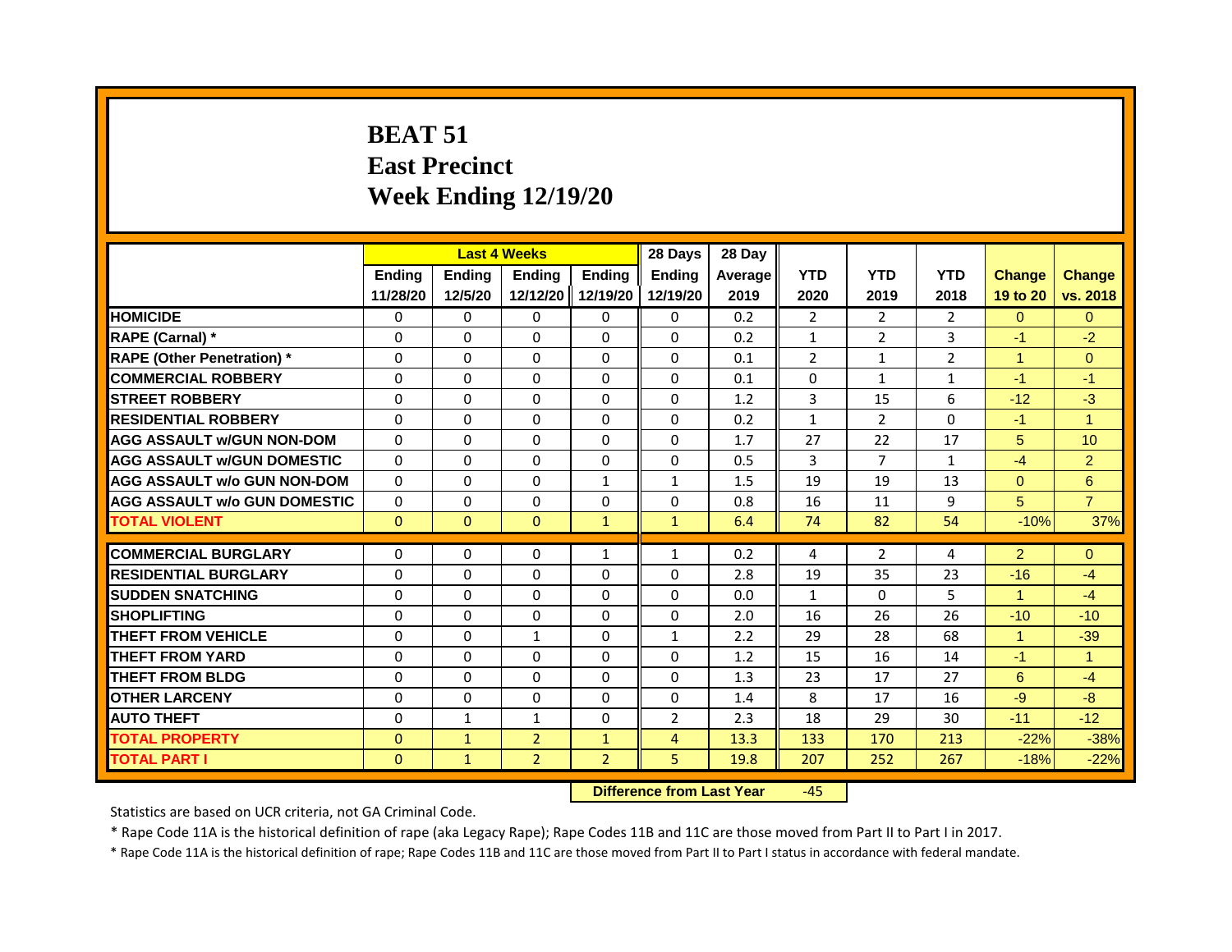# **BEAT 51 East Precinct Week Ending 12/19/20**

|                                     |               |               | <b>Last 4 Weeks</b> |                | 28 Days        | 28 Day  |                |                |                |                      |                      |
|-------------------------------------|---------------|---------------|---------------------|----------------|----------------|---------|----------------|----------------|----------------|----------------------|----------------------|
|                                     | <b>Ending</b> | <b>Ending</b> | <b>Ending</b>       | <b>Ending</b>  | <b>Ending</b>  | Average | <b>YTD</b>     | <b>YTD</b>     | <b>YTD</b>     | <b>Change</b>        | <b>Change</b>        |
|                                     | 11/28/20      | 12/5/20       | 12/12/20            | 12/19/20       | 12/19/20       | 2019    | 2020           | 2019           | 2018           | 19 to 20             | vs. 2018             |
| <b>HOMICIDE</b>                     | 0             | $\Omega$      | $\mathbf{0}$        | $\mathbf{0}$   | 0              | 0.2     | $\overline{2}$ | $\overline{2}$ | $\overline{2}$ | $\Omega$             | $\Omega$             |
| RAPE (Carnal) *                     | 0             | 0             | $\Omega$            | $\Omega$       | $\Omega$       | 0.2     | $\mathbf{1}$   | $\overline{2}$ | 3              | $-1$                 | $-2$                 |
| <b>RAPE (Other Penetration)</b> *   | $\Omega$      | $\Omega$      | $\Omega$            | $\Omega$       | $\Omega$       | 0.1     | $\overline{2}$ | $\mathbf{1}$   | $\overline{2}$ | $\overline{1}$       | $\overline{0}$       |
| <b>COMMERCIAL ROBBERY</b>           | $\Omega$      | $\Omega$      | $\Omega$            | $\Omega$       | $\Omega$       | 0.1     | $\Omega$       | $\mathbf{1}$   | $\mathbf{1}$   | $-1$                 | $-1$                 |
| <b>STREET ROBBERY</b>               | $\Omega$      | $\Omega$      | $\Omega$            | $\Omega$       | $\Omega$       | 1.2     | 3              | 15             | 6              | $-12$                | $-3$                 |
| <b>RESIDENTIAL ROBBERY</b>          | $\Omega$      | $\Omega$      | $\Omega$            | $\Omega$       | $\Omega$       | 0.2     | $\mathbf{1}$   | $\overline{2}$ | $\Omega$       | $-1$                 | $\blacktriangleleft$ |
| <b>AGG ASSAULT w/GUN NON-DOM</b>    | $\Omega$      | $\Omega$      | $\Omega$            | $\Omega$       | $\Omega$       | 1.7     | 27             | 22             | 17             | 5                    | 10                   |
| <b>AGG ASSAULT W/GUN DOMESTIC</b>   | $\Omega$      | $\Omega$      | $\Omega$            | $\Omega$       | $\Omega$       | 0.5     | 3              | $\overline{7}$ | $\mathbf{1}$   | $-4$                 | $\overline{2}$       |
| <b>AGG ASSAULT w/o GUN NON-DOM</b>  | $\Omega$      | $\Omega$      | $\Omega$            | $\mathbf{1}$   | $\mathbf{1}$   | 1.5     | 19             | 19             | 13             | $\mathbf{0}$         | 6                    |
| <b>AGG ASSAULT W/o GUN DOMESTIC</b> | $\Omega$      | $\Omega$      | $\mathbf{0}$        | $\Omega$       | $\Omega$       | 0.8     | 16             | 11             | 9              | 5                    | $\overline{7}$       |
| <b>TOTAL VIOLENT</b>                | $\mathbf{0}$  | $\mathbf{0}$  | $\Omega$            | $\mathbf{1}$   | $\mathbf{1}$   | 6.4     | 74             | 82             | 54             | $-10%$               | 37%                  |
| <b>COMMERCIAL BURGLARY</b>          | 0             | 0             | 0                   | $\mathbf{1}$   | $\mathbf{1}$   | 0.2     | 4              | 2              | 4              | $\overline{2}$       | $\Omega$             |
| <b>RESIDENTIAL BURGLARY</b>         | $\Omega$      | $\Omega$      | $\mathbf{0}$        | $\Omega$       | $\Omega$       | 2.8     | 19             | 35             | 23             | $-16$                | $-4$                 |
| <b>SUDDEN SNATCHING</b>             | $\Omega$      | $\Omega$      | $\Omega$            | $\Omega$       | $\Omega$       | 0.0     | $\mathbf{1}$   | $\Omega$       | 5              | $\blacktriangleleft$ | $-4$                 |
| <b>SHOPLIFTING</b>                  | 0             | 0             | 0                   | $\Omega$       | 0              | 2.0     | 16             | 26             | 26             | $-10$                | $-10$                |
| <b>THEFT FROM VEHICLE</b>           | $\Omega$      | $\Omega$      | $\mathbf{1}$        | $\Omega$       | $\mathbf{1}$   | 2.2     | 29             | 28             | 68             | 1                    | $-39$                |
| <b>THEFT FROM YARD</b>              | 0             | $\Omega$      | 0                   | $\Omega$       | $\Omega$       | 1.2     | 15             | 16             | 14             | $-1$                 | $\overline{1}$       |
| <b>THEFT FROM BLDG</b>              | $\Omega$      | $\Omega$      | $\Omega$            | $\Omega$       | $\Omega$       | 1.3     | 23             | 17             | 27             | 6                    | $-4$                 |
| <b>OTHER LARCENY</b>                | 0             | $\mathbf{0}$  | 0                   | 0              | $\Omega$       | 1.4     | 8              | 17             | 16             | $-9$                 | $-8$                 |
| <b>AUTO THEFT</b>                   | $\Omega$      | $\mathbf{1}$  | $\mathbf{1}$        | $\Omega$       | $\overline{2}$ | 2.3     | 18             | 29             | 30             | $-11$                | $-12$                |
| <b>TOTAL PROPERTY</b>               | $\Omega$      | $\mathbf{1}$  | $\overline{2}$      | $\mathbf{1}$   | $\overline{4}$ | 13.3    | 133            | 170            | 213            | $-22%$               | $-38%$               |
| <b>TOTAL PART I</b>                 | $\mathbf 0$   | $\mathbf{1}$  | $\overline{2}$      | $\overline{2}$ | 5              | 19.8    | 207            | 252            | 267            | $-18%$               | $-22%$               |
|                                     |               |               |                     |                |                |         |                |                |                |                      |                      |

**Difference from Last Year** -45

Statistics are based on UCR criteria, not GA Criminal Code.

\* Rape Code 11A is the historical definition of rape (aka Legacy Rape); Rape Codes 11B and 11C are those moved from Part II to Part I in 2017.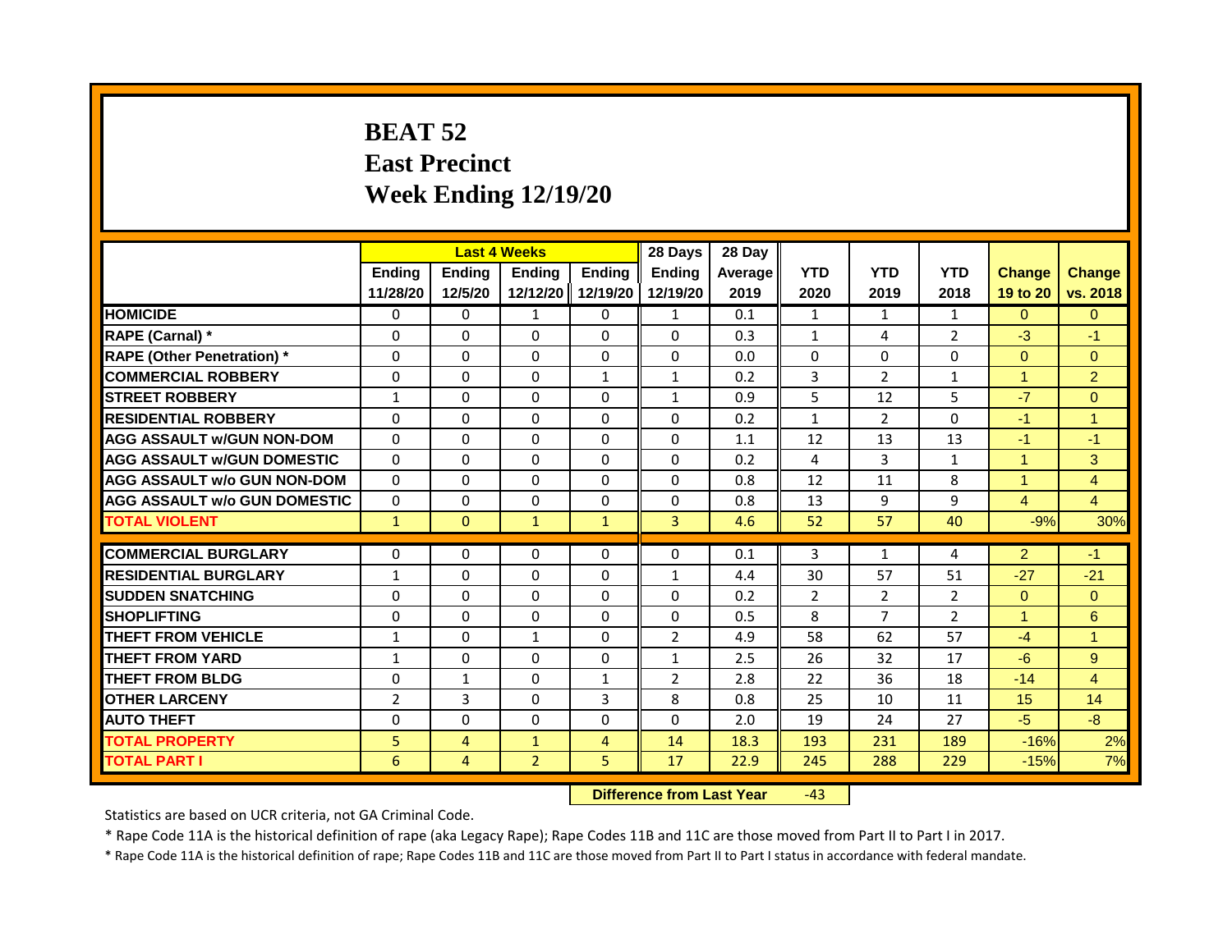# **BEAT 52 East Precinct Week Ending 12/19/20**

|                                     | <b>Last 4 Weeks</b><br>Ending<br><b>Ending</b><br>Ending |                |                                  | 28 Days        | 28 Day         |         |                |                |                |                      |                      |
|-------------------------------------|----------------------------------------------------------|----------------|----------------------------------|----------------|----------------|---------|----------------|----------------|----------------|----------------------|----------------------|
|                                     |                                                          |                |                                  | <b>Ending</b>  | <b>Endina</b>  | Average | <b>YTD</b>     | <b>YTD</b>     | <b>YTD</b>     | <b>Change</b>        | <b>Change</b>        |
|                                     | 11/28/20                                                 | 12/5/20        | 12/12/20 12/19/20                |                | 12/19/20       | 2019    | 2020           | 2019           | 2018           | 19 to 20             | vs. 2018             |
| <b>HOMICIDE</b>                     | $\mathbf{0}$                                             | 0              | $\mathbf{1}$                     | 0              | $\mathbf{1}$   | 0.1     | $\mathbf{1}$   | $\mathbf{1}$   | $\mathbf{1}$   | $\Omega$             | $\Omega$             |
| RAPE (Carnal) *                     | $\Omega$                                                 | $\Omega$       | $\Omega$                         | $\Omega$       | $\Omega$       | 0.3     | $\mathbf{1}$   | 4              | $\overline{2}$ | $-3$                 | $-1$                 |
| <b>RAPE (Other Penetration)</b> *   | $\Omega$                                                 | $\Omega$       | $\Omega$                         | $\Omega$       | $\Omega$       | 0.0     | $\Omega$       | $\Omega$       | $\Omega$       | $\Omega$             | $\overline{0}$       |
| <b>COMMERCIAL ROBBERY</b>           | $\Omega$                                                 | $\Omega$       | $\Omega$                         | $\mathbf{1}$   | $\mathbf{1}$   | 0.2     | 3              | $\overline{2}$ | $\mathbf{1}$   | $\blacktriangleleft$ | $\overline{2}$       |
| <b>STREET ROBBERY</b>               | $\mathbf{1}$                                             | $\Omega$       | $\Omega$                         | $\Omega$       | $\mathbf{1}$   | 0.9     | 5              | 12             | 5              | $-7$                 | $\Omega$             |
| <b>RESIDENTIAL ROBBERY</b>          | $\Omega$                                                 | $\Omega$       | $\Omega$                         | $\Omega$       | $\Omega$       | 0.2     | $\mathbf{1}$   | $\overline{2}$ | $\Omega$       | $-1$                 | $\blacktriangleleft$ |
| <b>AGG ASSAULT w/GUN NON-DOM</b>    | $\Omega$                                                 | $\Omega$       | $\Omega$                         | $\Omega$       | $\Omega$       | 1.1     | 12             | 13             | 13             | $-1$                 | $-1$                 |
| <b>AGG ASSAULT w/GUN DOMESTIC</b>   | $\Omega$                                                 | $\Omega$       | $\Omega$                         | $\Omega$       | $\Omega$       | 0.2     | 4              | $\overline{3}$ | $\mathbf{1}$   | $\blacktriangleleft$ | 3                    |
| <b>AGG ASSAULT w/o GUN NON-DOM</b>  | $\Omega$                                                 | $\Omega$       | $\Omega$                         | $\Omega$       | $\Omega$       | 0.8     | 12             | 11             | 8              | $\overline{1}$       | $\overline{4}$       |
| <b>AGG ASSAULT W/o GUN DOMESTIC</b> | $\mathbf{0}$                                             | $\Omega$       | $\Omega$                         | $\Omega$       | $\Omega$       | 0.8     | 13             | 9              | 9              | $\overline{4}$       | $\overline{4}$       |
| <b>TOTAL VIOLENT</b>                | $\mathbf{1}$                                             | $\mathbf{0}$   | $\mathbf{1}$                     | $\mathbf{1}$   | $\overline{3}$ | 4.6     | 52             | 57             | 40             | $-9%$                | 30%                  |
| <b>COMMERCIAL BURGLARY</b>          | $\mathbf{0}$                                             | $\Omega$       | $\Omega$                         | $\Omega$       | $\Omega$       | 0.1     | 3              | $\mathbf{1}$   | 4              | $\overline{2}$       | $-1$                 |
|                                     |                                                          |                |                                  |                |                |         |                |                |                |                      |                      |
| <b>RESIDENTIAL BURGLARY</b>         | $\mathbf{1}$                                             | $\Omega$       | $\mathbf{0}$                     | $\Omega$       | $\mathbf{1}$   | 4.4     | 30             | 57             | 51             | $-27$                | $-21$                |
| <b>SUDDEN SNATCHING</b>             | $\Omega$                                                 | $\Omega$       | $\Omega$                         | $\Omega$       | $\Omega$       | 0.2     | $\overline{2}$ | $\overline{2}$ | $\overline{2}$ | $\Omega$             | $\Omega$             |
| <b>SHOPLIFTING</b>                  | 0                                                        | $\Omega$       | $\Omega$                         | $\Omega$       | 0              | 0.5     | 8              | $\overline{7}$ | $\overline{2}$ | $\blacktriangleleft$ | 6                    |
| <b>THEFT FROM VEHICLE</b>           | $\mathbf{1}$                                             | $\Omega$       | $\mathbf{1}$                     | $\Omega$       | $\overline{2}$ | 4.9     | 58             | 62             | 57             | $-4$                 | $\blacktriangleleft$ |
| <b>THEFT FROM YARD</b>              | $\mathbf{1}$                                             | $\Omega$       | $\mathbf{0}$                     | $\Omega$       | $\mathbf{1}$   | 2.5     | 26             | 32             | 17             | $-6$                 | 9 <sup>°</sup>       |
| <b>THEFT FROM BLDG</b>              | $\Omega$                                                 | $\mathbf{1}$   | $\Omega$                         | $\mathbf{1}$   | $\overline{2}$ | 2.8     | 22             | 36             | 18             | $-14$                | $\overline{4}$       |
| <b>OTHER LARCENY</b>                | $\overline{2}$                                           | 3              | $\Omega$                         | $\overline{3}$ | 8              | 0.8     | 25             | 10             | 11             | 15                   | 14                   |
| <b>AUTO THEFT</b>                   | $\Omega$                                                 | $\Omega$       | $\Omega$                         | $\Omega$       | $\Omega$       | 2.0     | 19             | 24             | 27             | $-5$                 | $-8$                 |
| <b>TOTAL PROPERTY</b>               | 5                                                        | $\overline{4}$ | $\mathbf{1}$                     | $\overline{4}$ | 14             | 18.3    | 193            | 231            | 189            | $-16%$               | 2%                   |
| <b>TOTAL PART I</b>                 | 6                                                        | 4              | $\overline{2}$                   | 5              | 17             | 22.9    | 245            | 288            | 229            | $-15%$               | 7%                   |
|                                     |                                                          |                | <b>Difference from Last Year</b> |                | $-43$          |         |                |                |                |                      |                      |

Statistics are based on UCR criteria, not GA Criminal Code.

\* Rape Code 11A is the historical definition of rape (aka Legacy Rape); Rape Codes 11B and 11C are those moved from Part II to Part I in 2017.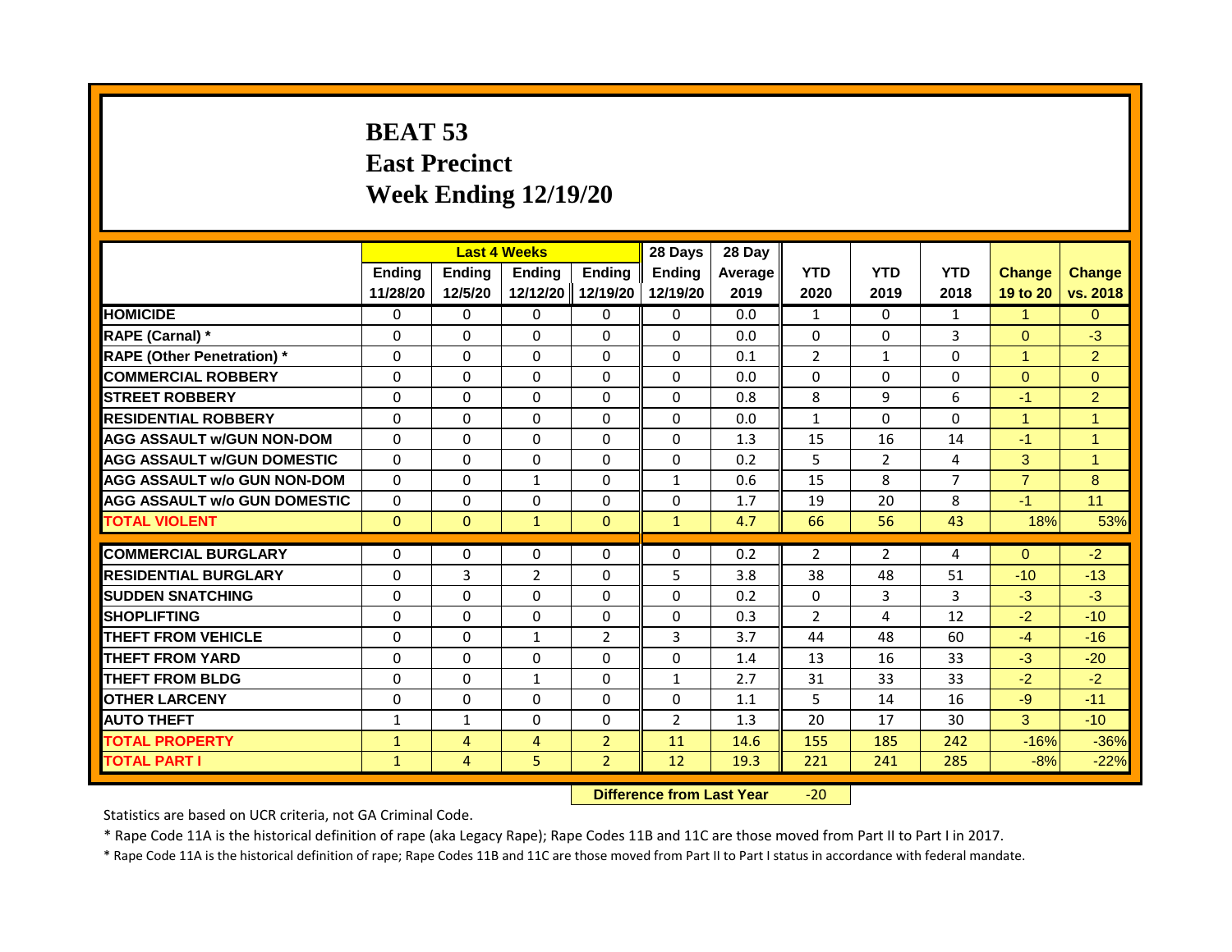# **BEAT 53 East Precinct Week Ending 12/19/20**

|                                     | <b>Last 4 Weeks</b><br><b>Ending</b><br><b>Ending</b> |                |                                  | 28 Days        | 28 Day         |         |                |                |                |                      |                |
|-------------------------------------|-------------------------------------------------------|----------------|----------------------------------|----------------|----------------|---------|----------------|----------------|----------------|----------------------|----------------|
|                                     |                                                       |                | Ending                           | <b>Ending</b>  | <b>Ending</b>  | Average | <b>YTD</b>     | <b>YTD</b>     | <b>YTD</b>     | <b>Change</b>        | <b>Change</b>  |
|                                     | 11/28/20                                              | 12/5/20        | 12/12/20                         | 12/19/20       | 12/19/20       | 2019    | 2020           | 2019           | 2018           | 19 to 20             | vs. 2018       |
| <b>HOMICIDE</b>                     | 0                                                     | 0              | 0                                | 0              | 0              | 0.0     | 1              | 0              | 1              | $\mathbf{1}$         | $\overline{0}$ |
| RAPE (Carnal) *                     | 0                                                     | $\Omega$       | $\Omega$                         | $\Omega$       | $\Omega$       | 0.0     | $\Omega$       | $\Omega$       | 3              | $\Omega$             | $-3$           |
| <b>RAPE (Other Penetration)</b> *   | $\Omega$                                              | $\mathbf{0}$   | $\Omega$                         | $\Omega$       | $\Omega$       | 0.1     | $\overline{2}$ | $\mathbf{1}$   | $\Omega$       | $\blacktriangleleft$ | 2 <sup>1</sup> |
| <b>COMMERCIAL ROBBERY</b>           | 0                                                     | 0              | 0                                | 0              | 0              | 0.0     | 0              | 0              | 0              | $\mathbf{0}$         | $\overline{0}$ |
| <b>STREET ROBBERY</b>               | $\Omega$                                              | $\Omega$       | $\Omega$                         | $\Omega$       | $\Omega$       | 0.8     | 8              | 9              | 6              | $-1$                 | 2              |
| <b>RESIDENTIAL ROBBERY</b>          | $\Omega$                                              | $\Omega$       | $\Omega$                         | $\Omega$       | 0              | 0.0     | 1              | $\Omega$       | $\Omega$       | $\overline{1}$       | $\overline{1}$ |
| <b>AGG ASSAULT W/GUN NON-DOM</b>    | $\Omega$                                              | $\mathbf{0}$   | $\Omega$                         | $\Omega$       | $\Omega$       | 1.3     | 15             | 16             | 14             | $-1$                 | $\overline{1}$ |
| <b>AGG ASSAULT W/GUN DOMESTIC</b>   | $\Omega$                                              | $\Omega$       | $\Omega$                         | $\Omega$       | $\Omega$       | 0.2     | 5              | $\overline{2}$ | 4              | 3                    | $\overline{1}$ |
| <b>AGG ASSAULT w/o GUN NON-DOM</b>  | $\Omega$                                              | 0              | $\mathbf{1}$                     | $\Omega$       | 1              | 0.6     | 15             | 8              | $\overline{7}$ | $\overline{7}$       | 8              |
| <b>AGG ASSAULT W/o GUN DOMESTIC</b> | $\Omega$                                              | 0              | 0                                | $\Omega$       | 0              | 1.7     | 19             | 20             | 8              | $-1$                 | 11             |
| <b>TOTAL VIOLENT</b>                | $\mathbf{0}$                                          | $\mathbf{0}$   | $\mathbf{1}$                     | $\mathbf{0}$   | $\mathbf{1}$   | 4.7     | 66             | 56             | 43             | 18%                  | 53%            |
|                                     |                                                       |                |                                  |                |                |         |                |                |                |                      |                |
| <b>COMMERCIAL BURGLARY</b>          | 0                                                     | 0              | $\Omega$                         | 0              | 0              | 0.2     | 2              | 2              | 4              | $\Omega$             | $-2$           |
| <b>RESIDENTIAL BURGLARY</b>         | $\Omega$                                              | 3              | $\overline{2}$                   | $\Omega$       | 5              | 3.8     | 38             | 48             | 51             | $-10$                | $-13$          |
| <b>SUDDEN SNATCHING</b>             | $\Omega$                                              | $\Omega$       | $\Omega$                         | $\Omega$       | $\Omega$       | 0.2     | $\Omega$       | $\overline{3}$ | 3              | $-3$                 | $-3$           |
| <b>SHOPLIFTING</b>                  | $\Omega$                                              | $\Omega$       | $\Omega$                         | $\Omega$       | $\Omega$       | 0.3     | $\overline{2}$ | 4              | 12             | $-2$                 | $-10$          |
| <b>THEFT FROM VEHICLE</b>           | $\Omega$                                              | $\Omega$       | $\mathbf{1}$                     | 2              | 3              | 3.7     | 44             | 48             | 60             | $-4$                 | $-16$          |
| <b>THEFT FROM YARD</b>              | $\Omega$                                              | $\mathbf{0}$   | $\Omega$                         | $\Omega$       | $\Omega$       | 1.4     | 13             | 16             | 33             | $-3$                 | $-20$          |
| <b>THEFT FROM BLDG</b>              | 0                                                     | 0              | $\mathbf{1}$                     | 0              | $\mathbf{1}$   | 2.7     | 31             | 33             | 33             | $-2$                 | $-2$           |
| <b>OTHER LARCENY</b>                | $\Omega$                                              | $\Omega$       | $\Omega$                         | $\Omega$       | $\Omega$       | 1.1     | 5              | 14             | 16             | $-9$                 | $-11$          |
| <b>AUTO THEFT</b>                   | 1                                                     | 1              | 0                                | 0              | $\overline{2}$ | 1.3     | 20             | 17             | 30             | 3                    | $-10$          |
| <b>TOTAL PROPERTY</b>               | $\mathbf{1}$                                          | $\overline{4}$ | $\overline{4}$                   | $\overline{2}$ | 11             | 14.6    | 155            | 185            | 242            | $-16%$               | $-36%$         |
| <b>TOTAL PART I</b>                 | $\mathbf{1}$                                          | 4              | 5                                | $\overline{2}$ | 12             | 19.3    | 221            | 241            | 285            | $-8%$                | $-22%$         |
|                                     |                                                       |                | <b>Difference from Last Year</b> |                | $-20$          |         |                |                |                |                      |                |

Statistics are based on UCR criteria, not GA Criminal Code.

\* Rape Code 11A is the historical definition of rape (aka Legacy Rape); Rape Codes 11B and 11C are those moved from Part II to Part I in 2017.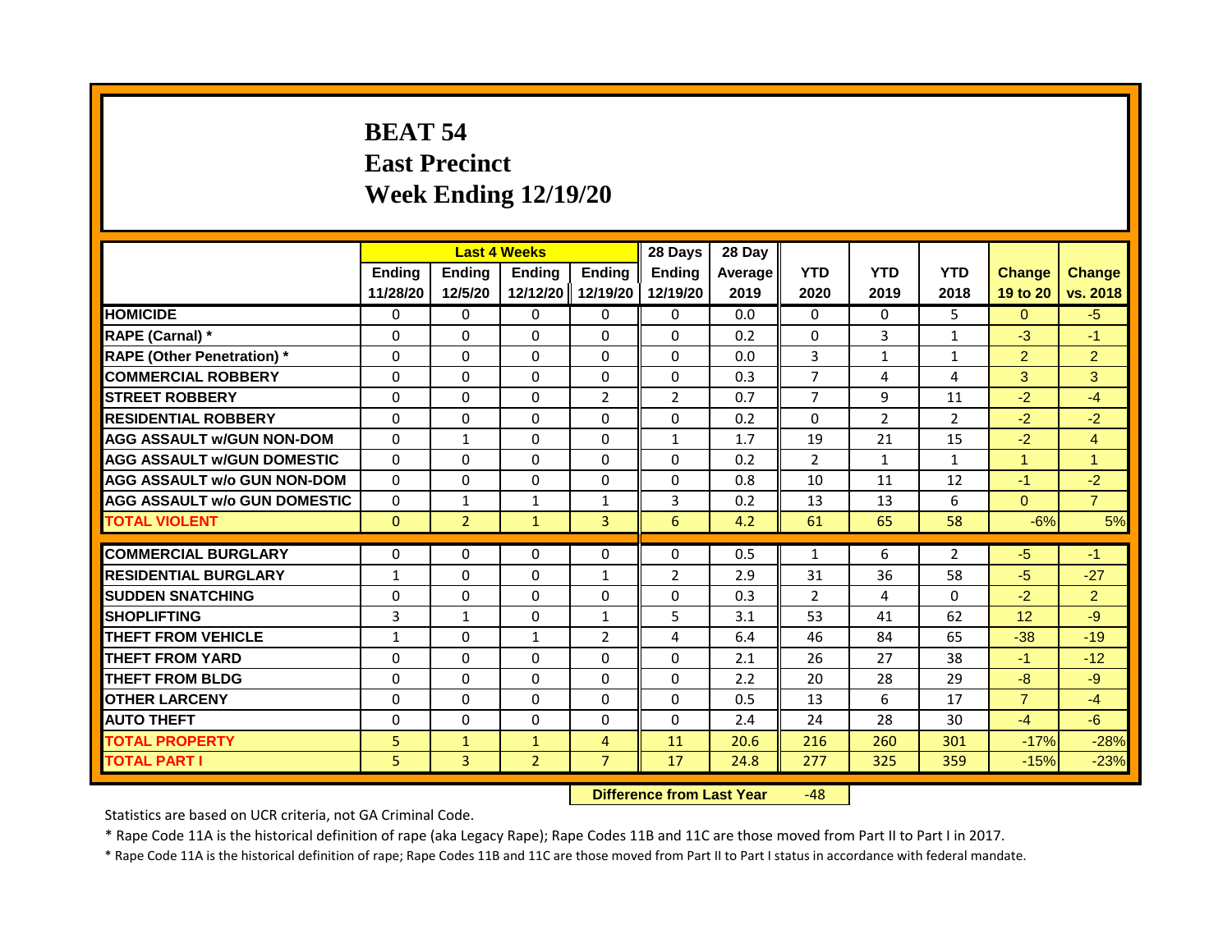# **BEAT 54 East Precinct Week Ending 12/19/20**

|                                     | <b>Last 4 Weeks</b><br>Ending<br>Ending<br><b>Ending</b> |                |                                  |                | 28 Days        | 28 Day  |                |                |                |                 |                |
|-------------------------------------|----------------------------------------------------------|----------------|----------------------------------|----------------|----------------|---------|----------------|----------------|----------------|-----------------|----------------|
|                                     |                                                          |                |                                  | <b>Ending</b>  | <b>Endina</b>  | Average | <b>YTD</b>     | <b>YTD</b>     | <b>YTD</b>     | <b>Change</b>   | <b>Change</b>  |
|                                     | 11/28/20                                                 | 12/5/20        | 12/12/20                         | 12/19/20       | 12/19/20       | 2019    | 2020           | 2019           | 2018           | 19 to 20        | vs. 2018       |
| <b>HOMICIDE</b>                     | 0                                                        | $\Omega$       | $\mathbf{0}$                     | 0              | $\Omega$       | 0.0     | $\mathbf{0}$   | $\Omega$       | 5.             | $\Omega$        | $-5$           |
| RAPE (Carnal) *                     | 0                                                        | $\Omega$       | $\Omega$                         | $\Omega$       | $\Omega$       | 0.2     | $\Omega$       | 3              | $\mathbf{1}$   | $-3$            | $-1$           |
| <b>RAPE (Other Penetration) *</b>   | $\Omega$                                                 | $\Omega$       | $\Omega$                         | $\Omega$       | $\Omega$       | 0.0     | 3              | $\mathbf{1}$   | $\mathbf{1}$   | $\overline{2}$  | $\overline{2}$ |
| <b>COMMERCIAL ROBBERY</b>           | $\Omega$                                                 | $\Omega$       | $\Omega$                         | $\Omega$       | $\Omega$       | 0.3     | $\overline{7}$ | 4              | 4              | 3               | 3              |
| <b>STREET ROBBERY</b>               | $\Omega$                                                 | $\Omega$       | $\Omega$                         | 2              | $\overline{2}$ | 0.7     | $\overline{7}$ | 9              | 11             | $-2$            | $-4$           |
| <b>RESIDENTIAL ROBBERY</b>          | $\Omega$                                                 | $\Omega$       | $\Omega$                         | $\Omega$       | $\Omega$       | 0.2     | $\Omega$       | $\overline{2}$ | $\overline{2}$ | $-2$            | $-2$           |
| <b>AGG ASSAULT w/GUN NON-DOM</b>    | $\Omega$                                                 | $\mathbf{1}$   | $\Omega$                         | $\Omega$       | $\mathbf{1}$   | 1.7     | 19             | 21             | 15             | $-2$            | $\overline{4}$ |
| <b>AGG ASSAULT w/GUN DOMESTIC</b>   | $\Omega$                                                 | $\Omega$       | $\Omega$                         | $\Omega$       | $\Omega$       | 0.2     | 2              | $\mathbf{1}$   | $\mathbf{1}$   | 1               | $\overline{1}$ |
| <b>AGG ASSAULT w/o GUN NON-DOM</b>  | $\Omega$                                                 | $\Omega$       | $\Omega$                         | $\Omega$       | $\Omega$       | 0.8     | 10             | 11             | 12             | $-1$            | $-2$           |
| <b>AGG ASSAULT W/o GUN DOMESTIC</b> | $\Omega$                                                 | $\mathbf{1}$   | $\mathbf{1}$                     | $\mathbf{1}$   | 3              | 0.2     | 13             | 13             | 6              | $\mathbf{0}$    | $\overline{7}$ |
| <b>TOTAL VIOLENT</b>                | $\mathbf{0}$                                             | $\overline{2}$ | $\mathbf{1}$                     | 3              | 6              | 4.2     | 61             | 65             | 58             | $-6%$           | 5%             |
| <b>COMMERCIAL BURGLARY</b>          | $\Omega$                                                 | $\Omega$       | $\Omega$                         | $\Omega$       | $\Omega$       | 0.5     | $\mathbf{1}$   | 6              | $\overline{2}$ | $-5$            | $-1$           |
|                                     |                                                          |                |                                  |                |                |         |                |                |                |                 |                |
| <b>RESIDENTIAL BURGLARY</b>         | 1                                                        | $\Omega$       | $\Omega$                         | $\mathbf{1}$   | $\overline{2}$ | 2.9     | 31             | 36             | 58             | $-5$            | $-27$          |
| <b>SUDDEN SNATCHING</b>             | $\Omega$                                                 | $\Omega$       | $\Omega$                         | $\Omega$       | 0              | 0.3     | 2              | 4              | 0              | $-2$            | $\overline{2}$ |
| <b>SHOPLIFTING</b>                  | 3                                                        | $\mathbf{1}$   | $\Omega$                         | $\mathbf{1}$   | 5              | 3.1     | 53             | 41             | 62             | 12 <sup>2</sup> | $-9$           |
| <b>THEFT FROM VEHICLE</b>           | $\mathbf{1}$                                             | $\Omega$       | $\mathbf{1}$                     | $\overline{2}$ | 4              | 6.4     | 46             | 84             | 65             | $-38$           | $-19$          |
| <b>THEFT FROM YARD</b>              | $\Omega$                                                 | $\Omega$       | $\Omega$                         | $\Omega$       | $\mathbf 0$    | 2.1     | 26             | 27             | 38             | $-1$            | $-12$          |
| <b>THEFT FROM BLDG</b>              | $\Omega$                                                 | $\Omega$       | $\Omega$                         | $\Omega$       | $\Omega$       | 2.2     | 20             | 28             | 29             | $-8$            | $-9$           |
| <b>OTHER LARCENY</b>                | 0                                                        | $\Omega$       | $\Omega$                         | $\Omega$       | 0              | 0.5     | 13             | 6              | 17             | $\overline{7}$  | $-4$           |
| <b>AUTO THEFT</b>                   | $\Omega$                                                 | $\Omega$       | $\Omega$                         | $\Omega$       | $\Omega$       | 2.4     | 24             | 28             | 30             | $-4$            | $-6$           |
| <b>TOTAL PROPERTY</b>               | 5                                                        | $\mathbf{1}$   | $\mathbf{1}$                     | $\overline{4}$ | 11             | 20.6    | 216            | 260            | 301            | $-17%$          | $-28%$         |
| <b>TOTAL PART I</b>                 | 5                                                        | 3              | $\overline{2}$                   | $\overline{7}$ | 17             | 24.8    | 277            | 325            | 359            | $-15%$          | $-23%$         |
|                                     |                                                          |                | <b>Difference from Last Year</b> |                | $-48$          |         |                |                |                |                 |                |

Statistics are based on UCR criteria, not GA Criminal Code.

\* Rape Code 11A is the historical definition of rape (aka Legacy Rape); Rape Codes 11B and 11C are those moved from Part II to Part I in 2017.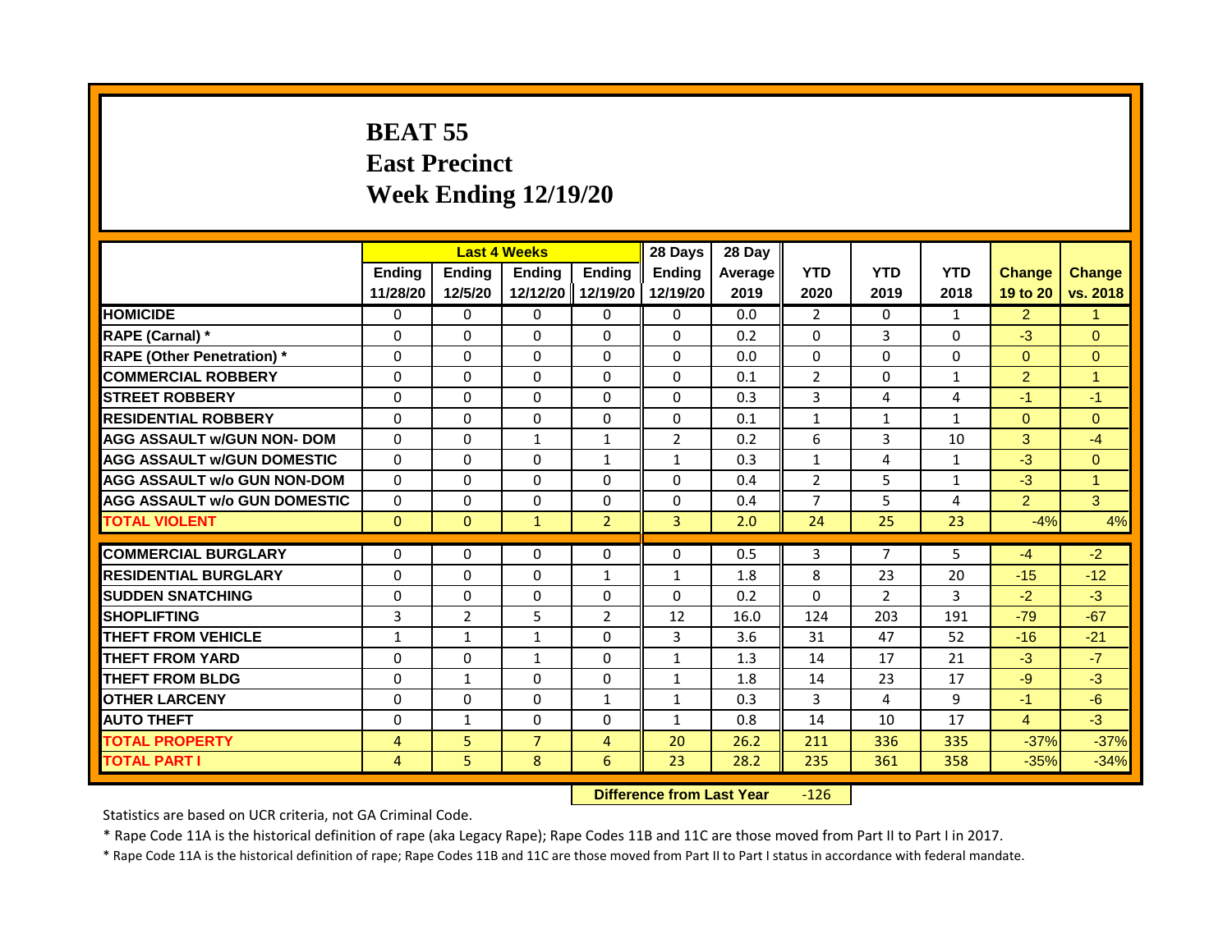## **BEAT 55 East Precinct Week Ending 12/19/20**

|                                     | <b>Last 4 Weeks</b> |                |                                  | 28 Days           | 28 Day         |         |                |                |                |                |              |
|-------------------------------------|---------------------|----------------|----------------------------------|-------------------|----------------|---------|----------------|----------------|----------------|----------------|--------------|
|                                     | <b>Ending</b>       | Ending         | Ending                           | <b>Ending</b>     | Ending         | Average | <b>YTD</b>     | <b>YTD</b>     | <b>YTD</b>     | <b>Change</b>  | Change       |
|                                     | 11/28/20            | 12/5/20        |                                  | 12/12/20 12/19/20 | 12/19/20       | 2019    | 2020           | 2019           | 2018           | 19 to 20       | vs. 2018     |
| <b>HOMICIDE</b>                     | $\Omega$            | $\Omega$       | $\Omega$                         | $\Omega$          | $\Omega$       | 0.0     | $\overline{2}$ | $\Omega$       | $\mathbf{1}$   | 2 <sup>1</sup> | $\mathbf{1}$ |
| RAPE (Carnal) *                     | $\Omega$            | $\Omega$       | $\Omega$                         | $\Omega$          | $\Omega$       | 0.2     | $\Omega$       | 3              | $\Omega$       | $-3$           | $\Omega$     |
| <b>RAPE (Other Penetration)</b> *   | $\Omega$            | $\Omega$       | $\Omega$                         | $\Omega$          | $\Omega$       | 0.0     | $\Omega$       | $\Omega$       | $\Omega$       | $\Omega$       | $\Omega$     |
| <b>COMMERCIAL ROBBERY</b>           | $\Omega$            | $\Omega$       | $\Omega$                         | $\Omega$          | 0              | 0.1     | $\overline{2}$ | $\Omega$       | $\mathbf{1}$   | $\overline{2}$ | $\mathbf{1}$ |
| <b>STREET ROBBERY</b>               | $\Omega$            | $\Omega$       | $\Omega$                         | $\Omega$          | 0              | 0.3     | $\overline{3}$ | 4              | 4              | $-1$           | $-1$         |
| <b>RESIDENTIAL ROBBERY</b>          | $\Omega$            | $\Omega$       | $\Omega$                         | $\Omega$          | $\Omega$       | 0.1     | $\mathbf{1}$   | 1              | $\mathbf{1}$   | $\Omega$       | $\Omega$     |
| <b>AGG ASSAULT w/GUN NON- DOM</b>   | $\Omega$            | $\Omega$       | $\mathbf{1}$                     | $\mathbf{1}$      | $\overline{2}$ | 0.2     | 6              | $\overline{3}$ | 10             | 3              | $-4$         |
| <b>AGG ASSAULT W/GUN DOMESTIC</b>   | $\Omega$            | $\Omega$       | $\Omega$                         | $\mathbf{1}$      | $\mathbf{1}$   | 0.3     | $\mathbf{1}$   | 4              | $\mathbf{1}$   | $-3$           | $\Omega$     |
| <b>AGG ASSAULT w/o GUN NON-DOM</b>  | $\Omega$            | $\Omega$       | $\Omega$                         | $\mathbf{0}$      | $\Omega$       | 0.4     | $\overline{2}$ | 5              | 1              | $-3$           | $\mathbf{1}$ |
| <b>AGG ASSAULT W/o GUN DOMESTIC</b> | $\Omega$            | $\Omega$       | $\Omega$                         | $\Omega$          | $\Omega$       | 0.4     | $\overline{7}$ | 5              | 4              | $\overline{2}$ | 3            |
| <b>TOTAL VIOLENT</b>                | $\mathbf{0}$        | $\Omega$       | $\mathbf{1}$                     | $\overline{2}$    | $\overline{3}$ | 2.0     | 24             | 25             | 23             | $-4%$          | 4%           |
| <b>COMMERCIAL BURGLARY</b>          | $\Omega$            | $\Omega$       | $\Omega$                         | $\mathbf{0}$      | $\Omega$       | 0.5     | $\overline{3}$ | 7              | 5              | $-4$           | $-2$         |
| <b>RESIDENTIAL BURGLARY</b>         | $\Omega$            | $\Omega$       | $\Omega$                         | $\mathbf{1}$      | $\mathbf{1}$   | 1.8     | 8              | 23             | 20             | $-15$          | $-12$        |
| <b>SUDDEN SNATCHING</b>             | $\Omega$            | $\Omega$       | $\Omega$                         | $\mathbf{0}$      | $\Omega$       | 0.2     | $\mathbf{0}$   | $\overline{2}$ | $\overline{3}$ | $-2$           | $-3$         |
| <b>SHOPLIFTING</b>                  |                     |                |                                  |                   |                |         |                |                |                |                |              |
|                                     | 3                   | $\overline{2}$ | 5                                | $\overline{2}$    | 12             | 16.0    | 124            | 203            | 191            | $-79$          | $-67$        |
| <b>THEFT FROM VEHICLE</b>           | $\mathbf{1}$        | $\mathbf{1}$   | $\mathbf{1}$                     | $\Omega$          | 3              | 3.6     | 31             | 47             | 52             | $-16$          | $-21$        |
| <b>THEFT FROM YARD</b>              | $\Omega$            | $\Omega$       | $\mathbf{1}$                     | $\Omega$          | $\mathbf{1}$   | 1.3     | 14             | 17             | 21             | $-3$           | $-7$         |
| <b>THEFT FROM BLDG</b>              | $\Omega$            | $\mathbf{1}$   | $\Omega$                         | $\Omega$          | $\mathbf{1}$   | 1.8     | 14             | 23             | 17             | $-9$           | $-3$         |
| <b>OTHER LARCENY</b>                | $\Omega$            | $\Omega$       | $\Omega$                         | $\mathbf{1}$      | $\mathbf{1}$   | 0.3     | 3              | 4              | 9              | $-1$           | $-6$         |
| <b>AUTO THEFT</b>                   | $\mathbf{0}$        | $\mathbf{1}$   | $\Omega$                         | $\Omega$          | $\mathbf{1}$   | 0.8     | 14             | 10             | 17             | $\overline{4}$ | $-3$         |
| <b>TOTAL PROPERTY</b>               | $\overline{4}$      | 5              | $\overline{7}$                   | $\overline{4}$    | 20             | 26.2    | 211            | 336            | 335            | $-37%$         | $-37%$       |
| <b>TOTAL PART I</b>                 | $\overline{4}$      | 5              | 8                                | 6                 | 23             | 28.2    | 235            | 361            | 358            | $-35%$         | $-34%$       |
|                                     |                     |                | <b>Difference from Last Year</b> |                   | $-126$         |         |                |                |                |                |              |

Statistics are based on UCR criteria, not GA Criminal Code.

\* Rape Code 11A is the historical definition of rape (aka Legacy Rape); Rape Codes 11B and 11C are those moved from Part II to Part I in 2017.